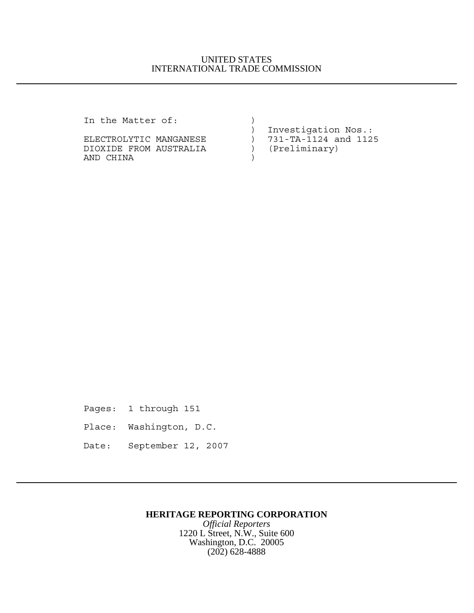### UNITED STATES INTERNATIONAL TRADE COMMISSION

In the Matter of: )

| III LIIE MALLEI OI:    |                        |
|------------------------|------------------------|
|                        | Investigation Nos.:    |
| ELECTROLYTIC MANGANESE | ) 731-TA-1124 and 1125 |
| DIOXIDE FROM AUSTRALIA | (Preliminary)          |
| AND CHINA              |                        |

Pages: 1 through 151

- Place: Washington, D.C.
- Date: September 12, 2007

# **HERITAGE REPORTING CORPORATION**

*Official Reporters* 1220 L Street, N.W., Suite 600 Washington, D.C. 20005 (202) 628-4888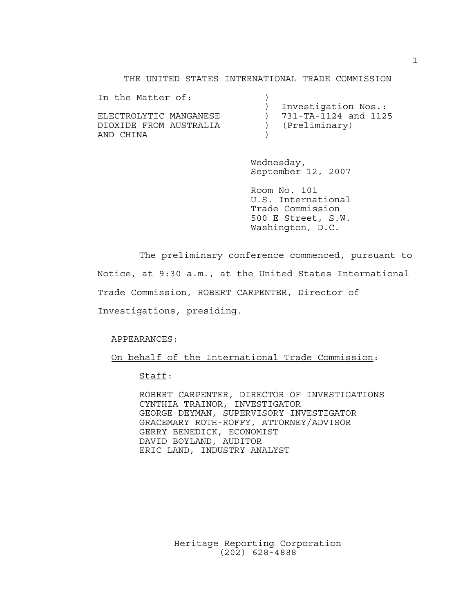#### THE UNITED STATES INTERNATIONAL TRADE COMMISSION

| In the Matter of:      |                      |
|------------------------|----------------------|
|                        | Investigation Nos.:  |
| FLECTROLYTIC MANGANESE | 731-TA-1124 and 1125 |
| DIOXIDE FROM AUSTRALIA | (Preliminary)        |
| AND CHINA              |                      |

Wednesday, September 12, 2007

Room No. 101 U.S. International Trade Commission 500 E Street, S.W. Washington, D.C.

The preliminary conference commenced, pursuant to

Notice, at 9:30 a.m., at the United States International

Trade Commission, ROBERT CARPENTER, Director of

Investigations, presiding.

APPEARANCES:

On behalf of the International Trade Commission:

Staff:

ROBERT CARPENTER, DIRECTOR OF INVESTIGATIONS CYNTHIA TRAINOR, INVESTIGATOR GEORGE DEYMAN, SUPERVISORY INVESTIGATOR GRACEMARY ROTH-ROFFY, ATTORNEY/ADVISOR GERRY BENEDICK, ECONOMIST DAVID BOYLAND, AUDITOR ERIC LAND, INDUSTRY ANALYST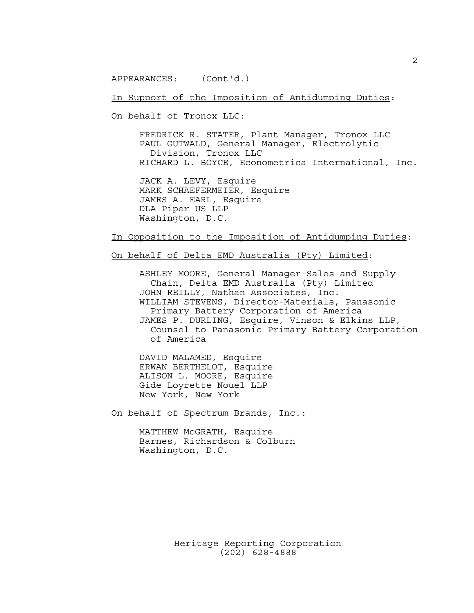APPEARANCES: (Cont'd.)

In Support of the Imposition of Antidumping Duties:

On behalf of Tronox LLC:

FREDRICK R. STATER, Plant Manager, Tronox LLC PAUL GUTWALD, General Manager, Electrolytic Division, Tronox LLC RICHARD L. BOYCE, Econometrica International, Inc.

JACK A. LEVY, Esquire MARK SCHAEFERMEIER, Esquire JAMES A. EARL, Esquire DLA Piper US LLP Washington, D.C.

In Opposition to the Imposition of Antidumping Duties:

On behalf of Delta EMD Australia (Pty) Limited:

ASHLEY MOORE, General Manager-Sales and Supply Chain, Delta EMD Australia (Pty) Limited JOHN REILLY, Nathan Associates, Inc. WILLIAM STEVENS, Director-Materials, Panasonic Primary Battery Corporation of America JAMES P. DURLING, Esquire, Vinson & Elkins LLP, Counsel to Panasonic Primary Battery Corporation of America

DAVID MALAMED, Esquire ERWAN BERTHELOT, Esquire ALISON L. MOORE, Esquire Gide Loyrette Nouel LLP New York, New York

On behalf of Spectrum Brands, Inc.:

MATTHEW McGRATH, Esquire Barnes, Richardson & Colburn Washington, D.C.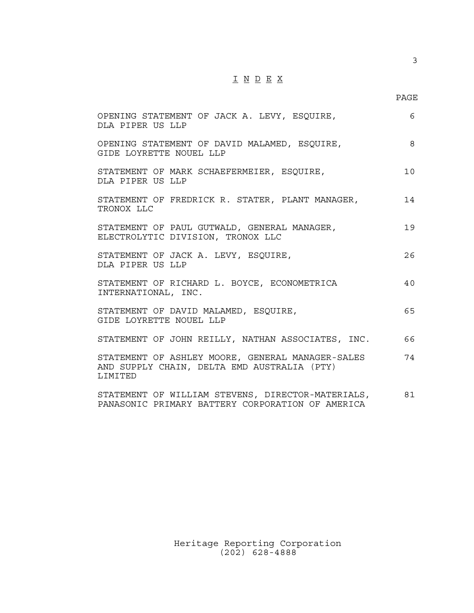# $\underline{\texttt{I}} \underline{\texttt{N}} \underline{\texttt{D}} \underline{\texttt{E}} \underline{\texttt{X}}$

PAGE

3

| OPENING STATEMENT OF JACK A. LEVY, ESQUIRE,<br>DIA PIPER US LLP                                                    | 6        |
|--------------------------------------------------------------------------------------------------------------------|----------|
| OPENING STATEMENT OF DAVID MALAMED, ESQUIRE,<br>GIDE LOYRETTE NOUEL LLP                                            | 8        |
| STATEMENT OF MARK SCHAEFERMEIER, ESQUIRE,<br>DLA PIPER US LLP                                                      | $10^{-}$ |
| STATEMENT OF FREDRICK R. STATER, PLANT MANAGER,<br>TRONOX LLC                                                      | 14       |
| STATEMENT OF PAUL GUTWALD, GENERAL MANAGER,<br>ELECTROLYTIC DIVISION, TRONOX LLC                                   | 19       |
| STATEMENT OF JACK A. LEVY, ESQUIRE,<br>DIA PIPER US LLP                                                            | 26       |
| STATEMENT OF RICHARD L. BOYCE, ECONOMETRICA<br>INTERNATIONAL, INC.                                                 | 40       |
| STATEMENT OF DAVID MALAMED, ESOUIRE,<br>GIDE LOYRETTE NOUEL LLP                                                    | 65       |
| STATEMENT OF JOHN REILLY, NATHAN ASSOCIATES, INC.                                                                  | 66       |
| STATEMENT OF ASHLEY MOORE, GENERAL MANAGER-SALES<br>AND SUPPLY CHAIN, DELTA EMD AUSTRALIA (PTY)<br><b>T.TMTTED</b> | 74       |
| STATEMENT OF WILLIAM STEVENS, DIRECTOR-MATERIALS,<br>PANASONIC PRIMARY BATTERY CORPORATION OF AMERICA              | 81       |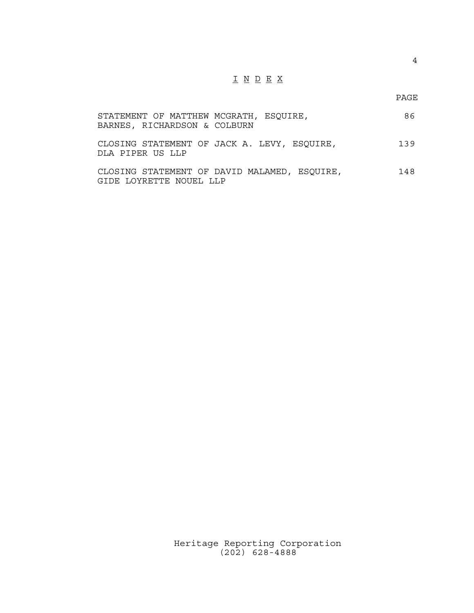# I N D E X

PAGE

| STATEMENT OF MATTHEW MCGRATH, ESQUIRE,<br>BARNES, RICHARDSON & COLBURN  | 86. |
|-------------------------------------------------------------------------|-----|
| CLOSING STATEMENT OF JACK A. LEVY, ESQUIRE,<br>DLA PIPER US LLP         | 139 |
| CLOSING STATEMENT OF DAVID MALAMED, ESQUIRE,<br>GIDE LOYRETTE NOUEL LLP | 148 |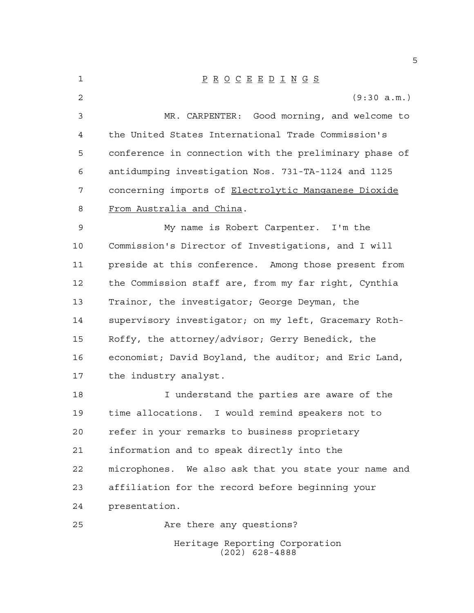Heritage Reporting Corporation (202) 628-4888 P R O C E E D I N G S (9:30 a.m.) MR. CARPENTER: Good morning, and welcome to the United States International Trade Commission's conference in connection with the preliminary phase of antidumping investigation Nos. 731-TA-1124 and 1125 concerning imports of Electrolytic Manganese Dioxide From Australia and China. My name is Robert Carpenter. I'm the Commission's Director of Investigations, and I will preside at this conference. Among those present from the Commission staff are, from my far right, Cynthia Trainor, the investigator; George Deyman, the supervisory investigator; on my left, Gracemary Roth- Roffy, the attorney/advisor; Gerry Benedick, the economist; David Boyland, the auditor; and Eric Land, the industry analyst. I understand the parties are aware of the time allocations. I would remind speakers not to refer in your remarks to business proprietary information and to speak directly into the microphones. We also ask that you state your name and affiliation for the record before beginning your presentation. Are there any questions?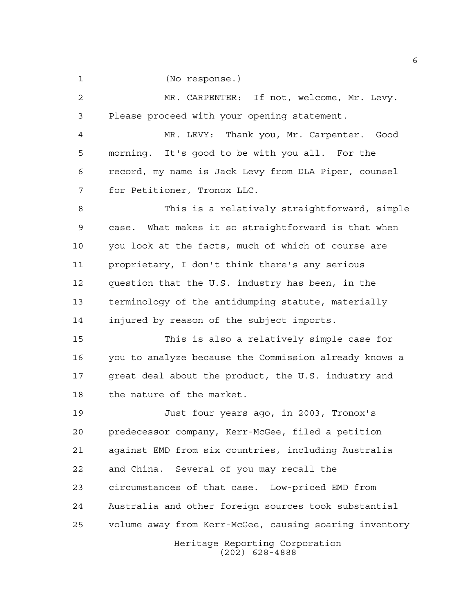(No response.)

Heritage Reporting Corporation (202) 628-4888 MR. CARPENTER: If not, welcome, Mr. Levy. Please proceed with your opening statement. MR. LEVY: Thank you, Mr. Carpenter. Good morning. It's good to be with you all. For the record, my name is Jack Levy from DLA Piper, counsel for Petitioner, Tronox LLC. This is a relatively straightforward, simple case. What makes it so straightforward is that when you look at the facts, much of which of course are proprietary, I don't think there's any serious question that the U.S. industry has been, in the terminology of the antidumping statute, materially injured by reason of the subject imports. This is also a relatively simple case for you to analyze because the Commission already knows a great deal about the product, the U.S. industry and the nature of the market. Just four years ago, in 2003, Tronox's predecessor company, Kerr-McGee, filed a petition against EMD from six countries, including Australia and China. Several of you may recall the circumstances of that case. Low-priced EMD from Australia and other foreign sources took substantial volume away from Kerr-McGee, causing soaring inventory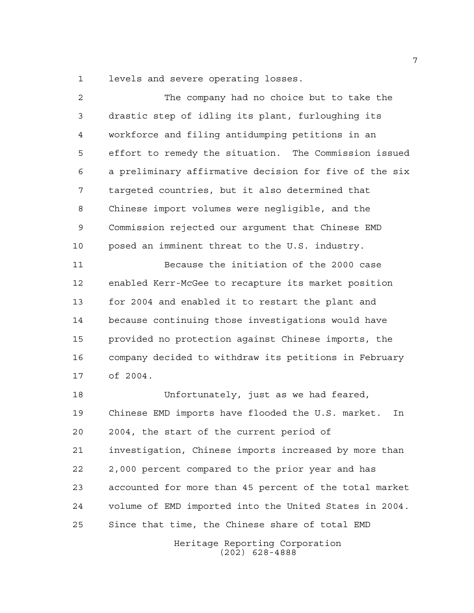levels and severe operating losses.

 The company had no choice but to take the drastic step of idling its plant, furloughing its workforce and filing antidumping petitions in an effort to remedy the situation. The Commission issued a preliminary affirmative decision for five of the six targeted countries, but it also determined that Chinese import volumes were negligible, and the Commission rejected our argument that Chinese EMD posed an imminent threat to the U.S. industry. Because the initiation of the 2000 case enabled Kerr-McGee to recapture its market position for 2004 and enabled it to restart the plant and because continuing those investigations would have provided no protection against Chinese imports, the company decided to withdraw its petitions in February of 2004. Unfortunately, just as we had feared, Chinese EMD imports have flooded the U.S. market. In 2004, the start of the current period of investigation, Chinese imports increased by more than 2,000 percent compared to the prior year and has accounted for more than 45 percent of the total market volume of EMD imported into the United States in 2004. Since that time, the Chinese share of total EMD

> Heritage Reporting Corporation (202) 628-4888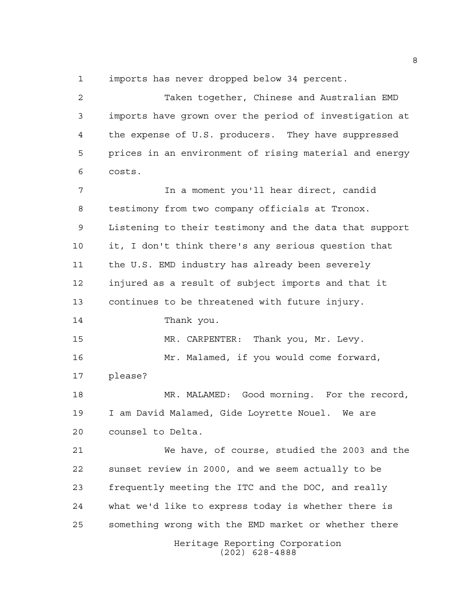imports has never dropped below 34 percent.

Heritage Reporting Corporation (202) 628-4888 Taken together, Chinese and Australian EMD imports have grown over the period of investigation at the expense of U.S. producers. They have suppressed prices in an environment of rising material and energy costs. In a moment you'll hear direct, candid testimony from two company officials at Tronox. Listening to their testimony and the data that support it, I don't think there's any serious question that the U.S. EMD industry has already been severely injured as a result of subject imports and that it continues to be threatened with future injury. Thank you. MR. CARPENTER: Thank you, Mr. Levy. Mr. Malamed, if you would come forward, please? MR. MALAMED: Good morning. For the record, I am David Malamed, Gide Loyrette Nouel. We are counsel to Delta. We have, of course, studied the 2003 and the sunset review in 2000, and we seem actually to be frequently meeting the ITC and the DOC, and really what we'd like to express today is whether there is something wrong with the EMD market or whether there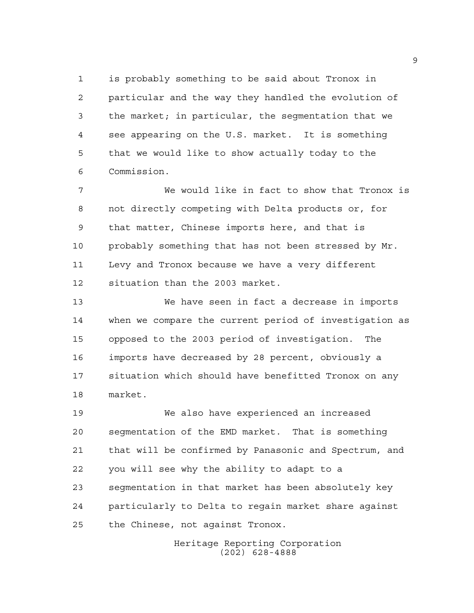is probably something to be said about Tronox in particular and the way they handled the evolution of the market; in particular, the segmentation that we see appearing on the U.S. market. It is something that we would like to show actually today to the Commission.

 We would like in fact to show that Tronox is not directly competing with Delta products or, for that matter, Chinese imports here, and that is probably something that has not been stressed by Mr. Levy and Tronox because we have a very different situation than the 2003 market.

 We have seen in fact a decrease in imports when we compare the current period of investigation as opposed to the 2003 period of investigation. The imports have decreased by 28 percent, obviously a situation which should have benefitted Tronox on any market.

 We also have experienced an increased segmentation of the EMD market. That is something that will be confirmed by Panasonic and Spectrum, and you will see why the ability to adapt to a segmentation in that market has been absolutely key particularly to Delta to regain market share against the Chinese, not against Tronox.

> Heritage Reporting Corporation (202) 628-4888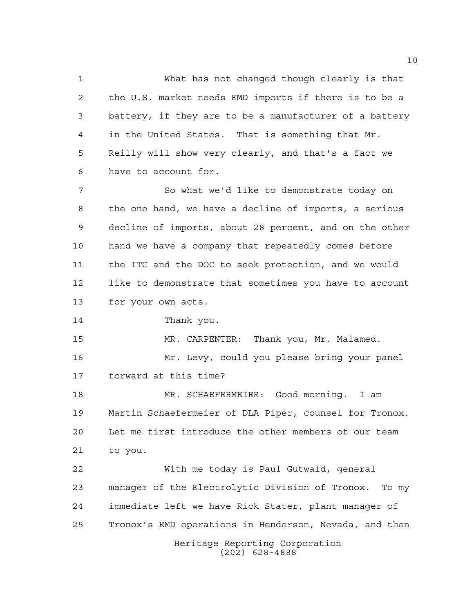What has not changed though clearly is that the U.S. market needs EMD imports if there is to be a battery, if they are to be a manufacturer of a battery in the United States. That is something that Mr. Reilly will show very clearly, and that's a fact we have to account for.

7 So what we'd like to demonstrate today on the one hand, we have a decline of imports, a serious decline of imports, about 28 percent, and on the other hand we have a company that repeatedly comes before the ITC and the DOC to seek protection, and we would like to demonstrate that sometimes you have to account for your own acts.

Thank you.

MR. CARPENTER: Thank you, Mr. Malamed.

 Mr. Levy, could you please bring your panel forward at this time?

 MR. SCHAEFERMEIER: Good morning. I am Martin Schaefermeier of DLA Piper, counsel for Tronox. Let me first introduce the other members of our team to you.

Heritage Reporting Corporation With me today is Paul Gutwald, general manager of the Electrolytic Division of Tronox. To my immediate left we have Rick Stater, plant manager of Tronox's EMD operations in Henderson, Nevada, and then

(202) 628-4888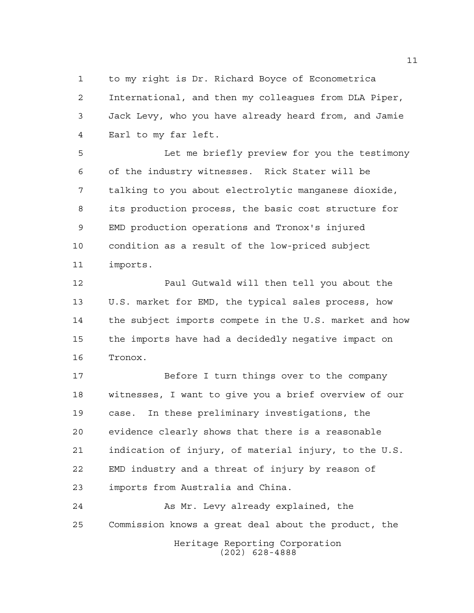to my right is Dr. Richard Boyce of Econometrica International, and then my colleagues from DLA Piper, Jack Levy, who you have already heard from, and Jamie Earl to my far left.

 Let me briefly preview for you the testimony of the industry witnesses. Rick Stater will be talking to you about electrolytic manganese dioxide, its production process, the basic cost structure for EMD production operations and Tronox's injured condition as a result of the low-priced subject imports.

 Paul Gutwald will then tell you about the U.S. market for EMD, the typical sales process, how the subject imports compete in the U.S. market and how the imports have had a decidedly negative impact on Tronox.

 Before I turn things over to the company witnesses, I want to give you a brief overview of our case. In these preliminary investigations, the evidence clearly shows that there is a reasonable indication of injury, of material injury, to the U.S. EMD industry and a threat of injury by reason of imports from Australia and China.

Heritage Reporting Corporation (202) 628-4888 As Mr. Levy already explained, the Commission knows a great deal about the product, the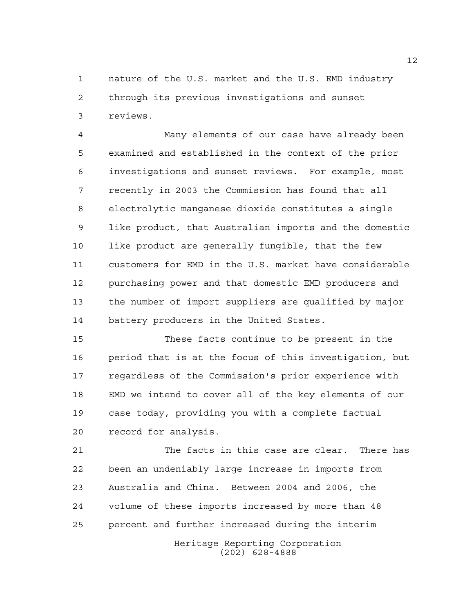nature of the U.S. market and the U.S. EMD industry through its previous investigations and sunset reviews.

 Many elements of our case have already been examined and established in the context of the prior investigations and sunset reviews. For example, most recently in 2003 the Commission has found that all electrolytic manganese dioxide constitutes a single like product, that Australian imports and the domestic 10 like product are generally fungible, that the few customers for EMD in the U.S. market have considerable purchasing power and that domestic EMD producers and the number of import suppliers are qualified by major battery producers in the United States.

 These facts continue to be present in the period that is at the focus of this investigation, but regardless of the Commission's prior experience with EMD we intend to cover all of the key elements of our case today, providing you with a complete factual record for analysis.

 The facts in this case are clear. There has been an undeniably large increase in imports from Australia and China. Between 2004 and 2006, the volume of these imports increased by more than 48 percent and further increased during the interim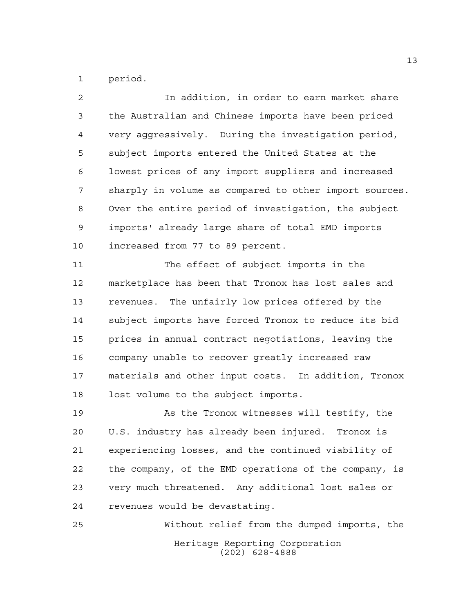period.

 In addition, in order to earn market share the Australian and Chinese imports have been priced very aggressively. During the investigation period, subject imports entered the United States at the lowest prices of any import suppliers and increased sharply in volume as compared to other import sources. Over the entire period of investigation, the subject imports' already large share of total EMD imports increased from 77 to 89 percent. The effect of subject imports in the marketplace has been that Tronox has lost sales and

 revenues. The unfairly low prices offered by the subject imports have forced Tronox to reduce its bid prices in annual contract negotiations, leaving the company unable to recover greatly increased raw materials and other input costs. In addition, Tronox lost volume to the subject imports.

 As the Tronox witnesses will testify, the U.S. industry has already been injured. Tronox is experiencing losses, and the continued viability of the company, of the EMD operations of the company, is very much threatened. Any additional lost sales or revenues would be devastating.

Heritage Reporting Corporation (202) 628-4888 Without relief from the dumped imports, the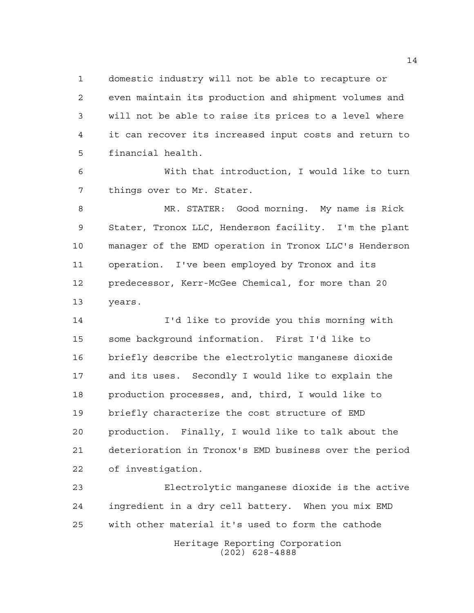domestic industry will not be able to recapture or even maintain its production and shipment volumes and will not be able to raise its prices to a level where it can recover its increased input costs and return to financial health.

 With that introduction, I would like to turn things over to Mr. Stater.

 MR. STATER: Good morning. My name is Rick Stater, Tronox LLC, Henderson facility. I'm the plant manager of the EMD operation in Tronox LLC's Henderson operation. I've been employed by Tronox and its predecessor, Kerr-McGee Chemical, for more than 20 years.

 I'd like to provide you this morning with some background information. First I'd like to briefly describe the electrolytic manganese dioxide and its uses. Secondly I would like to explain the production processes, and, third, I would like to briefly characterize the cost structure of EMD production. Finally, I would like to talk about the deterioration in Tronox's EMD business over the period of investigation.

Heritage Reporting Corporation (202) 628-4888 Electrolytic manganese dioxide is the active ingredient in a dry cell battery. When you mix EMD with other material it's used to form the cathode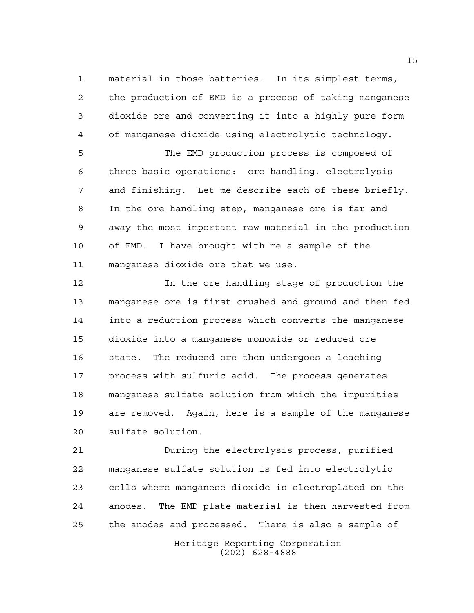material in those batteries. In its simplest terms, the production of EMD is a process of taking manganese dioxide ore and converting it into a highly pure form of manganese dioxide using electrolytic technology.

 The EMD production process is composed of three basic operations: ore handling, electrolysis and finishing. Let me describe each of these briefly. In the ore handling step, manganese ore is far and away the most important raw material in the production of EMD. I have brought with me a sample of the manganese dioxide ore that we use.

 In the ore handling stage of production the manganese ore is first crushed and ground and then fed into a reduction process which converts the manganese dioxide into a manganese monoxide or reduced ore state. The reduced ore then undergoes a leaching process with sulfuric acid. The process generates manganese sulfate solution from which the impurities are removed. Again, here is a sample of the manganese sulfate solution.

 During the electrolysis process, purified manganese sulfate solution is fed into electrolytic cells where manganese dioxide is electroplated on the anodes. The EMD plate material is then harvested from the anodes and processed. There is also a sample of

> Heritage Reporting Corporation (202) 628-4888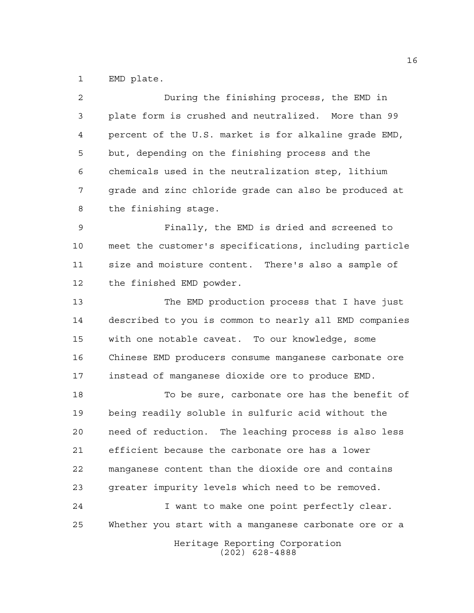EMD plate.

| 2  | During the finishing process, the EMD in               |
|----|--------------------------------------------------------|
| 3  | plate form is crushed and neutralized. More than 99    |
| 4  | percent of the U.S. market is for alkaline grade EMD,  |
| 5  | but, depending on the finishing process and the        |
| 6  | chemicals used in the neutralization step, lithium     |
| 7  | grade and zinc chloride grade can also be produced at  |
| 8  | the finishing stage.                                   |
| 9  | Finally, the EMD is dried and screened to              |
| 10 | meet the customer's specifications, including particle |
| 11 | size and moisture content. There's also a sample of    |
| 12 | the finished EMD powder.                               |
| 13 | The EMD production process that I have just            |
| 14 | described to you is common to nearly all EMD companies |
| 15 | with one notable caveat. To our knowledge, some        |
| 16 | Chinese EMD producers consume manganese carbonate ore  |
| 17 | instead of manganese dioxide ore to produce EMD.       |
| 18 | To be sure, carbonate ore has the benefit of           |
| 19 | being readily soluble in sulfuric acid without the     |
| 20 | need of reduction. The leaching process is also less   |
| 21 | efficient because the carbonate ore has a lower        |
| 22 | manganese content than the dioxide ore and contains    |
| 23 | greater impurity levels which need to be removed.      |
| 24 | I want to make one point perfectly clear.              |
| 25 | Whether you start with a manganese carbonate ore or a  |
|    | Heritage Reporting Corporation<br>$(202)$ 628-4888     |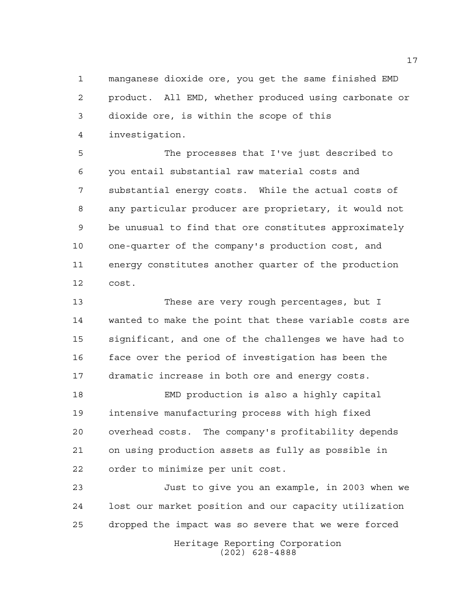manganese dioxide ore, you get the same finished EMD product. All EMD, whether produced using carbonate or dioxide ore, is within the scope of this investigation.

 The processes that I've just described to you entail substantial raw material costs and substantial energy costs. While the actual costs of any particular producer are proprietary, it would not be unusual to find that ore constitutes approximately one-quarter of the company's production cost, and energy constitutes another quarter of the production cost.

 These are very rough percentages, but I wanted to make the point that these variable costs are significant, and one of the challenges we have had to face over the period of investigation has been the dramatic increase in both ore and energy costs.

 EMD production is also a highly capital intensive manufacturing process with high fixed overhead costs. The company's profitability depends on using production assets as fully as possible in order to minimize per unit cost.

 Just to give you an example, in 2003 when we lost our market position and our capacity utilization dropped the impact was so severe that we were forced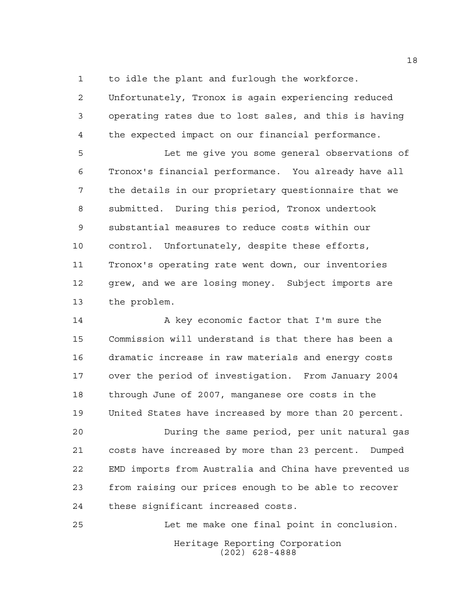to idle the plant and furlough the workforce.

 Unfortunately, Tronox is again experiencing reduced operating rates due to lost sales, and this is having the expected impact on our financial performance.

 Let me give you some general observations of Tronox's financial performance. You already have all the details in our proprietary questionnaire that we submitted. During this period, Tronox undertook substantial measures to reduce costs within our control. Unfortunately, despite these efforts, Tronox's operating rate went down, our inventories grew, and we are losing money. Subject imports are the problem.

14 A key economic factor that I'm sure the Commission will understand is that there has been a dramatic increase in raw materials and energy costs over the period of investigation. From January 2004 through June of 2007, manganese ore costs in the United States have increased by more than 20 percent.

 During the same period, per unit natural gas costs have increased by more than 23 percent. Dumped EMD imports from Australia and China have prevented us from raising our prices enough to be able to recover these significant increased costs.

Heritage Reporting Corporation (202) 628-4888 Let me make one final point in conclusion.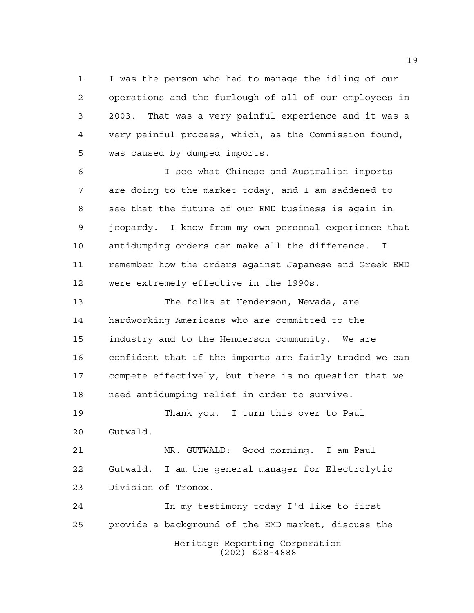I was the person who had to manage the idling of our operations and the furlough of all of our employees in 2003. That was a very painful experience and it was a very painful process, which, as the Commission found, was caused by dumped imports.

 I see what Chinese and Australian imports are doing to the market today, and I am saddened to see that the future of our EMD business is again in jeopardy. I know from my own personal experience that antidumping orders can make all the difference. I remember how the orders against Japanese and Greek EMD were extremely effective in the 1990s.

 The folks at Henderson, Nevada, are hardworking Americans who are committed to the industry and to the Henderson community. We are confident that if the imports are fairly traded we can compete effectively, but there is no question that we need antidumping relief in order to survive.

 Thank you. I turn this over to Paul Gutwald.

 MR. GUTWALD: Good morning. I am Paul Gutwald. I am the general manager for Electrolytic Division of Tronox.

Heritage Reporting Corporation (202) 628-4888 In my testimony today I'd like to first provide a background of the EMD market, discuss the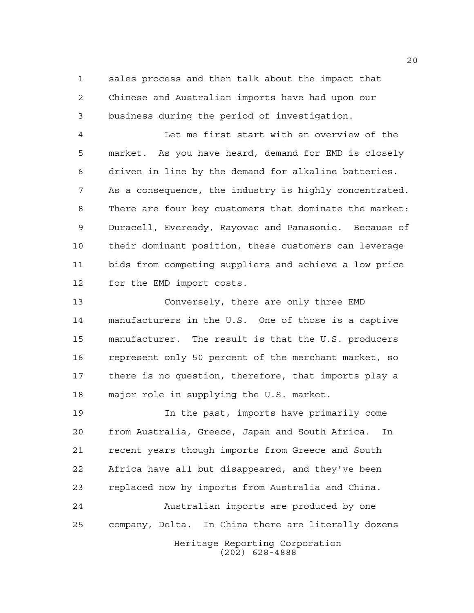sales process and then talk about the impact that Chinese and Australian imports have had upon our business during the period of investigation.

 Let me first start with an overview of the market. As you have heard, demand for EMD is closely driven in line by the demand for alkaline batteries. As a consequence, the industry is highly concentrated. There are four key customers that dominate the market: Duracell, Eveready, Rayovac and Panasonic. Because of their dominant position, these customers can leverage bids from competing suppliers and achieve a low price for the EMD import costs.

 Conversely, there are only three EMD manufacturers in the U.S. One of those is a captive manufacturer. The result is that the U.S. producers represent only 50 percent of the merchant market, so there is no question, therefore, that imports play a major role in supplying the U.S. market.

Heritage Reporting Corporation (202) 628-4888 In the past, imports have primarily come from Australia, Greece, Japan and South Africa. In recent years though imports from Greece and South Africa have all but disappeared, and they've been replaced now by imports from Australia and China. Australian imports are produced by one company, Delta. In China there are literally dozens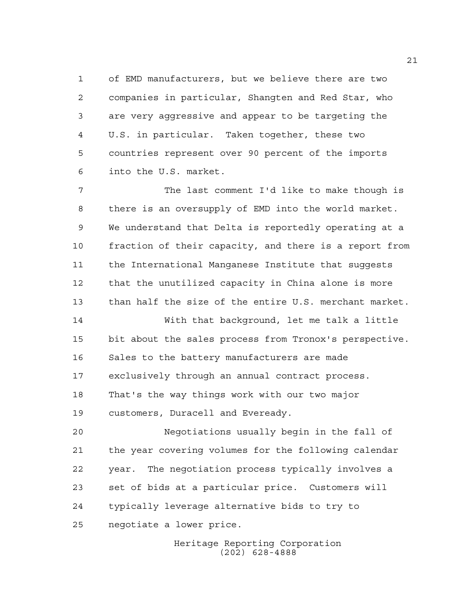of EMD manufacturers, but we believe there are two companies in particular, Shangten and Red Star, who are very aggressive and appear to be targeting the U.S. in particular. Taken together, these two countries represent over 90 percent of the imports into the U.S. market.

 The last comment I'd like to make though is there is an oversupply of EMD into the world market. We understand that Delta is reportedly operating at a fraction of their capacity, and there is a report from the International Manganese Institute that suggests that the unutilized capacity in China alone is more than half the size of the entire U.S. merchant market.

 With that background, let me talk a little bit about the sales process from Tronox's perspective. Sales to the battery manufacturers are made exclusively through an annual contract process. That's the way things work with our two major customers, Duracell and Eveready.

 Negotiations usually begin in the fall of the year covering volumes for the following calendar year. The negotiation process typically involves a set of bids at a particular price. Customers will typically leverage alternative bids to try to negotiate a lower price.

> Heritage Reporting Corporation (202) 628-4888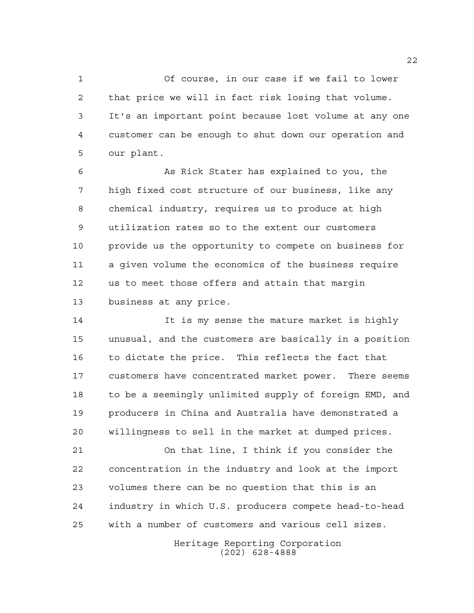Of course, in our case if we fail to lower that price we will in fact risk losing that volume. It's an important point because lost volume at any one customer can be enough to shut down our operation and our plant.

 As Rick Stater has explained to you, the high fixed cost structure of our business, like any chemical industry, requires us to produce at high utilization rates so to the extent our customers provide us the opportunity to compete on business for a given volume the economics of the business require us to meet those offers and attain that margin business at any price.

 It is my sense the mature market is highly unusual, and the customers are basically in a position to dictate the price. This reflects the fact that customers have concentrated market power. There seems to be a seemingly unlimited supply of foreign EMD, and producers in China and Australia have demonstrated a willingness to sell in the market at dumped prices.

 On that line, I think if you consider the concentration in the industry and look at the import volumes there can be no question that this is an industry in which U.S. producers compete head-to-head with a number of customers and various cell sizes.

> Heritage Reporting Corporation (202) 628-4888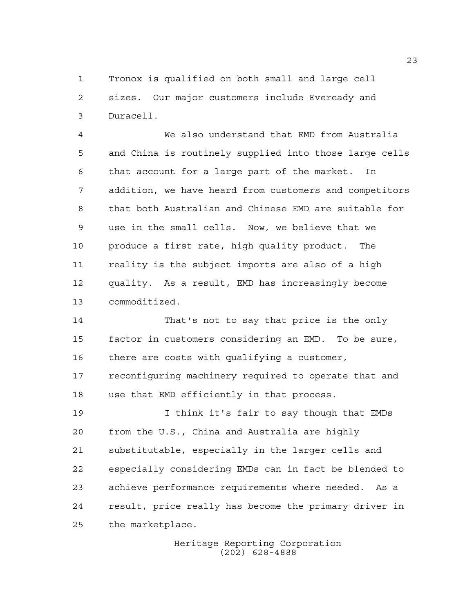Tronox is qualified on both small and large cell sizes. Our major customers include Eveready and Duracell.

 We also understand that EMD from Australia and China is routinely supplied into those large cells that account for a large part of the market. In addition, we have heard from customers and competitors that both Australian and Chinese EMD are suitable for use in the small cells. Now, we believe that we produce a first rate, high quality product. The reality is the subject imports are also of a high quality. As a result, EMD has increasingly become commoditized.

 That's not to say that price is the only factor in customers considering an EMD. To be sure, there are costs with qualifying a customer, reconfiguring machinery required to operate that and use that EMD efficiently in that process.

 I think it's fair to say though that EMDs from the U.S., China and Australia are highly substitutable, especially in the larger cells and especially considering EMDs can in fact be blended to achieve performance requirements where needed. As a result, price really has become the primary driver in the marketplace.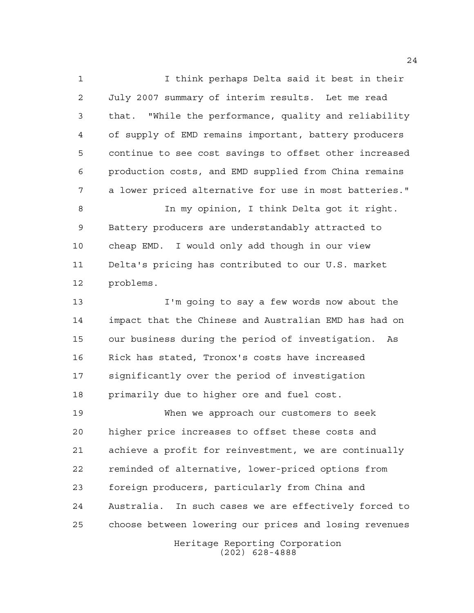I think perhaps Delta said it best in their July 2007 summary of interim results. Let me read that. "While the performance, quality and reliability of supply of EMD remains important, battery producers continue to see cost savings to offset other increased production costs, and EMD supplied from China remains a lower priced alternative for use in most batteries."

 In my opinion, I think Delta got it right. Battery producers are understandably attracted to cheap EMD. I would only add though in our view Delta's pricing has contributed to our U.S. market problems.

 I'm going to say a few words now about the impact that the Chinese and Australian EMD has had on our business during the period of investigation. As Rick has stated, Tronox's costs have increased significantly over the period of investigation primarily due to higher ore and fuel cost.

 When we approach our customers to seek higher price increases to offset these costs and achieve a profit for reinvestment, we are continually reminded of alternative, lower-priced options from foreign producers, particularly from China and Australia. In such cases we are effectively forced to choose between lowering our prices and losing revenues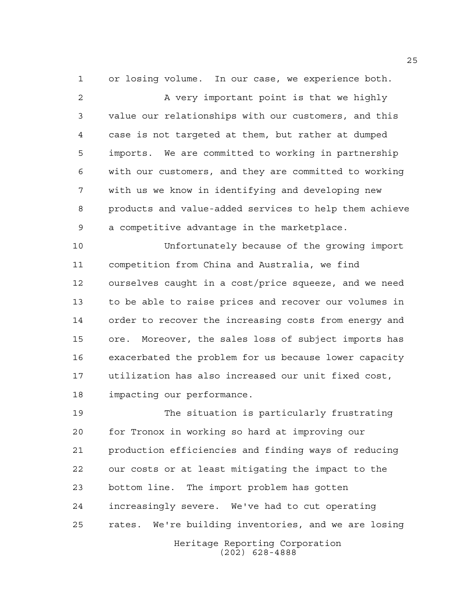or losing volume. In our case, we experience both.

2 A very important point is that we highly value our relationships with our customers, and this case is not targeted at them, but rather at dumped imports. We are committed to working in partnership with our customers, and they are committed to working with us we know in identifying and developing new products and value-added services to help them achieve a competitive advantage in the marketplace.

 Unfortunately because of the growing import competition from China and Australia, we find ourselves caught in a cost/price squeeze, and we need to be able to raise prices and recover our volumes in order to recover the increasing costs from energy and ore. Moreover, the sales loss of subject imports has exacerbated the problem for us because lower capacity utilization has also increased our unit fixed cost, impacting our performance.

 The situation is particularly frustrating for Tronox in working so hard at improving our production efficiencies and finding ways of reducing our costs or at least mitigating the impact to the bottom line. The import problem has gotten increasingly severe. We've had to cut operating rates. We're building inventories, and we are losing

Heritage Reporting Corporation (202) 628-4888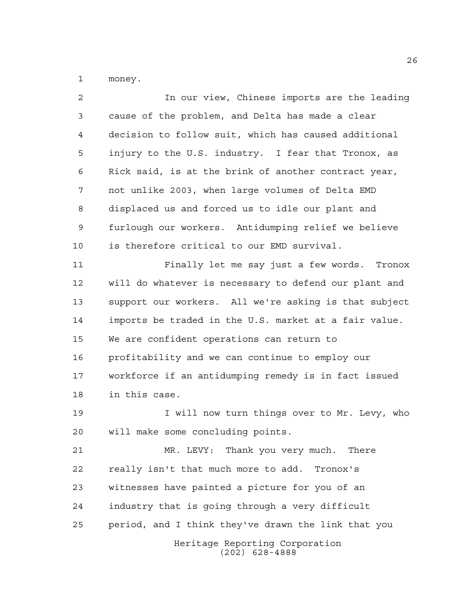money.

| 2              | In our view, Chinese imports are the leading          |
|----------------|-------------------------------------------------------|
| 3              | cause of the problem, and Delta has made a clear      |
| $\overline{4}$ | decision to follow suit, which has caused additional  |
| 5              | injury to the U.S. industry. I fear that Tronox, as   |
| 6              | Rick said, is at the brink of another contract year,  |
| 7              | not unlike 2003, when large volumes of Delta EMD      |
| 8              | displaced us and forced us to idle our plant and      |
| 9              | furlough our workers. Antidumping relief we believe   |
| 10             | is therefore critical to our EMD survival.            |
| 11             | Finally let me say just a few words. Tronox           |
| 12             | will do whatever is necessary to defend our plant and |
| 13             | support our workers. All we're asking is that subject |
| 14             | imports be traded in the U.S. market at a fair value. |
| 15             | We are confident operations can return to             |
| 16             | profitability and we can continue to employ our       |
| 17             | workforce if an antidumping remedy is in fact issued  |
| 18             | in this case.                                         |
| 19             | I will now turn things over to Mr. Levy, who          |
| 20             | will make some concluding points.                     |
| 21             | MR. LEVY: Thank you very much. There                  |
| 22             | really isn't that much more to add. Tronox's          |
| 23             | witnesses have painted a picture for you of an        |
| 24             | industry that is going through a very difficult       |
| 25             | period, and I think they've drawn the link that you   |
|                | Heritage Reporting Corporation<br>$(202)$ 628-4888    |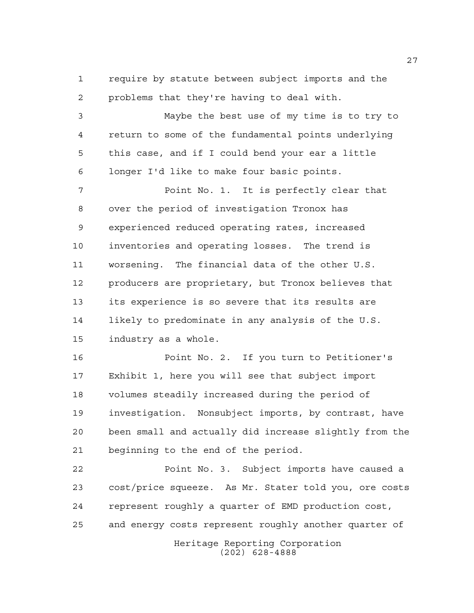require by statute between subject imports and the problems that they're having to deal with.

 Maybe the best use of my time is to try to return to some of the fundamental points underlying this case, and if I could bend your ear a little longer I'd like to make four basic points.

**Point No. 1.** It is perfectly clear that over the period of investigation Tronox has experienced reduced operating rates, increased inventories and operating losses. The trend is worsening. The financial data of the other U.S. producers are proprietary, but Tronox believes that its experience is so severe that its results are likely to predominate in any analysis of the U.S. industry as a whole.

 Point No. 2. If you turn to Petitioner's Exhibit 1, here you will see that subject import volumes steadily increased during the period of investigation. Nonsubject imports, by contrast, have been small and actually did increase slightly from the beginning to the end of the period.

 Point No. 3. Subject imports have caused a cost/price squeeze. As Mr. Stater told you, ore costs represent roughly a quarter of EMD production cost, and energy costs represent roughly another quarter of

Heritage Reporting Corporation (202) 628-4888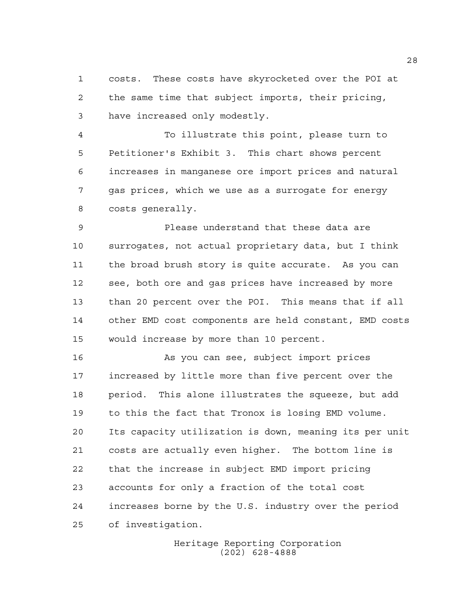costs. These costs have skyrocketed over the POI at the same time that subject imports, their pricing, have increased only modestly.

 To illustrate this point, please turn to Petitioner's Exhibit 3. This chart shows percent increases in manganese ore import prices and natural gas prices, which we use as a surrogate for energy costs generally.

 Please understand that these data are surrogates, not actual proprietary data, but I think the broad brush story is quite accurate. As you can see, both ore and gas prices have increased by more than 20 percent over the POI. This means that if all other EMD cost components are held constant, EMD costs would increase by more than 10 percent.

 As you can see, subject import prices increased by little more than five percent over the period. This alone illustrates the squeeze, but add to this the fact that Tronox is losing EMD volume. Its capacity utilization is down, meaning its per unit costs are actually even higher. The bottom line is that the increase in subject EMD import pricing accounts for only a fraction of the total cost increases borne by the U.S. industry over the period of investigation.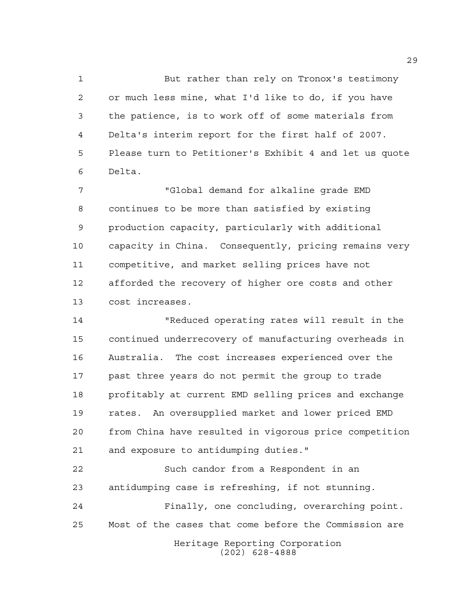But rather than rely on Tronox's testimony or much less mine, what I'd like to do, if you have the patience, is to work off of some materials from Delta's interim report for the first half of 2007. Please turn to Petitioner's Exhibit 4 and let us quote Delta.

 "Global demand for alkaline grade EMD continues to be more than satisfied by existing production capacity, particularly with additional capacity in China. Consequently, pricing remains very competitive, and market selling prices have not afforded the recovery of higher ore costs and other cost increases.

 "Reduced operating rates will result in the continued underrecovery of manufacturing overheads in Australia. The cost increases experienced over the past three years do not permit the group to trade profitably at current EMD selling prices and exchange rates. An oversupplied market and lower priced EMD from China have resulted in vigorous price competition and exposure to antidumping duties."

Heritage Reporting Corporation Such candor from a Respondent in an antidumping case is refreshing, if not stunning. Finally, one concluding, overarching point. Most of the cases that come before the Commission are

(202) 628-4888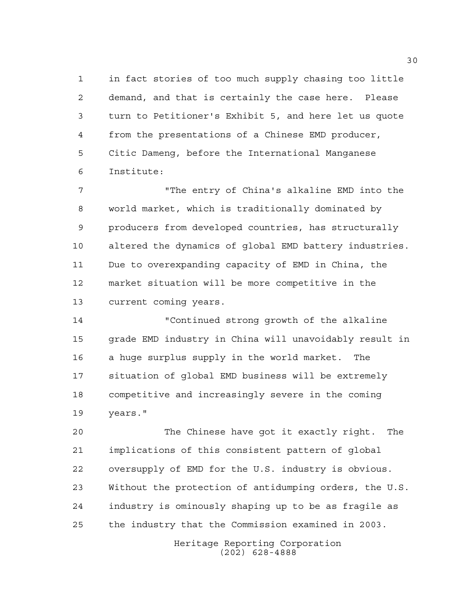in fact stories of too much supply chasing too little demand, and that is certainly the case here. Please turn to Petitioner's Exhibit 5, and here let us quote from the presentations of a Chinese EMD producer, Citic Dameng, before the International Manganese Institute:

 "The entry of China's alkaline EMD into the world market, which is traditionally dominated by producers from developed countries, has structurally altered the dynamics of global EMD battery industries. Due to overexpanding capacity of EMD in China, the market situation will be more competitive in the current coming years.

 "Continued strong growth of the alkaline grade EMD industry in China will unavoidably result in a huge surplus supply in the world market. The situation of global EMD business will be extremely competitive and increasingly severe in the coming years."

 The Chinese have got it exactly right. The implications of this consistent pattern of global oversupply of EMD for the U.S. industry is obvious. Without the protection of antidumping orders, the U.S. industry is ominously shaping up to be as fragile as the industry that the Commission examined in 2003.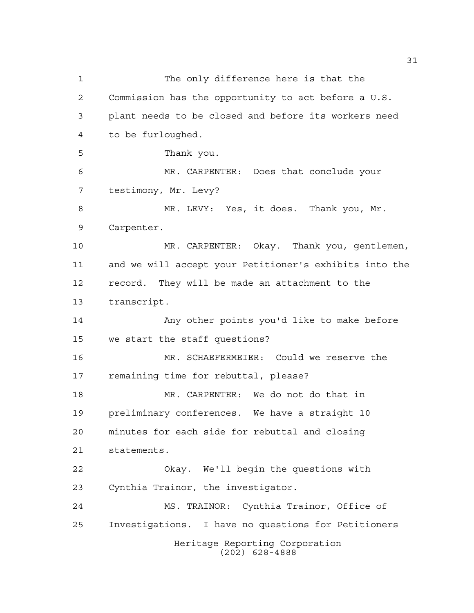Heritage Reporting Corporation (202) 628-4888 The only difference here is that the Commission has the opportunity to act before a U.S. plant needs to be closed and before its workers need to be furloughed. Thank you. MR. CARPENTER: Does that conclude your testimony, Mr. Levy? MR. LEVY: Yes, it does. Thank you, Mr. Carpenter. MR. CARPENTER: Okay. Thank you, gentlemen, and we will accept your Petitioner's exhibits into the record. They will be made an attachment to the transcript. Any other points you'd like to make before we start the staff questions? MR. SCHAEFERMEIER: Could we reserve the remaining time for rebuttal, please? MR. CARPENTER: We do not do that in preliminary conferences. We have a straight 10 minutes for each side for rebuttal and closing statements. Okay. We'll begin the questions with Cynthia Trainor, the investigator. MS. TRAINOR: Cynthia Trainor, Office of Investigations. I have no questions for Petitioners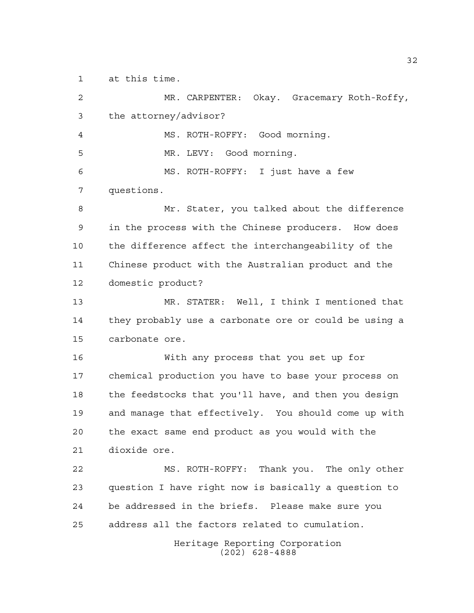at this time.

Heritage Reporting Corporation (202) 628-4888 MR. CARPENTER: Okay. Gracemary Roth-Roffy, the attorney/advisor? MS. ROTH-ROFFY: Good morning. MR. LEVY: Good morning. MS. ROTH-ROFFY: I just have a few questions. Mr. Stater, you talked about the difference in the process with the Chinese producers. How does the difference affect the interchangeability of the Chinese product with the Australian product and the domestic product? MR. STATER: Well, I think I mentioned that they probably use a carbonate ore or could be using a carbonate ore. With any process that you set up for chemical production you have to base your process on the feedstocks that you'll have, and then you design and manage that effectively. You should come up with the exact same end product as you would with the dioxide ore. MS. ROTH-ROFFY: Thank you. The only other question I have right now is basically a question to be addressed in the briefs. Please make sure you address all the factors related to cumulation.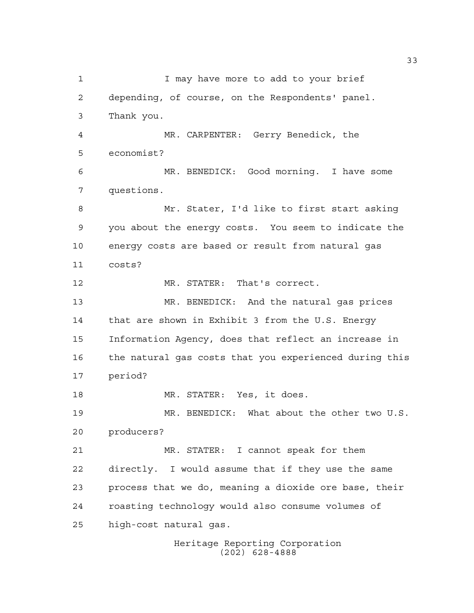1 I may have more to add to your brief depending, of course, on the Respondents' panel. Thank you. MR. CARPENTER: Gerry Benedick, the economist? MR. BENEDICK: Good morning. I have some questions. Mr. Stater, I'd like to first start asking you about the energy costs. You seem to indicate the energy costs are based or result from natural gas costs? 12 MR. STATER: That's correct. MR. BENEDICK: And the natural gas prices that are shown in Exhibit 3 from the U.S. Energy Information Agency, does that reflect an increase in the natural gas costs that you experienced during this period? MR. STATER: Yes, it does. MR. BENEDICK: What about the other two U.S. producers? MR. STATER: I cannot speak for them directly. I would assume that if they use the same process that we do, meaning a dioxide ore base, their roasting technology would also consume volumes of high-cost natural gas.

Heritage Reporting Corporation (202) 628-4888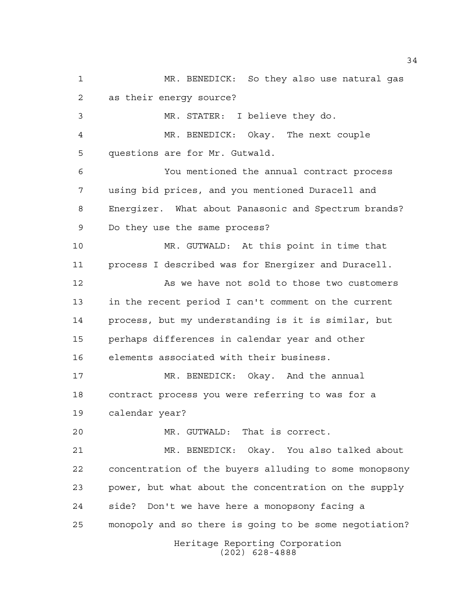Heritage Reporting Corporation MR. BENEDICK: So they also use natural gas as their energy source? MR. STATER: I believe they do. MR. BENEDICK: Okay. The next couple questions are for Mr. Gutwald. You mentioned the annual contract process using bid prices, and you mentioned Duracell and Energizer. What about Panasonic and Spectrum brands? Do they use the same process? MR. GUTWALD: At this point in time that process I described was for Energizer and Duracell. 12 As we have not sold to those two customers in the recent period I can't comment on the current process, but my understanding is it is similar, but perhaps differences in calendar year and other elements associated with their business. MR. BENEDICK: Okay. And the annual contract process you were referring to was for a calendar year? MR. GUTWALD: That is correct. MR. BENEDICK: Okay. You also talked about concentration of the buyers alluding to some monopsony power, but what about the concentration on the supply side? Don't we have here a monopsony facing a monopoly and so there is going to be some negotiation?

(202) 628-4888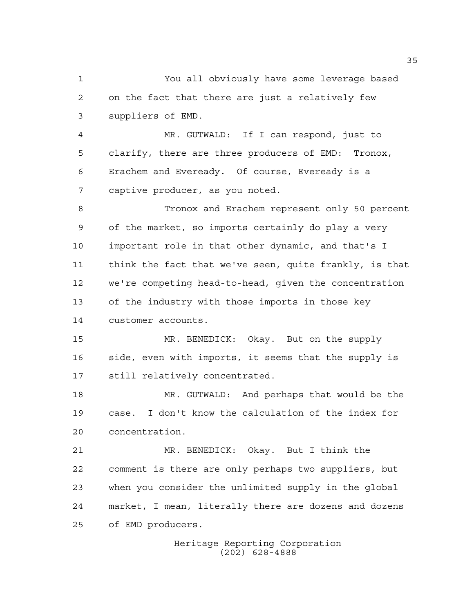You all obviously have some leverage based on the fact that there are just a relatively few suppliers of EMD.

 MR. GUTWALD: If I can respond, just to clarify, there are three producers of EMD: Tronox, Erachem and Eveready. Of course, Eveready is a captive producer, as you noted.

 Tronox and Erachem represent only 50 percent of the market, so imports certainly do play a very important role in that other dynamic, and that's I think the fact that we've seen, quite frankly, is that we're competing head-to-head, given the concentration of the industry with those imports in those key customer accounts.

 MR. BENEDICK: Okay. But on the supply side, even with imports, it seems that the supply is still relatively concentrated.

 MR. GUTWALD: And perhaps that would be the case. I don't know the calculation of the index for concentration.

 MR. BENEDICK: Okay. But I think the comment is there are only perhaps two suppliers, but when you consider the unlimited supply in the global market, I mean, literally there are dozens and dozens of EMD producers.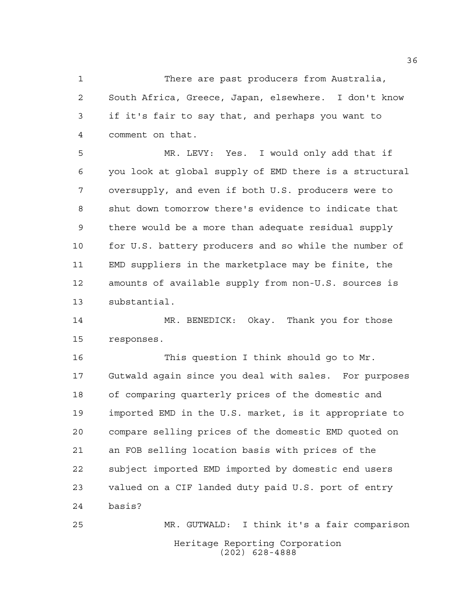There are past producers from Australia, South Africa, Greece, Japan, elsewhere. I don't know if it's fair to say that, and perhaps you want to comment on that.

 MR. LEVY: Yes. I would only add that if you look at global supply of EMD there is a structural oversupply, and even if both U.S. producers were to shut down tomorrow there's evidence to indicate that there would be a more than adequate residual supply 10 for U.S. battery producers and so while the number of EMD suppliers in the marketplace may be finite, the amounts of available supply from non-U.S. sources is substantial.

 MR. BENEDICK: Okay. Thank you for those responses.

 This question I think should go to Mr. Gutwald again since you deal with sales. For purposes of comparing quarterly prices of the domestic and imported EMD in the U.S. market, is it appropriate to compare selling prices of the domestic EMD quoted on an FOB selling location basis with prices of the subject imported EMD imported by domestic end users valued on a CIF landed duty paid U.S. port of entry basis?

Heritage Reporting Corporation (202) 628-4888 MR. GUTWALD: I think it's a fair comparison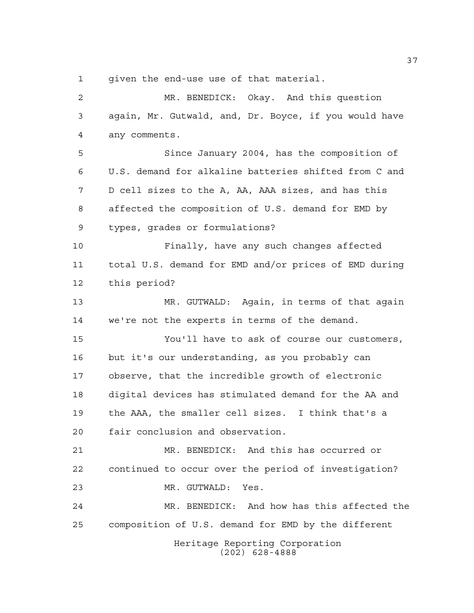given the end-use use of that material.

Heritage Reporting Corporation (202) 628-4888 MR. BENEDICK: Okay. And this question again, Mr. Gutwald, and, Dr. Boyce, if you would have any comments. Since January 2004, has the composition of U.S. demand for alkaline batteries shifted from C and D cell sizes to the A, AA, AAA sizes, and has this affected the composition of U.S. demand for EMD by types, grades or formulations? Finally, have any such changes affected total U.S. demand for EMD and/or prices of EMD during this period? MR. GUTWALD: Again, in terms of that again we're not the experts in terms of the demand. You'll have to ask of course our customers, but it's our understanding, as you probably can observe, that the incredible growth of electronic digital devices has stimulated demand for the AA and the AAA, the smaller cell sizes. I think that's a fair conclusion and observation. MR. BENEDICK: And this has occurred or continued to occur over the period of investigation? MR. GUTWALD: Yes. MR. BENEDICK: And how has this affected the composition of U.S. demand for EMD by the different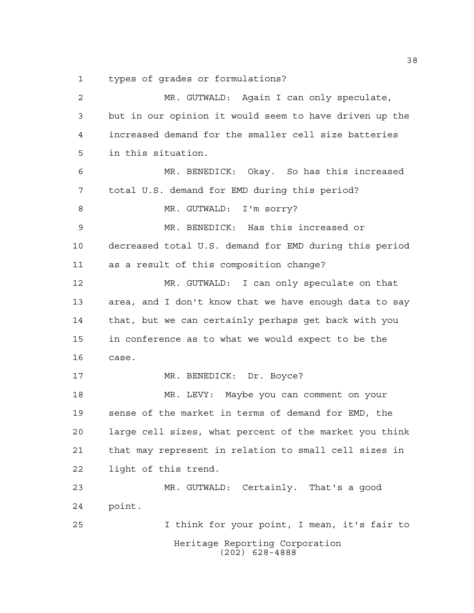types of grades or formulations?

Heritage Reporting Corporation (202) 628-4888 MR. GUTWALD: Again I can only speculate, but in our opinion it would seem to have driven up the increased demand for the smaller cell size batteries in this situation. MR. BENEDICK: Okay. So has this increased total U.S. demand for EMD during this period? 8 MR. GUTWALD: I'm sorry? MR. BENEDICK: Has this increased or decreased total U.S. demand for EMD during this period as a result of this composition change? MR. GUTWALD: I can only speculate on that area, and I don't know that we have enough data to say that, but we can certainly perhaps get back with you in conference as to what we would expect to be the case. 17 MR. BENEDICK: Dr. Boyce? MR. LEVY: Maybe you can comment on your sense of the market in terms of demand for EMD, the large cell sizes, what percent of the market you think that may represent in relation to small cell sizes in light of this trend. MR. GUTWALD: Certainly. That's a good point. I think for your point, I mean, it's fair to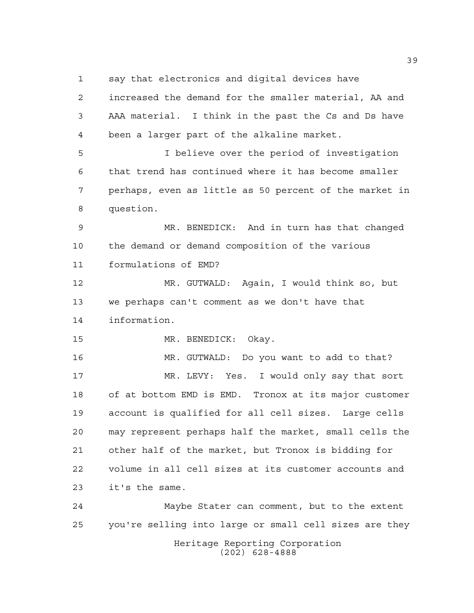say that electronics and digital devices have

Heritage Reporting Corporation (202) 628-4888 increased the demand for the smaller material, AA and AAA material. I think in the past the Cs and Ds have been a larger part of the alkaline market. I believe over the period of investigation that trend has continued where it has become smaller perhaps, even as little as 50 percent of the market in question. MR. BENEDICK: And in turn has that changed the demand or demand composition of the various formulations of EMD? MR. GUTWALD: Again, I would think so, but we perhaps can't comment as we don't have that information. MR. BENEDICK: Okay. MR. GUTWALD: Do you want to add to that? MR. LEVY: Yes. I would only say that sort of at bottom EMD is EMD. Tronox at its major customer account is qualified for all cell sizes. Large cells may represent perhaps half the market, small cells the other half of the market, but Tronox is bidding for volume in all cell sizes at its customer accounts and it's the same. Maybe Stater can comment, but to the extent you're selling into large or small cell sizes are they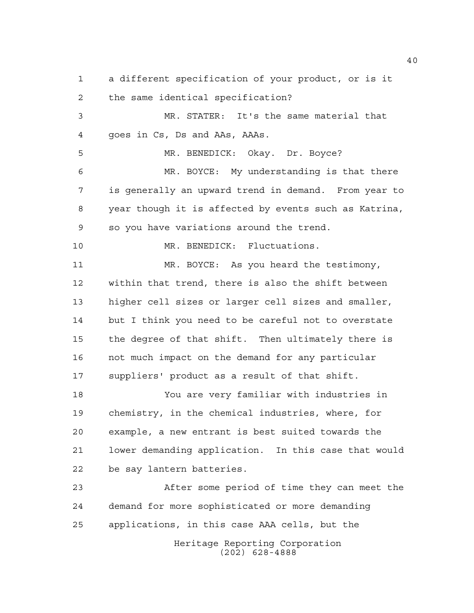the same identical specification? MR. STATER: It's the same material that goes in Cs, Ds and AAs, AAAs. 5 MR. BENEDICK: Okay. Dr. Boyce? MR. BOYCE: My understanding is that there is generally an upward trend in demand. From year to year though it is affected by events such as Katrina, so you have variations around the trend. MR. BENEDICK: Fluctuations. MR. BOYCE: As you heard the testimony,

a different specification of your product, or is it

 within that trend, there is also the shift between higher cell sizes or larger cell sizes and smaller, but I think you need to be careful not to overstate the degree of that shift. Then ultimately there is not much impact on the demand for any particular suppliers' product as a result of that shift.

 You are very familiar with industries in chemistry, in the chemical industries, where, for example, a new entrant is best suited towards the lower demanding application. In this case that would be say lantern batteries.

 After some period of time they can meet the demand for more sophisticated or more demanding applications, in this case AAA cells, but the

Heritage Reporting Corporation (202) 628-4888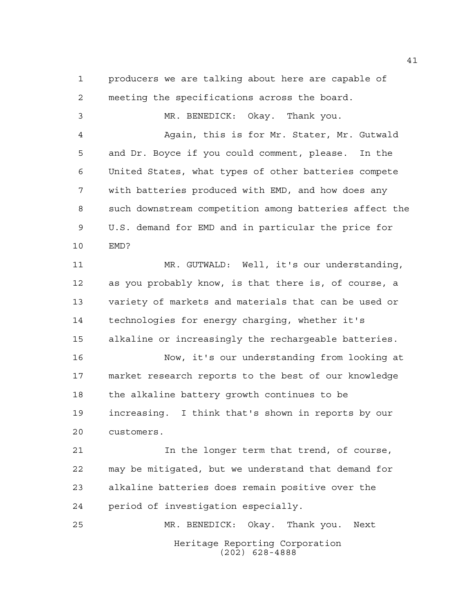producers we are talking about here are capable of meeting the specifications across the board. MR. BENEDICK: Okay. Thank you. Again, this is for Mr. Stater, Mr. Gutwald and Dr. Boyce if you could comment, please. In the United States, what types of other batteries compete with batteries produced with EMD, and how does any such downstream competition among batteries affect the U.S. demand for EMD and in particular the price for EMD? MR. GUTWALD: Well, it's our understanding, as you probably know, is that there is, of course, a variety of markets and materials that can be used or technologies for energy charging, whether it's alkaline or increasingly the rechargeable batteries. Now, it's our understanding from looking at market research reports to the best of our knowledge the alkaline battery growth continues to be increasing. I think that's shown in reports by our customers. In the longer term that trend, of course, may be mitigated, but we understand that demand for alkaline batteries does remain positive over the period of investigation especially.

Heritage Reporting Corporation (202) 628-4888 MR. BENEDICK: Okay. Thank you. Next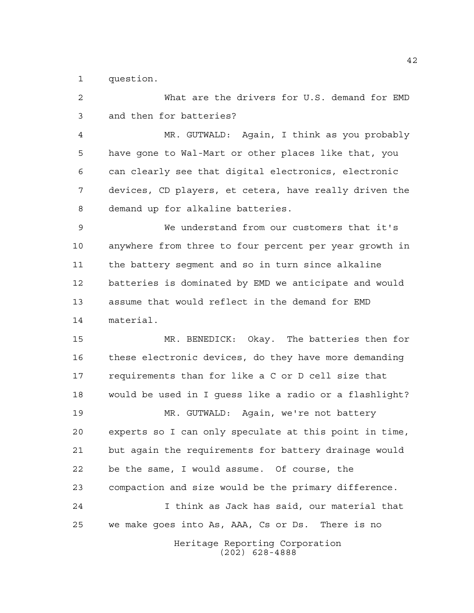question.

Heritage Reporting Corporation (202) 628-4888 What are the drivers for U.S. demand for EMD and then for batteries? MR. GUTWALD: Again, I think as you probably have gone to Wal-Mart or other places like that, you can clearly see that digital electronics, electronic devices, CD players, et cetera, have really driven the demand up for alkaline batteries. We understand from our customers that it's anywhere from three to four percent per year growth in the battery segment and so in turn since alkaline batteries is dominated by EMD we anticipate and would assume that would reflect in the demand for EMD material. MR. BENEDICK: Okay. The batteries then for these electronic devices, do they have more demanding requirements than for like a C or D cell size that would be used in I guess like a radio or a flashlight? MR. GUTWALD: Again, we're not battery experts so I can only speculate at this point in time, but again the requirements for battery drainage would be the same, I would assume. Of course, the compaction and size would be the primary difference. I think as Jack has said, our material that we make goes into As, AAA, Cs or Ds. There is no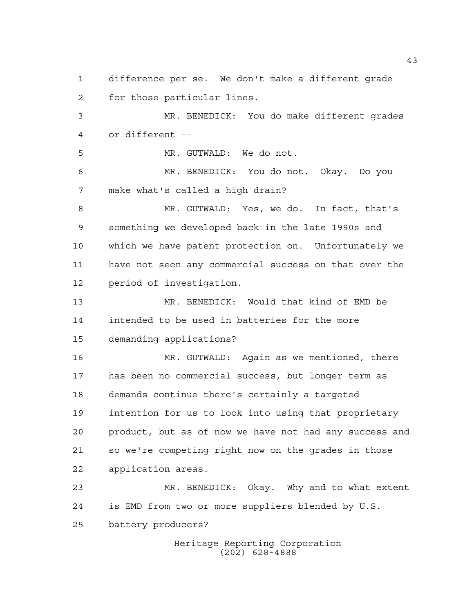Heritage Reporting Corporation (202) 628-4888 difference per se. We don't make a different grade for those particular lines. MR. BENEDICK: You do make different grades or different -- MR. GUTWALD: We do not. MR. BENEDICK: You do not. Okay. Do you make what's called a high drain? MR. GUTWALD: Yes, we do. In fact, that's something we developed back in the late 1990s and which we have patent protection on. Unfortunately we have not seen any commercial success on that over the period of investigation. MR. BENEDICK: Would that kind of EMD be intended to be used in batteries for the more demanding applications? MR. GUTWALD: Again as we mentioned, there has been no commercial success, but longer term as demands continue there's certainly a targeted intention for us to look into using that proprietary product, but as of now we have not had any success and so we're competing right now on the grades in those application areas. MR. BENEDICK: Okay. Why and to what extent is EMD from two or more suppliers blended by U.S. battery producers?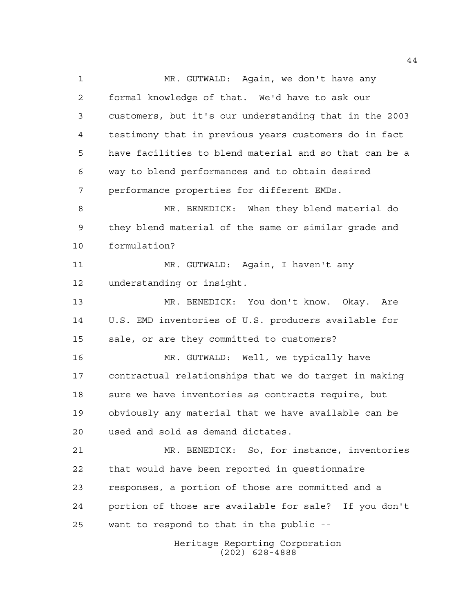Heritage Reporting Corporation MR. GUTWALD: Again, we don't have any formal knowledge of that. We'd have to ask our customers, but it's our understanding that in the 2003 testimony that in previous years customers do in fact have facilities to blend material and so that can be a way to blend performances and to obtain desired performance properties for different EMDs. MR. BENEDICK: When they blend material do they blend material of the same or similar grade and formulation? MR. GUTWALD: Again, I haven't any understanding or insight. MR. BENEDICK: You don't know. Okay. Are U.S. EMD inventories of U.S. producers available for sale, or are they committed to customers? MR. GUTWALD: Well, we typically have contractual relationships that we do target in making 18 sure we have inventories as contracts require, but obviously any material that we have available can be used and sold as demand dictates. MR. BENEDICK: So, for instance, inventories that would have been reported in questionnaire responses, a portion of those are committed and a portion of those are available for sale? If you don't want to respond to that in the public --

(202) 628-4888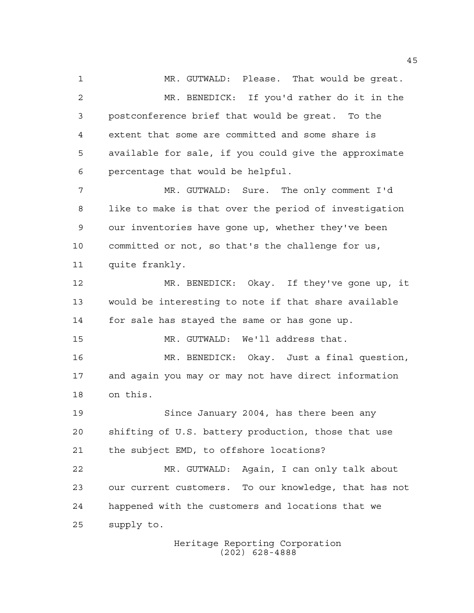MR. GUTWALD: Please. That would be great. MR. BENEDICK: If you'd rather do it in the postconference brief that would be great. To the extent that some are committed and some share is available for sale, if you could give the approximate percentage that would be helpful. MR. GUTWALD: Sure. The only comment I'd like to make is that over the period of investigation our inventories have gone up, whether they've been committed or not, so that's the challenge for us, quite frankly.

 MR. BENEDICK: Okay. If they've gone up, it would be interesting to note if that share available for sale has stayed the same or has gone up.

MR. GUTWALD: We'll address that.

 MR. BENEDICK: Okay. Just a final question, and again you may or may not have direct information on this.

 Since January 2004, has there been any shifting of U.S. battery production, those that use the subject EMD, to offshore locations?

 MR. GUTWALD: Again, I can only talk about our current customers. To our knowledge, that has not happened with the customers and locations that we supply to.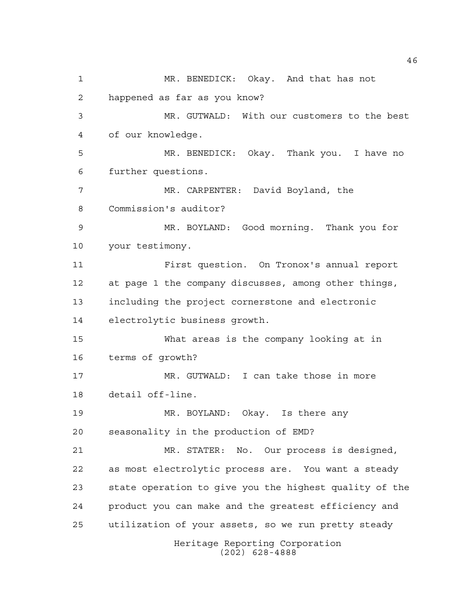Heritage Reporting Corporation (202) 628-4888 MR. BENEDICK: Okay. And that has not happened as far as you know? MR. GUTWALD: With our customers to the best of our knowledge. MR. BENEDICK: Okay. Thank you. I have no further questions. MR. CARPENTER: David Boyland, the Commission's auditor? MR. BOYLAND: Good morning. Thank you for your testimony. First question. On Tronox's annual report at page 1 the company discusses, among other things, including the project cornerstone and electronic electrolytic business growth. What areas is the company looking at in terms of growth? MR. GUTWALD: I can take those in more detail off-line. MR. BOYLAND: Okay. Is there any seasonality in the production of EMD? MR. STATER: No. Our process is designed, as most electrolytic process are. You want a steady state operation to give you the highest quality of the product you can make and the greatest efficiency and utilization of your assets, so we run pretty steady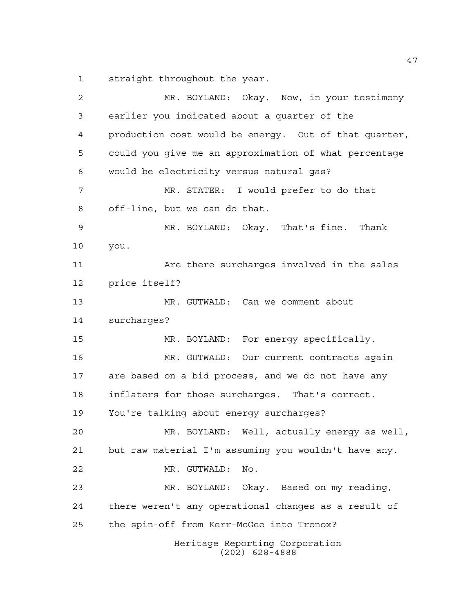straight throughout the year.

Heritage Reporting Corporation (202) 628-4888 MR. BOYLAND: Okay. Now, in your testimony earlier you indicated about a quarter of the production cost would be energy. Out of that quarter, could you give me an approximation of what percentage would be electricity versus natural gas? MR. STATER: I would prefer to do that off-line, but we can do that. MR. BOYLAND: Okay. That's fine. Thank you. 11 Are there surcharges involved in the sales price itself? MR. GUTWALD: Can we comment about surcharges? MR. BOYLAND: For energy specifically. MR. GUTWALD: Our current contracts again are based on a bid process, and we do not have any inflaters for those surcharges. That's correct. You're talking about energy surcharges? MR. BOYLAND: Well, actually energy as well, but raw material I'm assuming you wouldn't have any. MR. GUTWALD: No. MR. BOYLAND: Okay. Based on my reading, there weren't any operational changes as a result of the spin-off from Kerr-McGee into Tronox?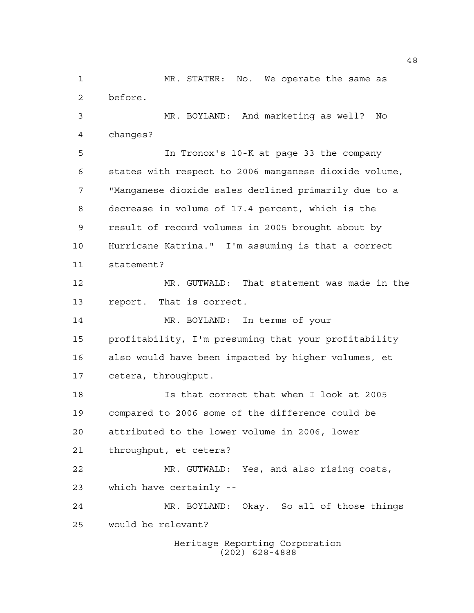Heritage Reporting Corporation (202) 628-4888 before. MR. BOYLAND: And marketing as well? No changes? In Tronox's 10-K at page 33 the company states with respect to 2006 manganese dioxide volume, "Manganese dioxide sales declined primarily due to a decrease in volume of 17.4 percent, which is the result of record volumes in 2005 brought about by Hurricane Katrina." I'm assuming is that a correct statement? MR. GUTWALD: That statement was made in the report. That is correct. MR. BOYLAND: In terms of your profitability, I'm presuming that your profitability also would have been impacted by higher volumes, et cetera, throughput. Is that correct that when I look at 2005 compared to 2006 some of the difference could be attributed to the lower volume in 2006, lower throughput, et cetera? MR. GUTWALD: Yes, and also rising costs, which have certainly -- MR. BOYLAND: Okay. So all of those things would be relevant?

MR. STATER: No. We operate the same as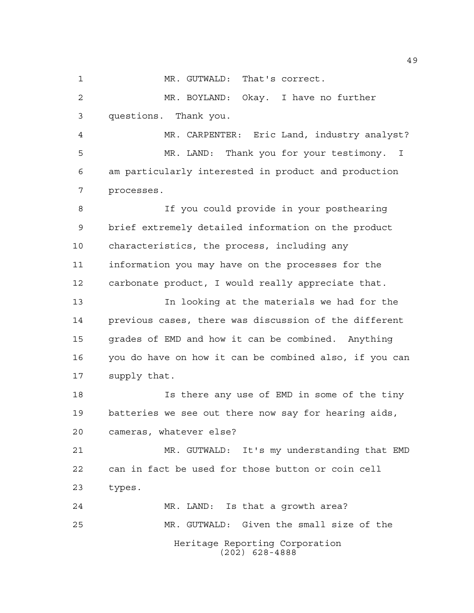1 MR. GUTWALD: That's correct.

 MR. BOYLAND: Okay. I have no further questions. Thank you.

 MR. CARPENTER: Eric Land, industry analyst? MR. LAND: Thank you for your testimony. I am particularly interested in product and production processes.

 If you could provide in your posthearing brief extremely detailed information on the product characteristics, the process, including any information you may have on the processes for the carbonate product, I would really appreciate that.

 In looking at the materials we had for the previous cases, there was discussion of the different grades of EMD and how it can be combined. Anything you do have on how it can be combined also, if you can supply that.

 Is there any use of EMD in some of the tiny batteries we see out there now say for hearing aids, cameras, whatever else?

 MR. GUTWALD: It's my understanding that EMD can in fact be used for those button or coin cell types.

Heritage Reporting Corporation (202) 628-4888 MR. LAND: Is that a growth area? MR. GUTWALD: Given the small size of the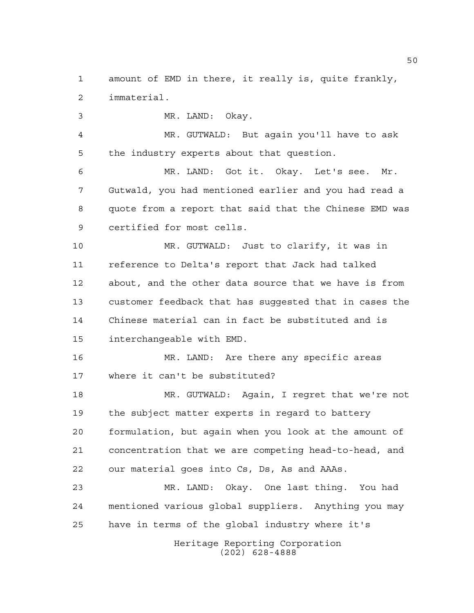amount of EMD in there, it really is, quite frankly, immaterial.

MR. LAND: Okay.

 MR. GUTWALD: But again you'll have to ask the industry experts about that question.

 MR. LAND: Got it. Okay. Let's see. Mr. Gutwald, you had mentioned earlier and you had read a quote from a report that said that the Chinese EMD was certified for most cells.

 MR. GUTWALD: Just to clarify, it was in reference to Delta's report that Jack had talked about, and the other data source that we have is from customer feedback that has suggested that in cases the Chinese material can in fact be substituted and is interchangeable with EMD.

 MR. LAND: Are there any specific areas where it can't be substituted?

 MR. GUTWALD: Again, I regret that we're not the subject matter experts in regard to battery formulation, but again when you look at the amount of concentration that we are competing head-to-head, and our material goes into Cs, Ds, As and AAAs.

 MR. LAND: Okay. One last thing. You had mentioned various global suppliers. Anything you may have in terms of the global industry where it's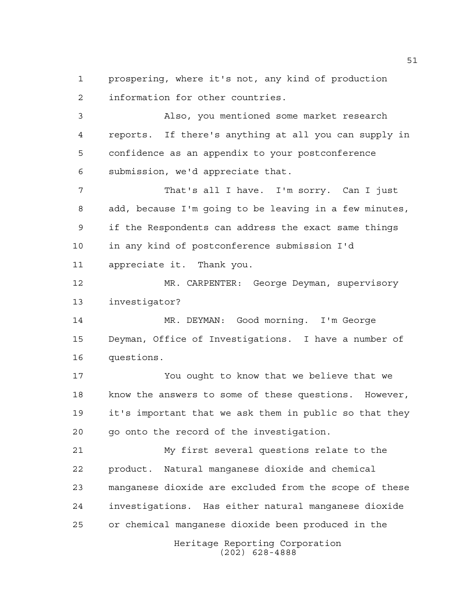prospering, where it's not, any kind of production information for other countries.

 Also, you mentioned some market research reports. If there's anything at all you can supply in confidence as an appendix to your postconference submission, we'd appreciate that.

 That's all I have. I'm sorry. Can I just add, because I'm going to be leaving in a few minutes, if the Respondents can address the exact same things in any kind of postconference submission I'd appreciate it. Thank you.

 MR. CARPENTER: George Deyman, supervisory investigator?

 MR. DEYMAN: Good morning. I'm George Deyman, Office of Investigations. I have a number of questions.

 You ought to know that we believe that we know the answers to some of these questions. However, it's important that we ask them in public so that they go onto the record of the investigation.

 My first several questions relate to the product. Natural manganese dioxide and chemical manganese dioxide are excluded from the scope of these investigations. Has either natural manganese dioxide or chemical manganese dioxide been produced in the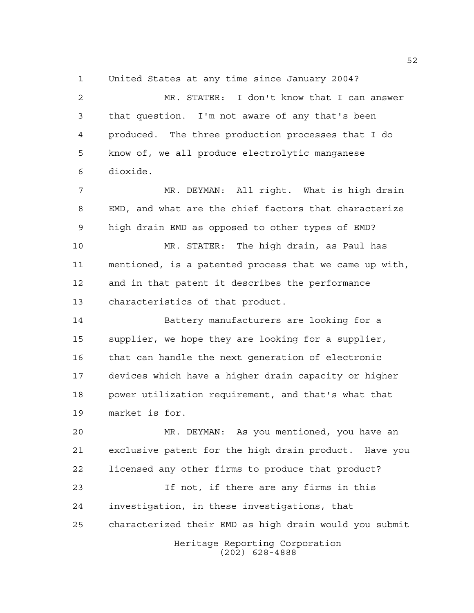United States at any time since January 2004?

 MR. STATER: I don't know that I can answer that question. I'm not aware of any that's been produced. The three production processes that I do know of, we all produce electrolytic manganese dioxide.

 MR. DEYMAN: All right. What is high drain EMD, and what are the chief factors that characterize high drain EMD as opposed to other types of EMD?

 MR. STATER: The high drain, as Paul has mentioned, is a patented process that we came up with, and in that patent it describes the performance characteristics of that product.

 Battery manufacturers are looking for a supplier, we hope they are looking for a supplier, that can handle the next generation of electronic devices which have a higher drain capacity or higher power utilization requirement, and that's what that market is for.

Heritage Reporting Corporation (202) 628-4888 MR. DEYMAN: As you mentioned, you have an exclusive patent for the high drain product. Have you licensed any other firms to produce that product? If not, if there are any firms in this investigation, in these investigations, that characterized their EMD as high drain would you submit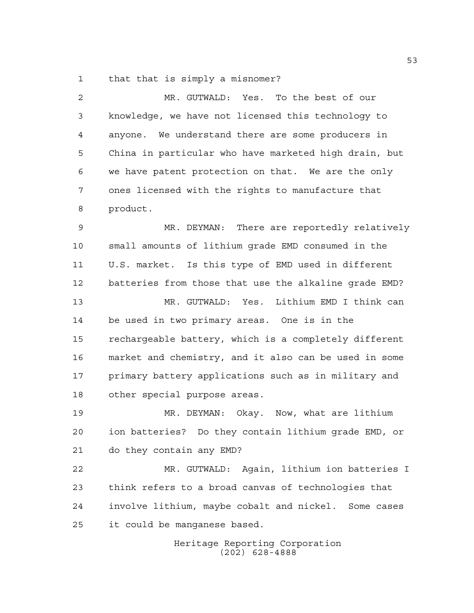that that is simply a misnomer?

| 2  | MR. GUTWALD: Yes. To the best of our                  |
|----|-------------------------------------------------------|
| 3  | knowledge, we have not licensed this technology to    |
| 4  | anyone. We understand there are some producers in     |
| 5  | China in particular who have marketed high drain, but |
| 6  | we have patent protection on that. We are the only    |
| 7  | ones licensed with the rights to manufacture that     |
| 8  | product.                                              |
| 9  | MR. DEYMAN: There are reportedly relatively           |
| 10 | small amounts of lithium grade EMD consumed in the    |
| 11 | U.S. market. Is this type of EMD used in different    |
| 12 | batteries from those that use the alkaline grade EMD? |
| 13 | MR. GUTWALD: Yes. Lithium EMD I think can             |
| 14 | be used in two primary areas. One is in the           |
| 15 | rechargeable battery, which is a completely different |
| 16 | market and chemistry, and it also can be used in some |
| 17 | primary battery applications such as in military and  |
| 18 | other special purpose areas.                          |
| 19 | MR. DEYMAN: Okay. Now, what are lithium               |
| 20 | ion batteries? Do they contain lithium grade EMD, or  |
| 21 | do they contain any EMD?                              |
| 22 | MR. GUTWALD: Again, lithium ion batteries I           |
| 23 | think refers to a broad canvas of technologies that   |
| 24 | involve lithium, maybe cobalt and nickel. Some cases  |
| 25 | it could be manganese based.                          |
|    | Heritage Reporting Corporation                        |

(202) 628-4888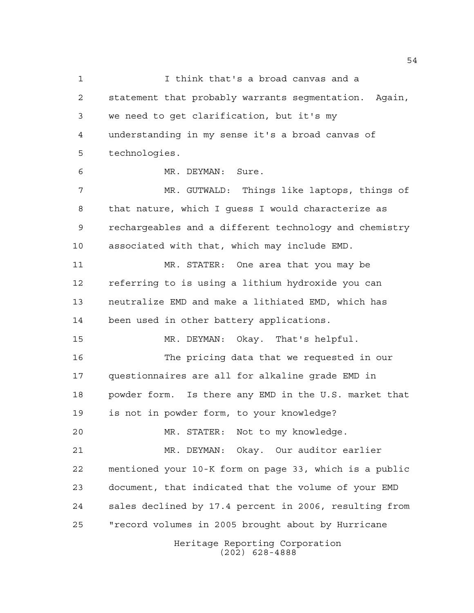Heritage Reporting Corporation I think that's a broad canvas and a statement that probably warrants segmentation. Again, we need to get clarification, but it's my understanding in my sense it's a broad canvas of technologies. MR. DEYMAN: Sure. MR. GUTWALD: Things like laptops, things of that nature, which I guess I would characterize as rechargeables and a different technology and chemistry associated with that, which may include EMD. MR. STATER: One area that you may be referring to is using a lithium hydroxide you can neutralize EMD and make a lithiated EMD, which has been used in other battery applications. MR. DEYMAN: Okay. That's helpful. The pricing data that we requested in our questionnaires are all for alkaline grade EMD in powder form. Is there any EMD in the U.S. market that is not in powder form, to your knowledge? MR. STATER: Not to my knowledge. MR. DEYMAN: Okay. Our auditor earlier mentioned your 10-K form on page 33, which is a public document, that indicated that the volume of your EMD sales declined by 17.4 percent in 2006, resulting from "record volumes in 2005 brought about by Hurricane

(202) 628-4888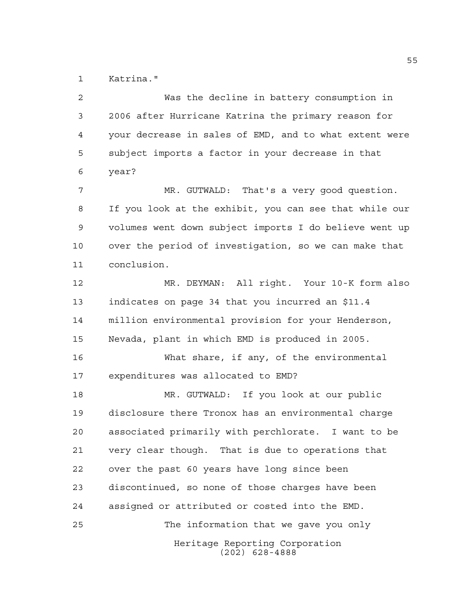Katrina."

Heritage Reporting Corporation (202) 628-4888 Was the decline in battery consumption in 2006 after Hurricane Katrina the primary reason for your decrease in sales of EMD, and to what extent were subject imports a factor in your decrease in that year? MR. GUTWALD: That's a very good question. If you look at the exhibit, you can see that while our volumes went down subject imports I do believe went up over the period of investigation, so we can make that conclusion. MR. DEYMAN: All right. Your 10-K form also indicates on page 34 that you incurred an \$11.4 million environmental provision for your Henderson, Nevada, plant in which EMD is produced in 2005. What share, if any, of the environmental expenditures was allocated to EMD? MR. GUTWALD: If you look at our public disclosure there Tronox has an environmental charge associated primarily with perchlorate. I want to be very clear though. That is due to operations that over the past 60 years have long since been discontinued, so none of those charges have been assigned or attributed or costed into the EMD. The information that we gave you only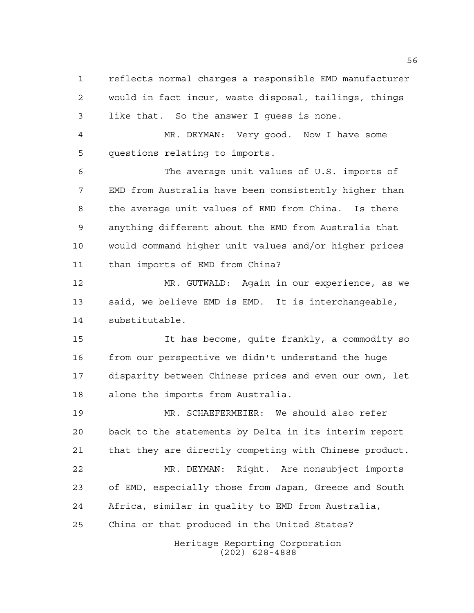reflects normal charges a responsible EMD manufacturer would in fact incur, waste disposal, tailings, things like that. So the answer I guess is none.

 MR. DEYMAN: Very good. Now I have some questions relating to imports.

 The average unit values of U.S. imports of EMD from Australia have been consistently higher than the average unit values of EMD from China. Is there anything different about the EMD from Australia that would command higher unit values and/or higher prices than imports of EMD from China?

 MR. GUTWALD: Again in our experience, as we said, we believe EMD is EMD. It is interchangeable, substitutable.

 It has become, quite frankly, a commodity so from our perspective we didn't understand the huge disparity between Chinese prices and even our own, let alone the imports from Australia.

 MR. SCHAEFERMEIER: We should also refer back to the statements by Delta in its interim report that they are directly competing with Chinese product. MR. DEYMAN: Right. Are nonsubject imports of EMD, especially those from Japan, Greece and South Africa, similar in quality to EMD from Australia, China or that produced in the United States?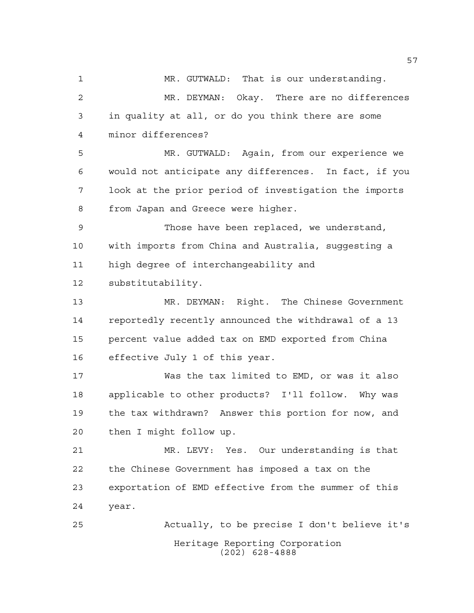MR. GUTWALD: That is our understanding. MR. DEYMAN: Okay. There are no differences in quality at all, or do you think there are some minor differences? MR. GUTWALD: Again, from our experience we would not anticipate any differences. In fact, if you look at the prior period of investigation the imports from Japan and Greece were higher. Those have been replaced, we understand, with imports from China and Australia, suggesting a high degree of interchangeability and substitutability. MR. DEYMAN: Right. The Chinese Government reportedly recently announced the withdrawal of a 13 percent value added tax on EMD exported from China effective July 1 of this year. Was the tax limited to EMD, or was it also applicable to other products? I'll follow. Why was the tax withdrawn? Answer this portion for now, and then I might follow up. MR. LEVY: Yes. Our understanding is that

 the Chinese Government has imposed a tax on the exportation of EMD effective from the summer of this year.

Heritage Reporting Corporation (202) 628-4888 Actually, to be precise I don't believe it's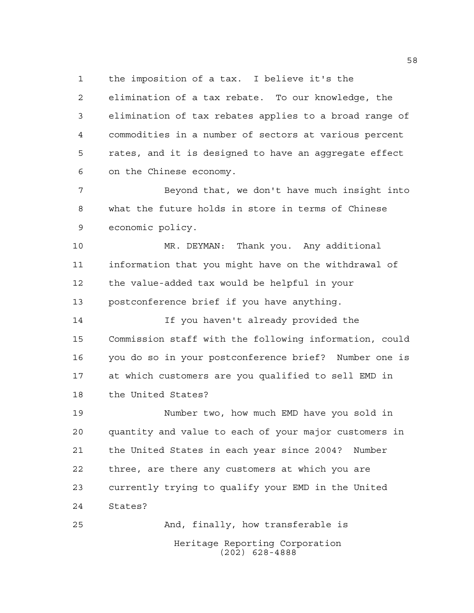the imposition of a tax. I believe it's the

 elimination of a tax rebate. To our knowledge, the elimination of tax rebates applies to a broad range of commodities in a number of sectors at various percent rates, and it is designed to have an aggregate effect on the Chinese economy.

7 Beyond that, we don't have much insight into what the future holds in store in terms of Chinese economic policy.

 MR. DEYMAN: Thank you. Any additional information that you might have on the withdrawal of the value-added tax would be helpful in your postconference brief if you have anything.

 If you haven't already provided the Commission staff with the following information, could you do so in your postconference brief? Number one is at which customers are you qualified to sell EMD in the United States?

 Number two, how much EMD have you sold in quantity and value to each of your major customers in the United States in each year since 2004? Number three, are there any customers at which you are currently trying to qualify your EMD in the United States?

Heritage Reporting Corporation (202) 628-4888 And, finally, how transferable is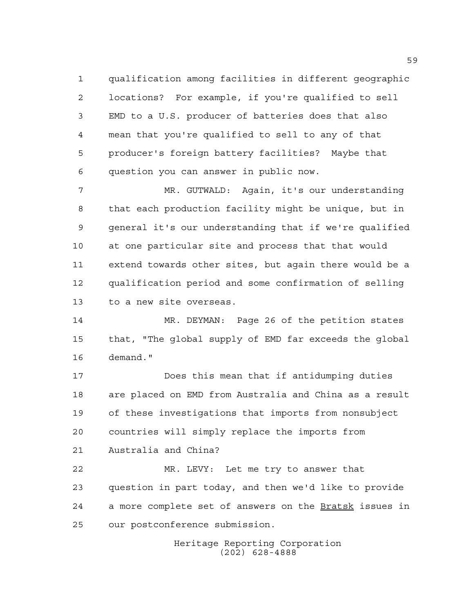qualification among facilities in different geographic locations? For example, if you're qualified to sell EMD to a U.S. producer of batteries does that also mean that you're qualified to sell to any of that producer's foreign battery facilities? Maybe that question you can answer in public now.

 MR. GUTWALD: Again, it's our understanding that each production facility might be unique, but in general it's our understanding that if we're qualified at one particular site and process that that would extend towards other sites, but again there would be a qualification period and some confirmation of selling to a new site overseas.

 MR. DEYMAN: Page 26 of the petition states that, "The global supply of EMD far exceeds the global demand."

 Does this mean that if antidumping duties are placed on EMD from Australia and China as a result of these investigations that imports from nonsubject countries will simply replace the imports from Australia and China?

 MR. LEVY: Let me try to answer that question in part today, and then we'd like to provide 24 a more complete set of answers on the Bratsk issues in our postconference submission.

> Heritage Reporting Corporation (202) 628-4888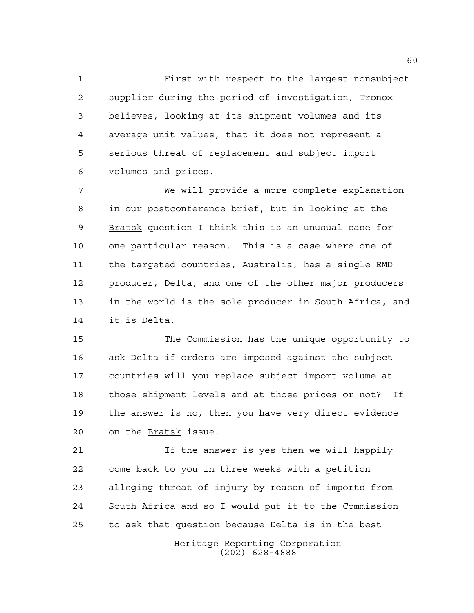First with respect to the largest nonsubject supplier during the period of investigation, Tronox believes, looking at its shipment volumes and its average unit values, that it does not represent a serious threat of replacement and subject import volumes and prices.

 We will provide a more complete explanation in our postconference brief, but in looking at the 9 Bratsk question I think this is an unusual case for one particular reason. This is a case where one of the targeted countries, Australia, has a single EMD producer, Delta, and one of the other major producers in the world is the sole producer in South Africa, and it is Delta.

 The Commission has the unique opportunity to ask Delta if orders are imposed against the subject countries will you replace subject import volume at those shipment levels and at those prices or not? If the answer is no, then you have very direct evidence on the Bratsk issue.

 If the answer is yes then we will happily come back to you in three weeks with a petition alleging threat of injury by reason of imports from South Africa and so I would put it to the Commission to ask that question because Delta is in the best

> Heritage Reporting Corporation (202) 628-4888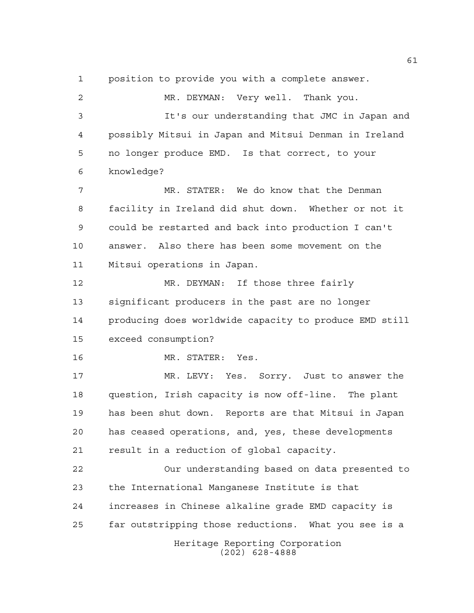position to provide you with a complete answer.

Heritage Reporting Corporation (202) 628-4888 MR. DEYMAN: Very well. Thank you. It's our understanding that JMC in Japan and possibly Mitsui in Japan and Mitsui Denman in Ireland no longer produce EMD. Is that correct, to your knowledge? MR. STATER: We do know that the Denman facility in Ireland did shut down. Whether or not it could be restarted and back into production I can't answer. Also there has been some movement on the Mitsui operations in Japan. MR. DEYMAN: If those three fairly significant producers in the past are no longer producing does worldwide capacity to produce EMD still exceed consumption? MR. STATER: Yes. MR. LEVY: Yes. Sorry. Just to answer the question, Irish capacity is now off-line. The plant has been shut down. Reports are that Mitsui in Japan has ceased operations, and, yes, these developments result in a reduction of global capacity. Our understanding based on data presented to the International Manganese Institute is that increases in Chinese alkaline grade EMD capacity is far outstripping those reductions. What you see is a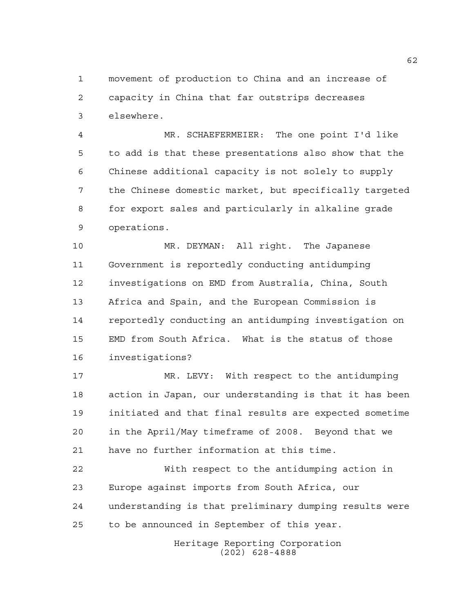movement of production to China and an increase of capacity in China that far outstrips decreases elsewhere.

 MR. SCHAEFERMEIER: The one point I'd like to add is that these presentations also show that the Chinese additional capacity is not solely to supply the Chinese domestic market, but specifically targeted for export sales and particularly in alkaline grade operations.

 MR. DEYMAN: All right. The Japanese Government is reportedly conducting antidumping investigations on EMD from Australia, China, South Africa and Spain, and the European Commission is reportedly conducting an antidumping investigation on EMD from South Africa. What is the status of those investigations?

 MR. LEVY: With respect to the antidumping action in Japan, our understanding is that it has been initiated and that final results are expected sometime in the April/May timeframe of 2008. Beyond that we have no further information at this time.

 With respect to the antidumping action in Europe against imports from South Africa, our understanding is that preliminary dumping results were to be announced in September of this year.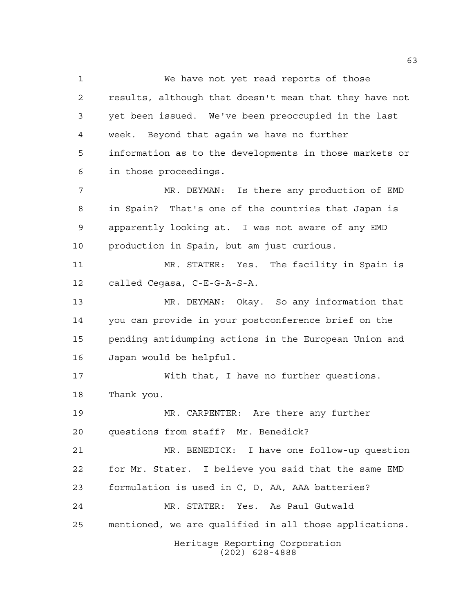Heritage Reporting Corporation (202) 628-4888 We have not yet read reports of those results, although that doesn't mean that they have not yet been issued. We've been preoccupied in the last week. Beyond that again we have no further information as to the developments in those markets or in those proceedings. MR. DEYMAN: Is there any production of EMD in Spain? That's one of the countries that Japan is apparently looking at. I was not aware of any EMD production in Spain, but am just curious. MR. STATER: Yes. The facility in Spain is called Cegasa, C-E-G-A-S-A. MR. DEYMAN: Okay. So any information that you can provide in your postconference brief on the pending antidumping actions in the European Union and Japan would be helpful. With that, I have no further questions. Thank you. MR. CARPENTER: Are there any further questions from staff? Mr. Benedick? MR. BENEDICK: I have one follow-up question for Mr. Stater. I believe you said that the same EMD formulation is used in C, D, AA, AAA batteries? MR. STATER: Yes. As Paul Gutwald mentioned, we are qualified in all those applications.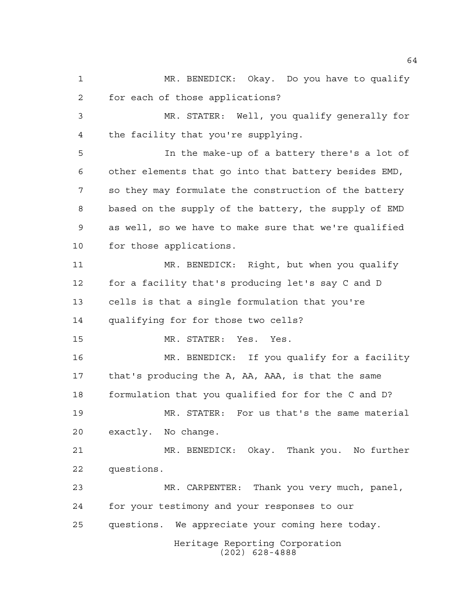MR. BENEDICK: Okay. Do you have to qualify for each of those applications? MR. STATER: Well, you qualify generally for the facility that you're supplying.

 In the make-up of a battery there's a lot of other elements that go into that battery besides EMD, so they may formulate the construction of the battery based on the supply of the battery, the supply of EMD as well, so we have to make sure that we're qualified for those applications.

 MR. BENEDICK: Right, but when you qualify for a facility that's producing let's say C and D cells is that a single formulation that you're qualifying for for those two cells?

MR. STATER: Yes. Yes.

 MR. BENEDICK: If you qualify for a facility that's producing the A, AA, AAA, is that the same formulation that you qualified for for the C and D?

 MR. STATER: For us that's the same material exactly. No change.

 MR. BENEDICK: Okay. Thank you. No further questions.

 MR. CARPENTER: Thank you very much, panel, for your testimony and your responses to our questions. We appreciate your coming here today.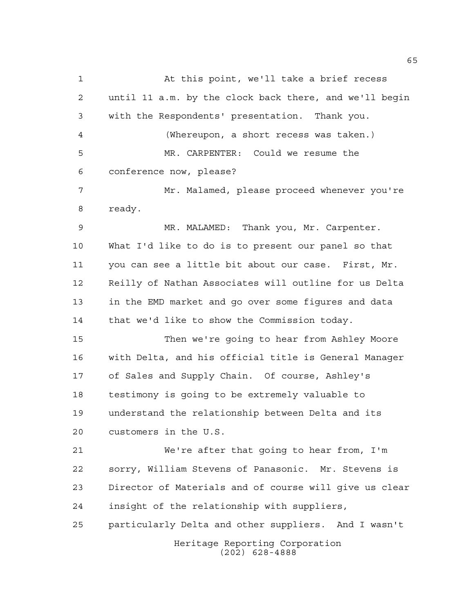Heritage Reporting Corporation (202) 628-4888 At this point, we'll take a brief recess until 11 a.m. by the clock back there, and we'll begin with the Respondents' presentation. Thank you. (Whereupon, a short recess was taken.) MR. CARPENTER: Could we resume the conference now, please? Mr. Malamed, please proceed whenever you're ready. MR. MALAMED: Thank you, Mr. Carpenter. What I'd like to do is to present our panel so that you can see a little bit about our case. First, Mr. Reilly of Nathan Associates will outline for us Delta in the EMD market and go over some figures and data that we'd like to show the Commission today. Then we're going to hear from Ashley Moore with Delta, and his official title is General Manager of Sales and Supply Chain. Of course, Ashley's testimony is going to be extremely valuable to understand the relationship between Delta and its customers in the U.S. We're after that going to hear from, I'm sorry, William Stevens of Panasonic. Mr. Stevens is Director of Materials and of course will give us clear insight of the relationship with suppliers, particularly Delta and other suppliers. And I wasn't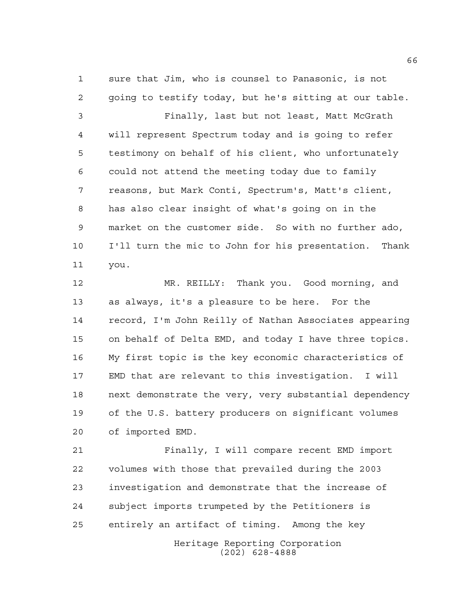sure that Jim, who is counsel to Panasonic, is not going to testify today, but he's sitting at our table.

 Finally, last but not least, Matt McGrath will represent Spectrum today and is going to refer testimony on behalf of his client, who unfortunately could not attend the meeting today due to family reasons, but Mark Conti, Spectrum's, Matt's client, has also clear insight of what's going on in the market on the customer side. So with no further ado, I'll turn the mic to John for his presentation. Thank you.

 MR. REILLY: Thank you. Good morning, and as always, it's a pleasure to be here. For the record, I'm John Reilly of Nathan Associates appearing on behalf of Delta EMD, and today I have three topics. My first topic is the key economic characteristics of EMD that are relevant to this investigation. I will next demonstrate the very, very substantial dependency of the U.S. battery producers on significant volumes of imported EMD.

 Finally, I will compare recent EMD import volumes with those that prevailed during the 2003 investigation and demonstrate that the increase of subject imports trumpeted by the Petitioners is entirely an artifact of timing. Among the key

> Heritage Reporting Corporation (202) 628-4888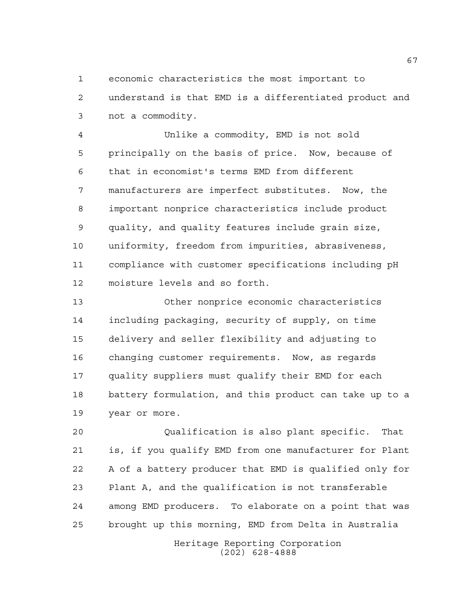economic characteristics the most important to

 understand is that EMD is a differentiated product and not a commodity.

 Unlike a commodity, EMD is not sold principally on the basis of price. Now, because of that in economist's terms EMD from different manufacturers are imperfect substitutes. Now, the important nonprice characteristics include product quality, and quality features include grain size, uniformity, freedom from impurities, abrasiveness, compliance with customer specifications including pH moisture levels and so forth.

 Other nonprice economic characteristics including packaging, security of supply, on time delivery and seller flexibility and adjusting to changing customer requirements. Now, as regards quality suppliers must qualify their EMD for each battery formulation, and this product can take up to a year or more.

 Qualification is also plant specific. That is, if you qualify EMD from one manufacturer for Plant A of a battery producer that EMD is qualified only for Plant A, and the qualification is not transferable among EMD producers. To elaborate on a point that was brought up this morning, EMD from Delta in Australia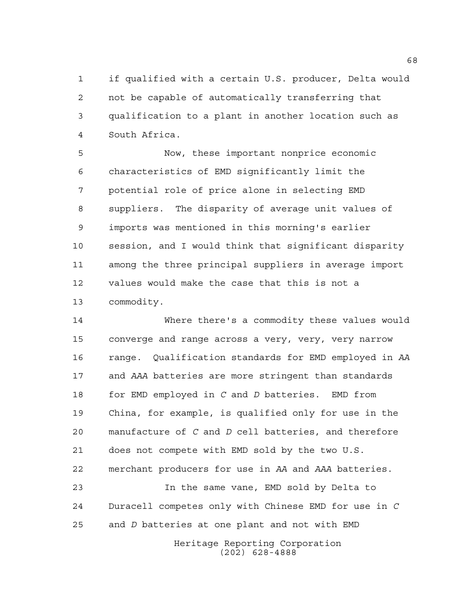if qualified with a certain U.S. producer, Delta would not be capable of automatically transferring that qualification to a plant in another location such as South Africa.

 Now, these important nonprice economic characteristics of EMD significantly limit the potential role of price alone in selecting EMD suppliers. The disparity of average unit values of imports was mentioned in this morning's earlier session, and I would think that significant disparity among the three principal suppliers in average import values would make the case that this is not a commodity.

 Where there's a commodity these values would converge and range across a very, very, very narrow range. Qualification standards for EMD employed in *AA* and *AAA* batteries are more stringent than standards for EMD employed in *C* and *D* batteries. EMD from China, for example, is qualified only for use in the manufacture of *C* and *D* cell batteries, and therefore does not compete with EMD sold by the two U.S. merchant producers for use in *AA* and *AAA* batteries. In the same vane, EMD sold by Delta to

 Duracell competes only with Chinese EMD for use in *C* and *D* batteries at one plant and not with EMD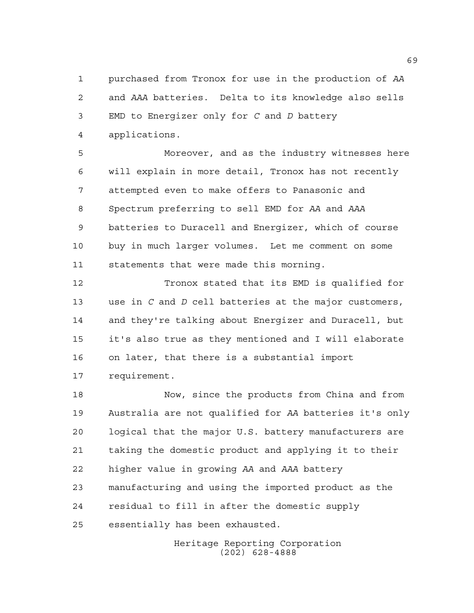purchased from Tronox for use in the production of *AA* and *AAA* batteries. Delta to its knowledge also sells EMD to Energizer only for *C* and *D* battery applications.

 Moreover, and as the industry witnesses here will explain in more detail, Tronox has not recently attempted even to make offers to Panasonic and Spectrum preferring to sell EMD for *AA* and *AAA* batteries to Duracell and Energizer, which of course buy in much larger volumes. Let me comment on some statements that were made this morning.

 Tronox stated that its EMD is qualified for use in *C* and *D* cell batteries at the major customers, and they're talking about Energizer and Duracell, but it's also true as they mentioned and I will elaborate on later, that there is a substantial import requirement.

 Now, since the products from China and from Australia are not qualified for *AA* batteries it's only logical that the major U.S. battery manufacturers are taking the domestic product and applying it to their higher value in growing *AA* and *AAA* battery manufacturing and using the imported product as the residual to fill in after the domestic supply essentially has been exhausted.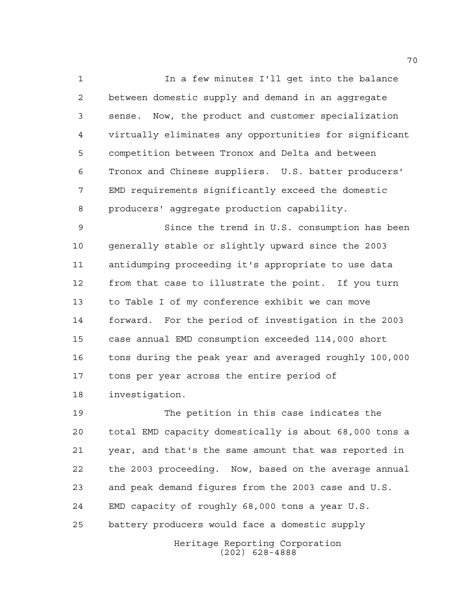In a few minutes I'll get into the balance between domestic supply and demand in an aggregate sense. Now, the product and customer specialization virtually eliminates any opportunities for significant competition between Tronox and Delta and between Tronox and Chinese suppliers. U.S. batter producers' EMD requirements significantly exceed the domestic producers' aggregate production capability.

 Since the trend in U.S. consumption has been generally stable or slightly upward since the 2003 antidumping proceeding it's appropriate to use data from that case to illustrate the point. If you turn to Table I of my conference exhibit we can move forward. For the period of investigation in the 2003 case annual EMD consumption exceeded 114,000 short tons during the peak year and averaged roughly 100,000 tons per year across the entire period of investigation.

 The petition in this case indicates the total EMD capacity domestically is about 68,000 tons a year, and that's the same amount that was reported in the 2003 proceeding. Now, based on the average annual and peak demand figures from the 2003 case and U.S. EMD capacity of roughly 68,000 tons a year U.S. battery producers would face a domestic supply

> Heritage Reporting Corporation (202) 628-4888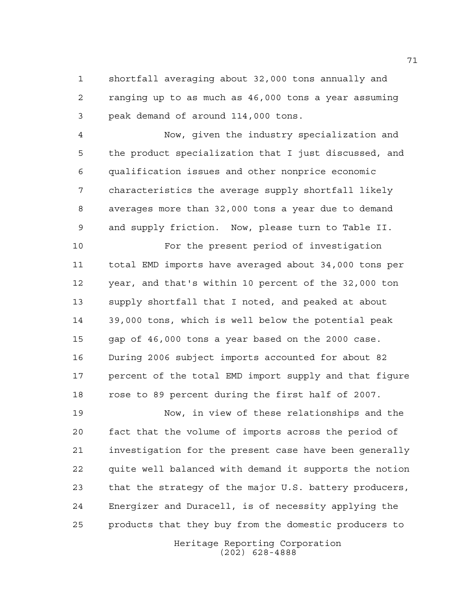shortfall averaging about 32,000 tons annually and ranging up to as much as 46,000 tons a year assuming peak demand of around 114,000 tons.

 Now, given the industry specialization and the product specialization that I just discussed, and qualification issues and other nonprice economic characteristics the average supply shortfall likely averages more than 32,000 tons a year due to demand and supply friction. Now, please turn to Table II.

 For the present period of investigation total EMD imports have averaged about 34,000 tons per year, and that's within 10 percent of the 32,000 ton supply shortfall that I noted, and peaked at about 39,000 tons, which is well below the potential peak gap of 46,000 tons a year based on the 2000 case. During 2006 subject imports accounted for about 82 17 percent of the total EMD import supply and that figure rose to 89 percent during the first half of 2007.

 Now, in view of these relationships and the fact that the volume of imports across the period of investigation for the present case have been generally quite well balanced with demand it supports the notion that the strategy of the major U.S. battery producers, Energizer and Duracell, is of necessity applying the products that they buy from the domestic producers to

Heritage Reporting Corporation (202) 628-4888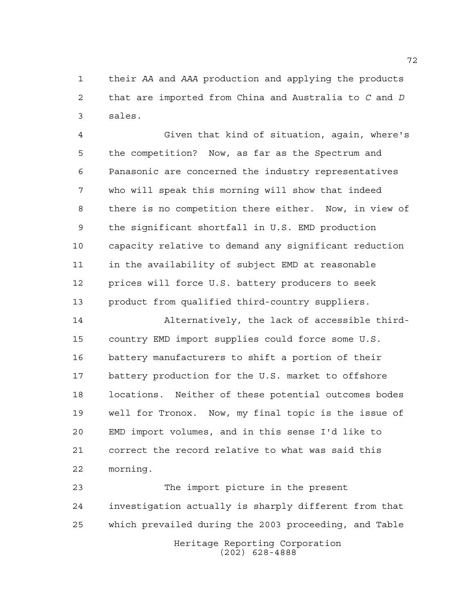their *AA* and *AAA* production and applying the products that are imported from China and Australia to *C* and *D* sales.

 Given that kind of situation, again, where's the competition? Now, as far as the Spectrum and Panasonic are concerned the industry representatives who will speak this morning will show that indeed there is no competition there either. Now, in view of the significant shortfall in U.S. EMD production capacity relative to demand any significant reduction in the availability of subject EMD at reasonable prices will force U.S. battery producers to seek product from qualified third-country suppliers.

 Alternatively, the lack of accessible third- country EMD import supplies could force some U.S. battery manufacturers to shift a portion of their battery production for the U.S. market to offshore locations. Neither of these potential outcomes bodes well for Tronox. Now, my final topic is the issue of EMD import volumes, and in this sense I'd like to correct the record relative to what was said this morning.

Heritage Reporting Corporation (202) 628-4888 The import picture in the present investigation actually is sharply different from that which prevailed during the 2003 proceeding, and Table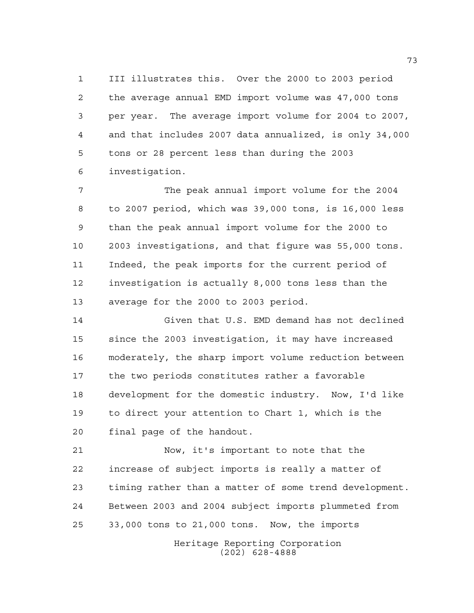III illustrates this. Over the 2000 to 2003 period the average annual EMD import volume was 47,000 tons per year. The average import volume for 2004 to 2007, and that includes 2007 data annualized, is only 34,000 tons or 28 percent less than during the 2003 investigation.

 The peak annual import volume for the 2004 to 2007 period, which was 39,000 tons, is 16,000 less than the peak annual import volume for the 2000 to 2003 investigations, and that figure was 55,000 tons. Indeed, the peak imports for the current period of investigation is actually 8,000 tons less than the average for the 2000 to 2003 period.

 Given that U.S. EMD demand has not declined since the 2003 investigation, it may have increased moderately, the sharp import volume reduction between the two periods constitutes rather a favorable development for the domestic industry. Now, I'd like to direct your attention to Chart 1, which is the final page of the handout.

 Now, it's important to note that the increase of subject imports is really a matter of timing rather than a matter of some trend development. Between 2003 and 2004 subject imports plummeted from 33,000 tons to 21,000 tons. Now, the imports

> Heritage Reporting Corporation (202) 628-4888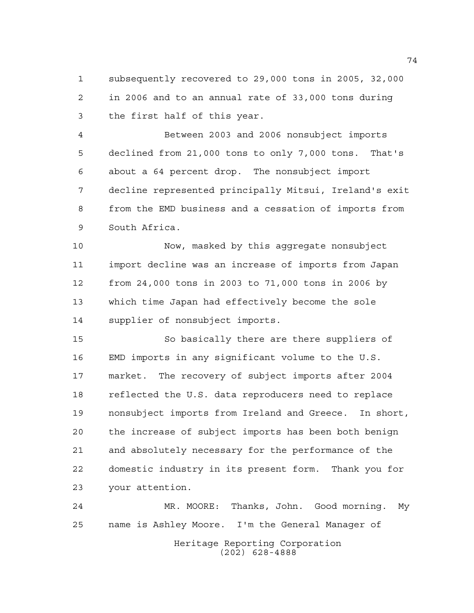subsequently recovered to 29,000 tons in 2005, 32,000 in 2006 and to an annual rate of 33,000 tons during the first half of this year.

 Between 2003 and 2006 nonsubject imports declined from 21,000 tons to only 7,000 tons. That's about a 64 percent drop. The nonsubject import decline represented principally Mitsui, Ireland's exit from the EMD business and a cessation of imports from South Africa.

 Now, masked by this aggregate nonsubject import decline was an increase of imports from Japan from 24,000 tons in 2003 to 71,000 tons in 2006 by which time Japan had effectively become the sole supplier of nonsubject imports.

 So basically there are there suppliers of EMD imports in any significant volume to the U.S. market. The recovery of subject imports after 2004 reflected the U.S. data reproducers need to replace nonsubject imports from Ireland and Greece. In short, the increase of subject imports has been both benign and absolutely necessary for the performance of the domestic industry in its present form. Thank you for your attention.

Heritage Reporting Corporation (202) 628-4888 MR. MOORE: Thanks, John. Good morning. My name is Ashley Moore. I'm the General Manager of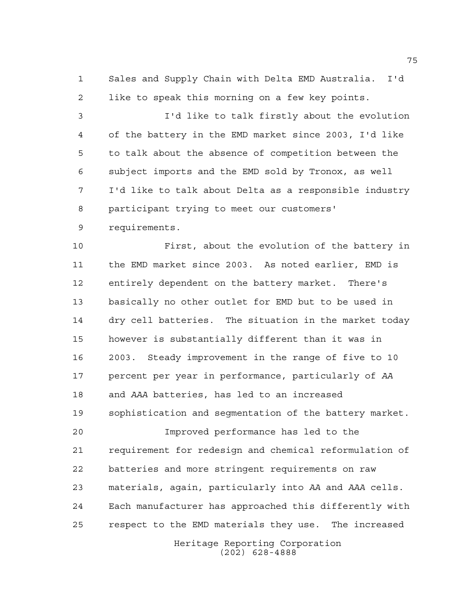Sales and Supply Chain with Delta EMD Australia. I'd like to speak this morning on a few key points.

 I'd like to talk firstly about the evolution of the battery in the EMD market since 2003, I'd like to talk about the absence of competition between the subject imports and the EMD sold by Tronox, as well I'd like to talk about Delta as a responsible industry participant trying to meet our customers'

requirements.

 First, about the evolution of the battery in the EMD market since 2003. As noted earlier, EMD is entirely dependent on the battery market. There's basically no other outlet for EMD but to be used in dry cell batteries. The situation in the market today however is substantially different than it was in 2003. Steady improvement in the range of five to 10 percent per year in performance, particularly of *AA* and *AAA* batteries, has led to an increased sophistication and segmentation of the battery market.

 Improved performance has led to the requirement for redesign and chemical reformulation of batteries and more stringent requirements on raw materials, again, particularly into *AA* and *AAA* cells. Each manufacturer has approached this differently with respect to the EMD materials they use. The increased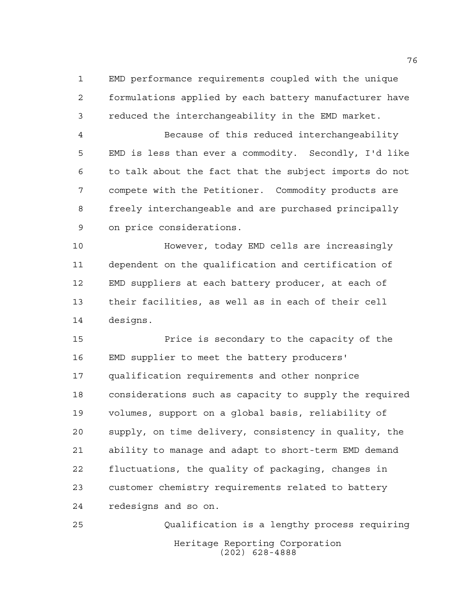EMD performance requirements coupled with the unique formulations applied by each battery manufacturer have reduced the interchangeability in the EMD market.

 Because of this reduced interchangeability EMD is less than ever a commodity. Secondly, I'd like to talk about the fact that the subject imports do not compete with the Petitioner. Commodity products are freely interchangeable and are purchased principally on price considerations.

 However, today EMD cells are increasingly dependent on the qualification and certification of EMD suppliers at each battery producer, at each of their facilities, as well as in each of their cell designs.

 Price is secondary to the capacity of the EMD supplier to meet the battery producers' qualification requirements and other nonprice considerations such as capacity to supply the required volumes, support on a global basis, reliability of supply, on time delivery, consistency in quality, the ability to manage and adapt to short-term EMD demand fluctuations, the quality of packaging, changes in customer chemistry requirements related to battery redesigns and so on.

Heritage Reporting Corporation (202) 628-4888 Qualification is a lengthy process requiring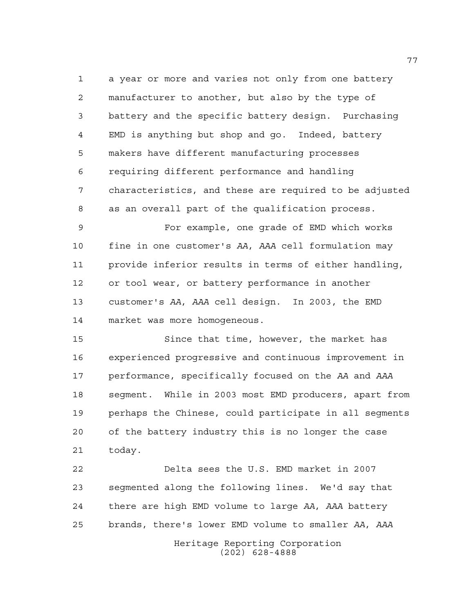a year or more and varies not only from one battery manufacturer to another, but also by the type of battery and the specific battery design. Purchasing EMD is anything but shop and go. Indeed, battery makers have different manufacturing processes requiring different performance and handling characteristics, and these are required to be adjusted as an overall part of the qualification process.

 For example, one grade of EMD which works fine in one customer's *AA*, *AAA* cell formulation may provide inferior results in terms of either handling, or tool wear, or battery performance in another customer's *AA*, *AAA* cell design. In 2003, the EMD market was more homogeneous.

 Since that time, however, the market has experienced progressive and continuous improvement in performance, specifically focused on the *AA* and *AAA* segment. While in 2003 most EMD producers, apart from perhaps the Chinese, could participate in all segments of the battery industry this is no longer the case today.

 Delta sees the U.S. EMD market in 2007 segmented along the following lines. We'd say that there are high EMD volume to large *AA*, *AAA* battery brands, there's lower EMD volume to smaller *AA*, *AAA*

Heritage Reporting Corporation (202) 628-4888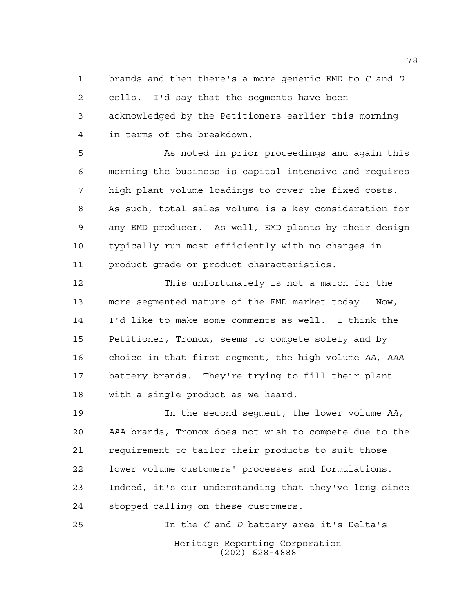brands and then there's a more generic EMD to *C* and *D* cells. I'd say that the segments have been acknowledged by the Petitioners earlier this morning in terms of the breakdown.

 As noted in prior proceedings and again this morning the business is capital intensive and requires high plant volume loadings to cover the fixed costs. As such, total sales volume is a key consideration for any EMD producer. As well, EMD plants by their design typically run most efficiently with no changes in product grade or product characteristics.

 This unfortunately is not a match for the more segmented nature of the EMD market today. Now, I'd like to make some comments as well. I think the Petitioner, Tronox, seems to compete solely and by choice in that first segment, the high volume *AA*, *AAA* battery brands. They're trying to fill their plant with a single product as we heard.

 In the second segment, the lower volume *AA*, *AAA* brands, Tronox does not wish to compete due to the requirement to tailor their products to suit those lower volume customers' processes and formulations. Indeed, it's our understanding that they've long since stopped calling on these customers.

Heritage Reporting Corporation (202) 628-4888 In the *C* and *D* battery area it's Delta's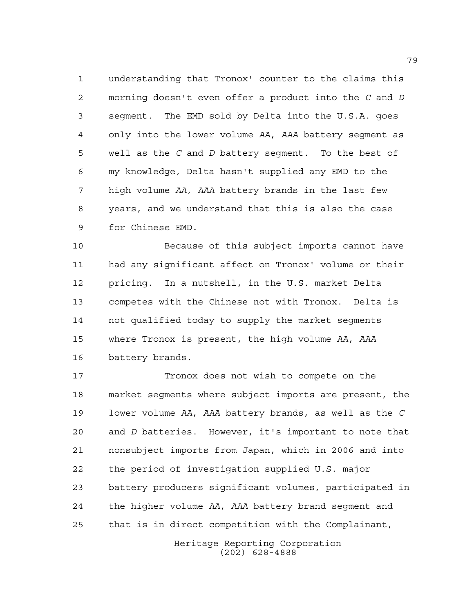understanding that Tronox' counter to the claims this morning doesn't even offer a product into the *C* and *D* segment. The EMD sold by Delta into the U.S.A. goes only into the lower volume *AA*, *AAA* battery segment as well as the *C* and *D* battery segment. To the best of my knowledge, Delta hasn't supplied any EMD to the high volume *AA*, *AAA* battery brands in the last few years, and we understand that this is also the case for Chinese EMD.

 Because of this subject imports cannot have had any significant affect on Tronox' volume or their pricing. In a nutshell, in the U.S. market Delta competes with the Chinese not with Tronox. Delta is not qualified today to supply the market segments where Tronox is present, the high volume *AA*, *AAA* battery brands.

 Tronox does not wish to compete on the market segments where subject imports are present, the lower volume *AA*, *AAA* battery brands, as well as the *C* and *D* batteries. However, it's important to note that nonsubject imports from Japan, which in 2006 and into the period of investigation supplied U.S. major battery producers significant volumes, participated in the higher volume *AA*, *AAA* battery brand segment and that is in direct competition with the Complainant,

> Heritage Reporting Corporation (202) 628-4888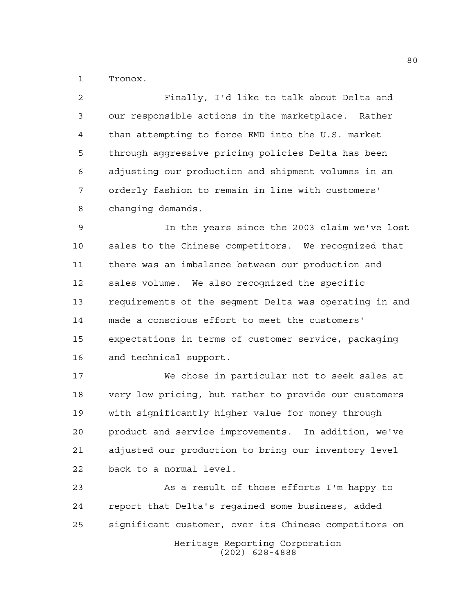Tronox.

 Finally, I'd like to talk about Delta and our responsible actions in the marketplace. Rather than attempting to force EMD into the U.S. market through aggressive pricing policies Delta has been adjusting our production and shipment volumes in an orderly fashion to remain in line with customers' changing demands.

 In the years since the 2003 claim we've lost sales to the Chinese competitors. We recognized that there was an imbalance between our production and sales volume. We also recognized the specific requirements of the segment Delta was operating in and made a conscious effort to meet the customers' expectations in terms of customer service, packaging and technical support.

 We chose in particular not to seek sales at very low pricing, but rather to provide our customers with significantly higher value for money through product and service improvements. In addition, we've adjusted our production to bring our inventory level back to a normal level.

 As a result of those efforts I'm happy to report that Delta's regained some business, added significant customer, over its Chinese competitors on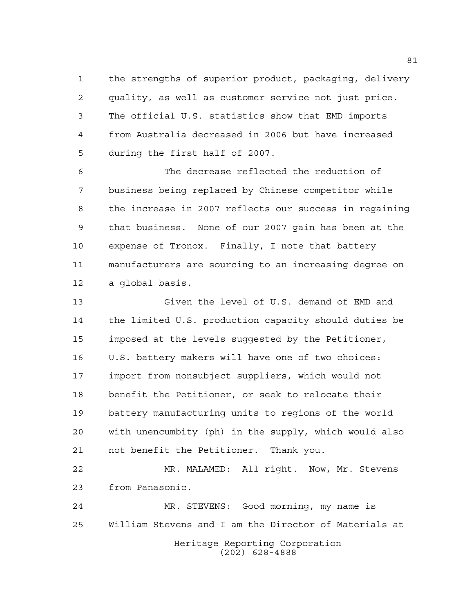the strengths of superior product, packaging, delivery quality, as well as customer service not just price. The official U.S. statistics show that EMD imports from Australia decreased in 2006 but have increased during the first half of 2007.

 The decrease reflected the reduction of business being replaced by Chinese competitor while the increase in 2007 reflects our success in regaining that business. None of our 2007 gain has been at the expense of Tronox. Finally, I note that battery manufacturers are sourcing to an increasing degree on a global basis.

 Given the level of U.S. demand of EMD and the limited U.S. production capacity should duties be imposed at the levels suggested by the Petitioner, U.S. battery makers will have one of two choices: import from nonsubject suppliers, which would not benefit the Petitioner, or seek to relocate their battery manufacturing units to regions of the world with unencumbity (ph) in the supply, which would also not benefit the Petitioner. Thank you.

 MR. MALAMED: All right. Now, Mr. Stevens from Panasonic.

Heritage Reporting Corporation (202) 628-4888 MR. STEVENS: Good morning, my name is William Stevens and I am the Director of Materials at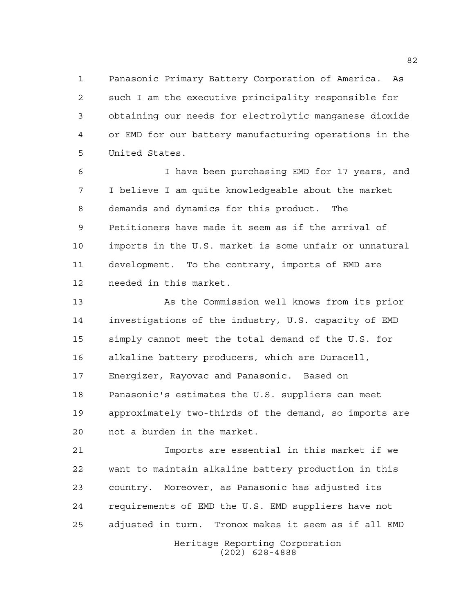Panasonic Primary Battery Corporation of America. As such I am the executive principality responsible for obtaining our needs for electrolytic manganese dioxide or EMD for our battery manufacturing operations in the United States.

 I have been purchasing EMD for 17 years, and I believe I am quite knowledgeable about the market demands and dynamics for this product. The Petitioners have made it seem as if the arrival of imports in the U.S. market is some unfair or unnatural development. To the contrary, imports of EMD are needed in this market.

 As the Commission well knows from its prior investigations of the industry, U.S. capacity of EMD simply cannot meet the total demand of the U.S. for alkaline battery producers, which are Duracell, Energizer, Rayovac and Panasonic. Based on Panasonic's estimates the U.S. suppliers can meet approximately two-thirds of the demand, so imports are not a burden in the market.

 Imports are essential in this market if we want to maintain alkaline battery production in this country. Moreover, as Panasonic has adjusted its requirements of EMD the U.S. EMD suppliers have not adjusted in turn. Tronox makes it seem as if all EMD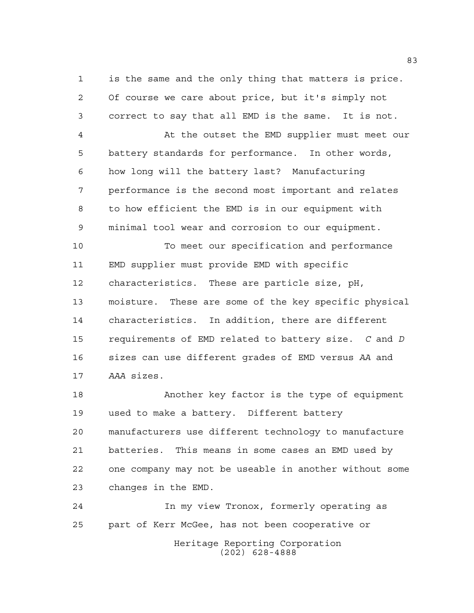is the same and the only thing that matters is price. Of course we care about price, but it's simply not correct to say that all EMD is the same. It is not.

 At the outset the EMD supplier must meet our battery standards for performance. In other words, how long will the battery last? Manufacturing performance is the second most important and relates to how efficient the EMD is in our equipment with minimal tool wear and corrosion to our equipment.

 To meet our specification and performance EMD supplier must provide EMD with specific characteristics. These are particle size, pH, moisture. These are some of the key specific physical characteristics. In addition, there are different requirements of EMD related to battery size. *C* and *D* sizes can use different grades of EMD versus *AA* and *AAA* sizes.

 Another key factor is the type of equipment used to make a battery. Different battery manufacturers use different technology to manufacture batteries. This means in some cases an EMD used by one company may not be useable in another without some changes in the EMD.

Heritage Reporting Corporation (202) 628-4888 In my view Tronox, formerly operating as part of Kerr McGee, has not been cooperative or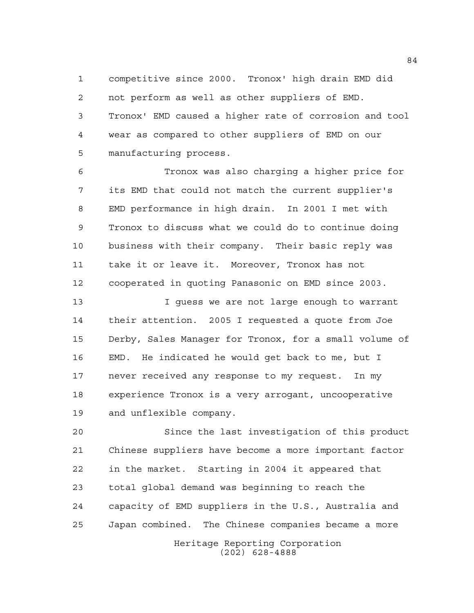competitive since 2000. Tronox' high drain EMD did not perform as well as other suppliers of EMD. Tronox' EMD caused a higher rate of corrosion and tool wear as compared to other suppliers of EMD on our manufacturing process.

 Tronox was also charging a higher price for its EMD that could not match the current supplier's EMD performance in high drain. In 2001 I met with Tronox to discuss what we could do to continue doing business with their company. Their basic reply was take it or leave it. Moreover, Tronox has not cooperated in quoting Panasonic on EMD since 2003.

 I guess we are not large enough to warrant their attention. 2005 I requested a quote from Joe Derby, Sales Manager for Tronox, for a small volume of EMD. He indicated he would get back to me, but I never received any response to my request. In my experience Tronox is a very arrogant, uncooperative and unflexible company.

 Since the last investigation of this product Chinese suppliers have become a more important factor in the market. Starting in 2004 it appeared that total global demand was beginning to reach the capacity of EMD suppliers in the U.S., Australia and Japan combined. The Chinese companies became a more

Heritage Reporting Corporation (202) 628-4888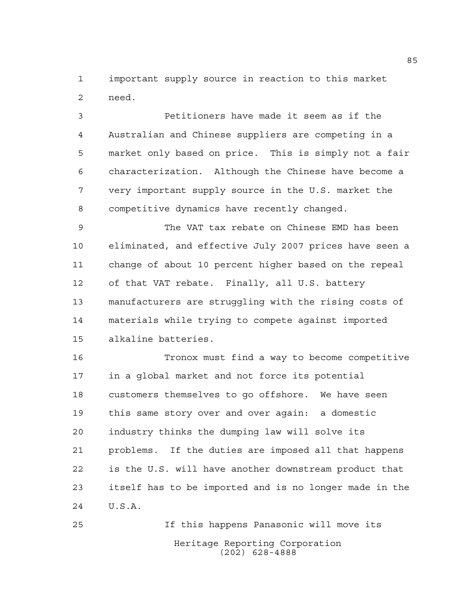important supply source in reaction to this market need.

 Petitioners have made it seem as if the Australian and Chinese suppliers are competing in a market only based on price. This is simply not a fair characterization. Although the Chinese have become a very important supply source in the U.S. market the competitive dynamics have recently changed.

 The VAT tax rebate on Chinese EMD has been eliminated, and effective July 2007 prices have seen a change of about 10 percent higher based on the repeal of that VAT rebate. Finally, all U.S. battery manufacturers are struggling with the rising costs of materials while trying to compete against imported alkaline batteries.

 Tronox must find a way to become competitive in a global market and not force its potential customers themselves to go offshore. We have seen this same story over and over again: a domestic industry thinks the dumping law will solve its problems. If the duties are imposed all that happens is the U.S. will have another downstream product that itself has to be imported and is no longer made in the U.S.A.

Heritage Reporting Corporation (202) 628-4888 If this happens Panasonic will move its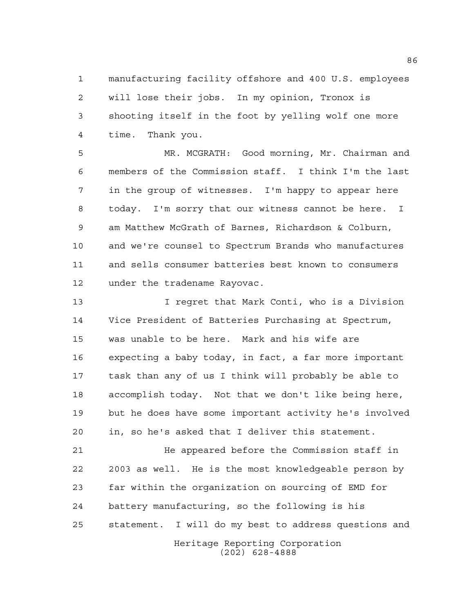manufacturing facility offshore and 400 U.S. employees will lose their jobs. In my opinion, Tronox is shooting itself in the foot by yelling wolf one more time. Thank you.

 MR. MCGRATH: Good morning, Mr. Chairman and members of the Commission staff. I think I'm the last in the group of witnesses. I'm happy to appear here today. I'm sorry that our witness cannot be here. I am Matthew McGrath of Barnes, Richardson & Colburn, and we're counsel to Spectrum Brands who manufactures and sells consumer batteries best known to consumers under the tradename Rayovac.

 I regret that Mark Conti, who is a Division Vice President of Batteries Purchasing at Spectrum, was unable to be here. Mark and his wife are expecting a baby today, in fact, a far more important task than any of us I think will probably be able to accomplish today. Not that we don't like being here, but he does have some important activity he's involved in, so he's asked that I deliver this statement.

**12 The appeared before the Commission staff in**  2003 as well. He is the most knowledgeable person by far within the organization on sourcing of EMD for battery manufacturing, so the following is his statement. I will do my best to address questions and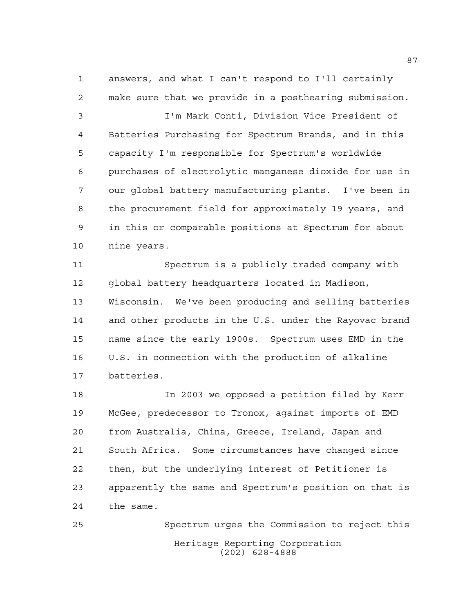answers, and what I can't respond to I'll certainly make sure that we provide in a posthearing submission.

 I'm Mark Conti, Division Vice President of Batteries Purchasing for Spectrum Brands, and in this capacity I'm responsible for Spectrum's worldwide purchases of electrolytic manganese dioxide for use in our global battery manufacturing plants. I've been in the procurement field for approximately 19 years, and in this or comparable positions at Spectrum for about nine years.

 Spectrum is a publicly traded company with global battery headquarters located in Madison, Wisconsin. We've been producing and selling batteries and other products in the U.S. under the Rayovac brand name since the early 1900s. Spectrum uses EMD in the U.S. in connection with the production of alkaline batteries.

 In 2003 we opposed a petition filed by Kerr McGee, predecessor to Tronox, against imports of EMD from Australia, China, Greece, Ireland, Japan and South Africa. Some circumstances have changed since then, but the underlying interest of Petitioner is apparently the same and Spectrum's position on that is the same.

Heritage Reporting Corporation (202) 628-4888 Spectrum urges the Commission to reject this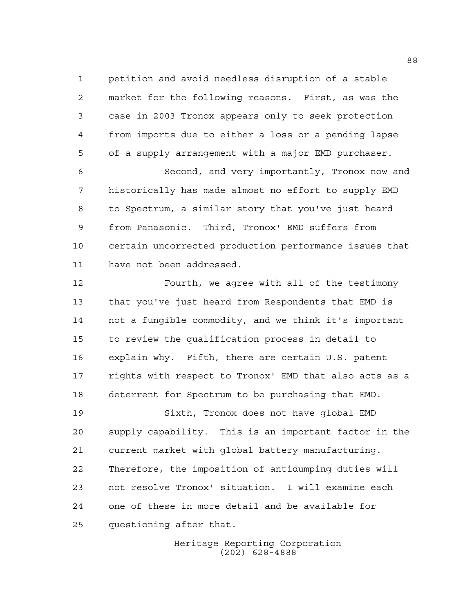petition and avoid needless disruption of a stable market for the following reasons. First, as was the case in 2003 Tronox appears only to seek protection from imports due to either a loss or a pending lapse of a supply arrangement with a major EMD purchaser.

 Second, and very importantly, Tronox now and historically has made almost no effort to supply EMD to Spectrum, a similar story that you've just heard from Panasonic. Third, Tronox' EMD suffers from certain uncorrected production performance issues that have not been addressed.

 Fourth, we agree with all of the testimony that you've just heard from Respondents that EMD is not a fungible commodity, and we think it's important to review the qualification process in detail to explain why. Fifth, there are certain U.S. patent rights with respect to Tronox' EMD that also acts as a deterrent for Spectrum to be purchasing that EMD.

 Sixth, Tronox does not have global EMD supply capability. This is an important factor in the current market with global battery manufacturing. Therefore, the imposition of antidumping duties will not resolve Tronox' situation. I will examine each one of these in more detail and be available for questioning after that.

> Heritage Reporting Corporation (202) 628-4888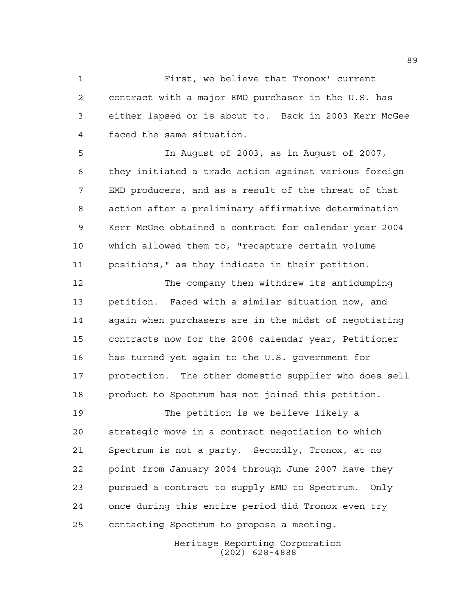First, we believe that Tronox' current contract with a major EMD purchaser in the U.S. has either lapsed or is about to. Back in 2003 Kerr McGee faced the same situation.

 In August of 2003, as in August of 2007, they initiated a trade action against various foreign EMD producers, and as a result of the threat of that action after a preliminary affirmative determination Kerr McGee obtained a contract for calendar year 2004 which allowed them to, "recapture certain volume positions," as they indicate in their petition.

 The company then withdrew its antidumping petition. Faced with a similar situation now, and again when purchasers are in the midst of negotiating contracts now for the 2008 calendar year, Petitioner has turned yet again to the U.S. government for protection. The other domestic supplier who does sell product to Spectrum has not joined this petition.

 The petition is we believe likely a strategic move in a contract negotiation to which Spectrum is not a party. Secondly, Tronox, at no point from January 2004 through June 2007 have they pursued a contract to supply EMD to Spectrum. Only once during this entire period did Tronox even try contacting Spectrum to propose a meeting.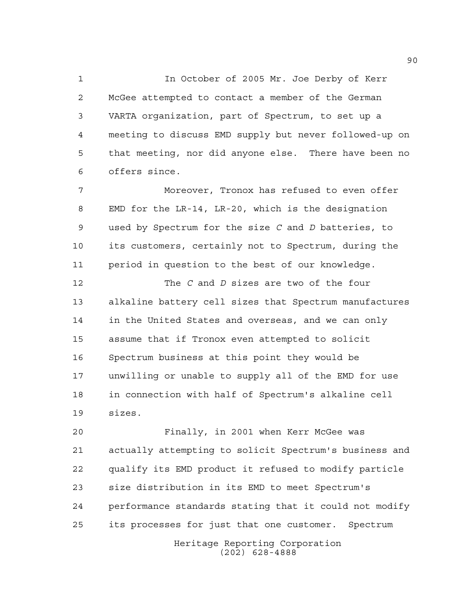In October of 2005 Mr. Joe Derby of Kerr McGee attempted to contact a member of the German VARTA organization, part of Spectrum, to set up a meeting to discuss EMD supply but never followed-up on that meeting, nor did anyone else. There have been no offers since.

 Moreover, Tronox has refused to even offer EMD for the LR-14, LR-20, which is the designation used by Spectrum for the size *C* and *D* batteries, to its customers, certainly not to Spectrum, during the period in question to the best of our knowledge.

 The *C* and *D* sizes are two of the four alkaline battery cell sizes that Spectrum manufactures in the United States and overseas, and we can only assume that if Tronox even attempted to solicit Spectrum business at this point they would be unwilling or unable to supply all of the EMD for use in connection with half of Spectrum's alkaline cell sizes.

Heritage Reporting Corporation Finally, in 2001 when Kerr McGee was actually attempting to solicit Spectrum's business and qualify its EMD product it refused to modify particle size distribution in its EMD to meet Spectrum's performance standards stating that it could not modify its processes for just that one customer. Spectrum

(202) 628-4888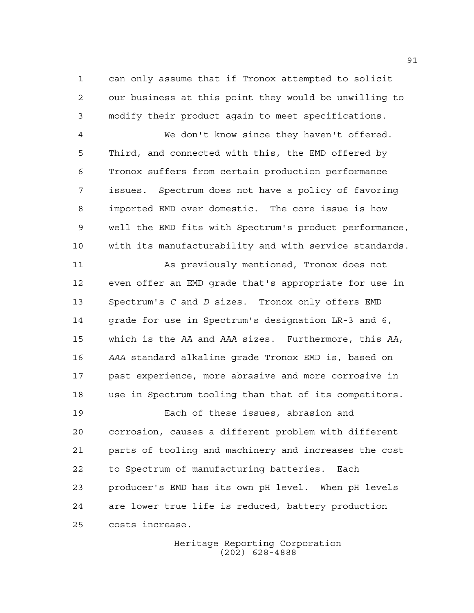can only assume that if Tronox attempted to solicit our business at this point they would be unwilling to modify their product again to meet specifications.

 We don't know since they haven't offered. Third, and connected with this, the EMD offered by Tronox suffers from certain production performance issues. Spectrum does not have a policy of favoring imported EMD over domestic. The core issue is how well the EMD fits with Spectrum's product performance, with its manufacturability and with service standards.

 As previously mentioned, Tronox does not even offer an EMD grade that's appropriate for use in Spectrum's *C* and *D* sizes. Tronox only offers EMD grade for use in Spectrum's designation LR-3 and 6, which is the *AA* and *AAA* sizes. Furthermore, this *AA*, *AAA* standard alkaline grade Tronox EMD is, based on past experience, more abrasive and more corrosive in use in Spectrum tooling than that of its competitors.

 Each of these issues, abrasion and corrosion, causes a different problem with different parts of tooling and machinery and increases the cost to Spectrum of manufacturing batteries. Each producer's EMD has its own pH level. When pH levels are lower true life is reduced, battery production costs increase.

> Heritage Reporting Corporation (202) 628-4888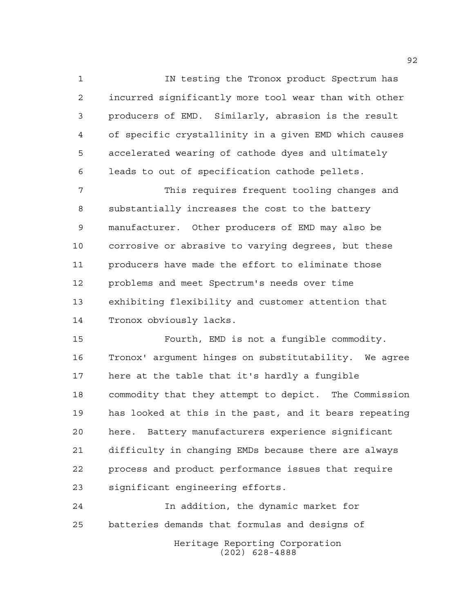IN testing the Tronox product Spectrum has incurred significantly more tool wear than with other producers of EMD. Similarly, abrasion is the result of specific crystallinity in a given EMD which causes accelerated wearing of cathode dyes and ultimately leads to out of specification cathode pellets.

 This requires frequent tooling changes and substantially increases the cost to the battery manufacturer. Other producers of EMD may also be corrosive or abrasive to varying degrees, but these producers have made the effort to eliminate those problems and meet Spectrum's needs over time exhibiting flexibility and customer attention that Tronox obviously lacks.

 Fourth, EMD is not a fungible commodity. Tronox' argument hinges on substitutability. We agree here at the table that it's hardly a fungible commodity that they attempt to depict. The Commission has looked at this in the past, and it bears repeating here. Battery manufacturers experience significant difficulty in changing EMDs because there are always process and product performance issues that require significant engineering efforts.

 In addition, the dynamic market for batteries demands that formulas and designs of

Heritage Reporting Corporation (202) 628-4888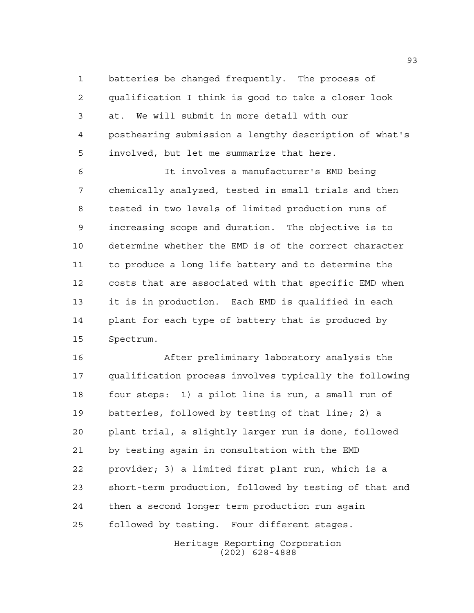batteries be changed frequently. The process of qualification I think is good to take a closer look at. We will submit in more detail with our posthearing submission a lengthy description of what's involved, but let me summarize that here.

 It involves a manufacturer's EMD being chemically analyzed, tested in small trials and then tested in two levels of limited production runs of increasing scope and duration. The objective is to determine whether the EMD is of the correct character to produce a long life battery and to determine the costs that are associated with that specific EMD when it is in production. Each EMD is qualified in each plant for each type of battery that is produced by Spectrum.

 After preliminary laboratory analysis the qualification process involves typically the following four steps: 1) a pilot line is run, a small run of batteries, followed by testing of that line; 2) a plant trial, a slightly larger run is done, followed by testing again in consultation with the EMD provider; 3) a limited first plant run, which is a short-term production, followed by testing of that and then a second longer term production run again followed by testing. Four different stages.

> Heritage Reporting Corporation (202) 628-4888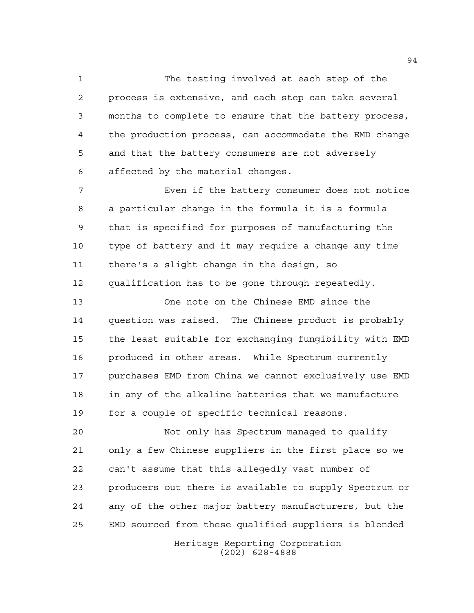The testing involved at each step of the process is extensive, and each step can take several months to complete to ensure that the battery process, the production process, can accommodate the EMD change and that the battery consumers are not adversely affected by the material changes.

 Even if the battery consumer does not notice a particular change in the formula it is a formula that is specified for purposes of manufacturing the type of battery and it may require a change any time there's a slight change in the design, so qualification has to be gone through repeatedly.

 One note on the Chinese EMD since the question was raised. The Chinese product is probably the least suitable for exchanging fungibility with EMD produced in other areas. While Spectrum currently purchases EMD from China we cannot exclusively use EMD in any of the alkaline batteries that we manufacture for a couple of specific technical reasons.

 Not only has Spectrum managed to qualify only a few Chinese suppliers in the first place so we can't assume that this allegedly vast number of producers out there is available to supply Spectrum or any of the other major battery manufacturers, but the EMD sourced from these qualified suppliers is blended

> Heritage Reporting Corporation (202) 628-4888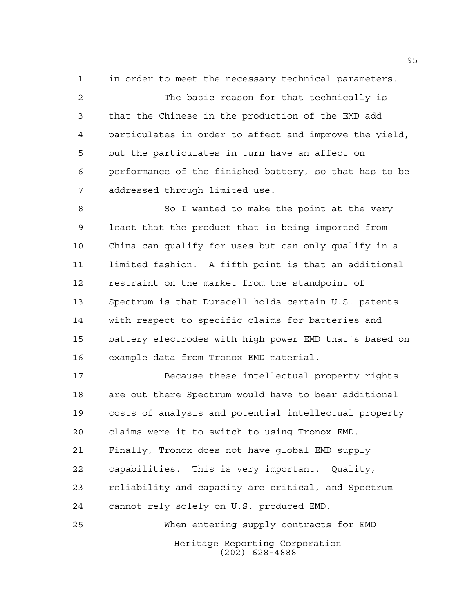in order to meet the necessary technical parameters.

 The basic reason for that technically is that the Chinese in the production of the EMD add particulates in order to affect and improve the yield, but the particulates in turn have an affect on performance of the finished battery, so that has to be addressed through limited use.

 So I wanted to make the point at the very least that the product that is being imported from China can qualify for uses but can only qualify in a limited fashion. A fifth point is that an additional restraint on the market from the standpoint of Spectrum is that Duracell holds certain U.S. patents with respect to specific claims for batteries and battery electrodes with high power EMD that's based on example data from Tronox EMD material.

 Because these intellectual property rights are out there Spectrum would have to bear additional costs of analysis and potential intellectual property claims were it to switch to using Tronox EMD. Finally, Tronox does not have global EMD supply capabilities. This is very important. Quality, reliability and capacity are critical, and Spectrum cannot rely solely on U.S. produced EMD. When entering supply contracts for EMD

> Heritage Reporting Corporation (202) 628-4888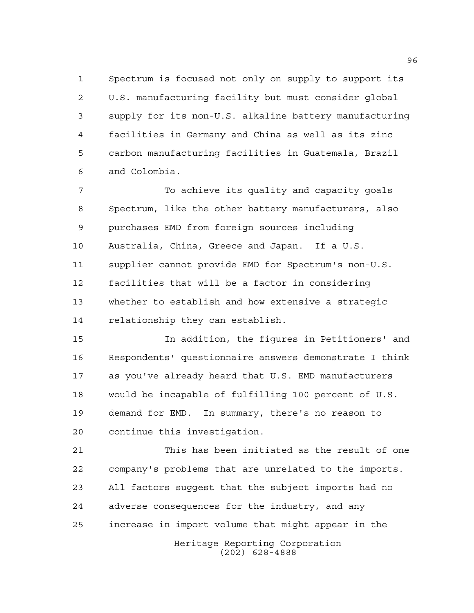Spectrum is focused not only on supply to support its U.S. manufacturing facility but must consider global supply for its non-U.S. alkaline battery manufacturing facilities in Germany and China as well as its zinc carbon manufacturing facilities in Guatemala, Brazil and Colombia.

 To achieve its quality and capacity goals Spectrum, like the other battery manufacturers, also purchases EMD from foreign sources including Australia, China, Greece and Japan. If a U.S. supplier cannot provide EMD for Spectrum's non-U.S. facilities that will be a factor in considering whether to establish and how extensive a strategic relationship they can establish.

 In addition, the figures in Petitioners' and Respondents' questionnaire answers demonstrate I think as you've already heard that U.S. EMD manufacturers would be incapable of fulfilling 100 percent of U.S. demand for EMD. In summary, there's no reason to continue this investigation.

Heritage Reporting Corporation This has been initiated as the result of one company's problems that are unrelated to the imports. All factors suggest that the subject imports had no adverse consequences for the industry, and any increase in import volume that might appear in the

(202) 628-4888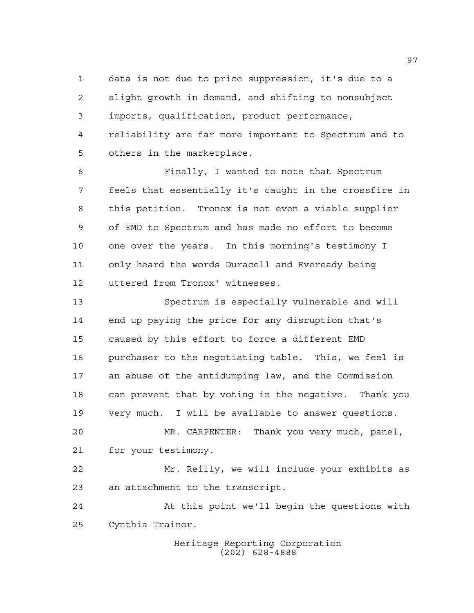data is not due to price suppression, it's due to a slight growth in demand, and shifting to nonsubject imports, qualification, product performance, reliability are far more important to Spectrum and to others in the marketplace.

 Finally, I wanted to note that Spectrum feels that essentially it's caught in the crossfire in this petition. Tronox is not even a viable supplier of EMD to Spectrum and has made no effort to become one over the years. In this morning's testimony I only heard the words Duracell and Eveready being uttered from Tronox' witnesses.

 Spectrum is especially vulnerable and will end up paying the price for any disruption that's caused by this effort to force a different EMD purchaser to the negotiating table. This, we feel is an abuse of the antidumping law, and the Commission can prevent that by voting in the negative. Thank you very much. I will be available to answer questions.

 MR. CARPENTER: Thank you very much, panel, for your testimony.

 Mr. Reilly, we will include your exhibits as an attachment to the transcript.

 At this point we'll begin the questions with Cynthia Trainor.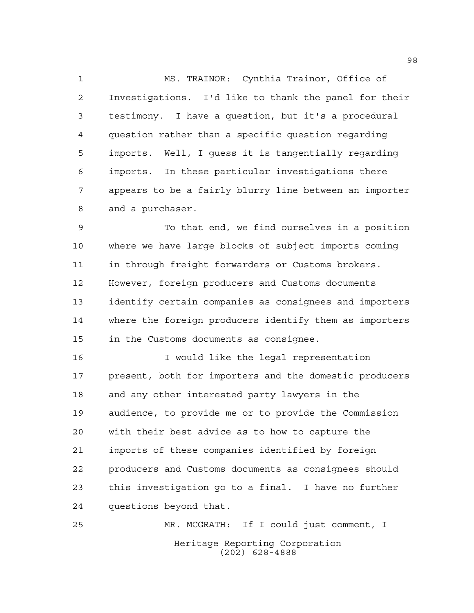MS. TRAINOR: Cynthia Trainor, Office of Investigations. I'd like to thank the panel for their testimony. I have a question, but it's a procedural question rather than a specific question regarding imports. Well, I guess it is tangentially regarding imports. In these particular investigations there appears to be a fairly blurry line between an importer and a purchaser.

 To that end, we find ourselves in a position where we have large blocks of subject imports coming in through freight forwarders or Customs brokers. However, foreign producers and Customs documents identify certain companies as consignees and importers where the foreign producers identify them as importers in the Customs documents as consignee.

 I would like the legal representation present, both for importers and the domestic producers and any other interested party lawyers in the audience, to provide me or to provide the Commission with their best advice as to how to capture the imports of these companies identified by foreign producers and Customs documents as consignees should this investigation go to a final. I have no further questions beyond that.

Heritage Reporting Corporation (202) 628-4888 MR. MCGRATH: If I could just comment, I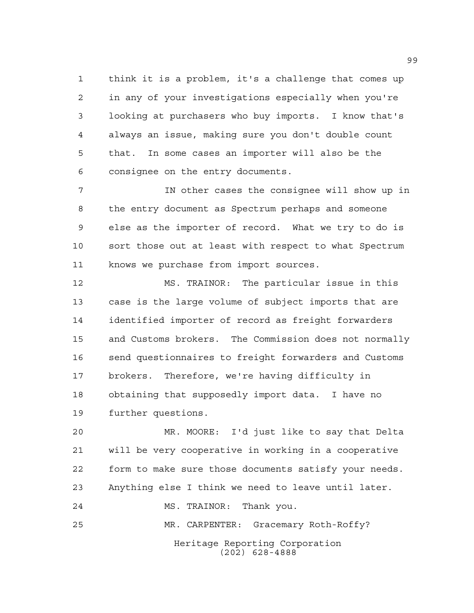think it is a problem, it's a challenge that comes up in any of your investigations especially when you're looking at purchasers who buy imports. I know that's always an issue, making sure you don't double count that. In some cases an importer will also be the consignee on the entry documents.

 IN other cases the consignee will show up in the entry document as Spectrum perhaps and someone else as the importer of record. What we try to do is sort those out at least with respect to what Spectrum knows we purchase from import sources.

 MS. TRAINOR: The particular issue in this case is the large volume of subject imports that are identified importer of record as freight forwarders and Customs brokers. The Commission does not normally send questionnaires to freight forwarders and Customs brokers. Therefore, we're having difficulty in obtaining that supposedly import data. I have no further questions.

 MR. MOORE: I'd just like to say that Delta will be very cooperative in working in a cooperative form to make sure those documents satisfy your needs. Anything else I think we need to leave until later.

(202) 628-4888

MS. TRAINOR: Thank you.

Heritage Reporting Corporation MR. CARPENTER: Gracemary Roth-Roffy?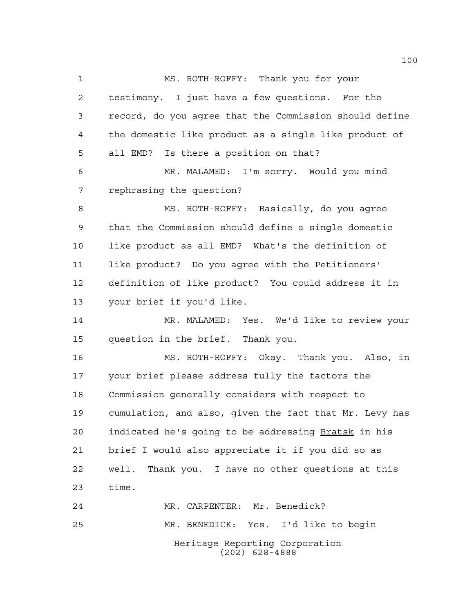Heritage Reporting Corporation (202) 628-4888 MS. ROTH-ROFFY: Thank you for your testimony. I just have a few questions. For the record, do you agree that the Commission should define the domestic like product as a single like product of all EMD? Is there a position on that? MR. MALAMED: I'm sorry. Would you mind rephrasing the question? MS. ROTH-ROFFY: Basically, do you agree that the Commission should define a single domestic like product as all EMD? What's the definition of like product? Do you agree with the Petitioners' definition of like product? You could address it in your brief if you'd like. MR. MALAMED: Yes. We'd like to review your question in the brief. Thank you. MS. ROTH-ROFFY: Okay. Thank you. Also, in your brief please address fully the factors the Commission generally considers with respect to cumulation, and also, given the fact that Mr. Levy has indicated he's going to be addressing Bratsk in his brief I would also appreciate it if you did so as well. Thank you. I have no other questions at this time. MR. CARPENTER: Mr. Benedick? MR. BENEDICK: Yes. I'd like to begin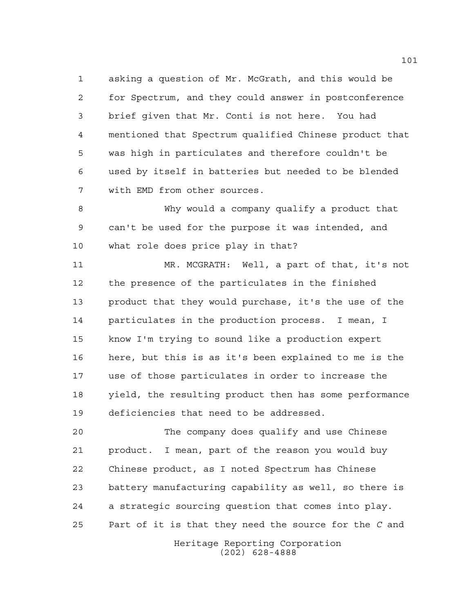asking a question of Mr. McGrath, and this would be for Spectrum, and they could answer in postconference brief given that Mr. Conti is not here. You had mentioned that Spectrum qualified Chinese product that was high in particulates and therefore couldn't be used by itself in batteries but needed to be blended with EMD from other sources.

 Why would a company qualify a product that can't be used for the purpose it was intended, and what role does price play in that?

 MR. MCGRATH: Well, a part of that, it's not the presence of the particulates in the finished product that they would purchase, it's the use of the particulates in the production process. I mean, I know I'm trying to sound like a production expert here, but this is as it's been explained to me is the use of those particulates in order to increase the yield, the resulting product then has some performance deficiencies that need to be addressed.

 The company does qualify and use Chinese product. I mean, part of the reason you would buy Chinese product, as I noted Spectrum has Chinese battery manufacturing capability as well, so there is a strategic sourcing question that comes into play. Part of it is that they need the source for the *C* and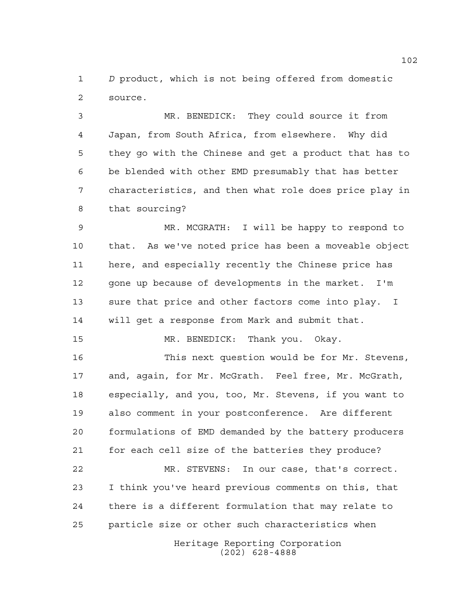*D* product, which is not being offered from domestic source.

 MR. BENEDICK: They could source it from Japan, from South Africa, from elsewhere. Why did they go with the Chinese and get a product that has to be blended with other EMD presumably that has better characteristics, and then what role does price play in that sourcing?

 MR. MCGRATH: I will be happy to respond to that. As we've noted price has been a moveable object here, and especially recently the Chinese price has 12 gone up because of developments in the market. I'm sure that price and other factors come into play. I will get a response from Mark and submit that.

MR. BENEDICK: Thank you. Okay.

 This next question would be for Mr. Stevens, and, again, for Mr. McGrath. Feel free, Mr. McGrath, especially, and you, too, Mr. Stevens, if you want to also comment in your postconference. Are different formulations of EMD demanded by the battery producers for each cell size of the batteries they produce?

 MR. STEVENS: In our case, that's correct. I think you've heard previous comments on this, that there is a different formulation that may relate to particle size or other such characteristics when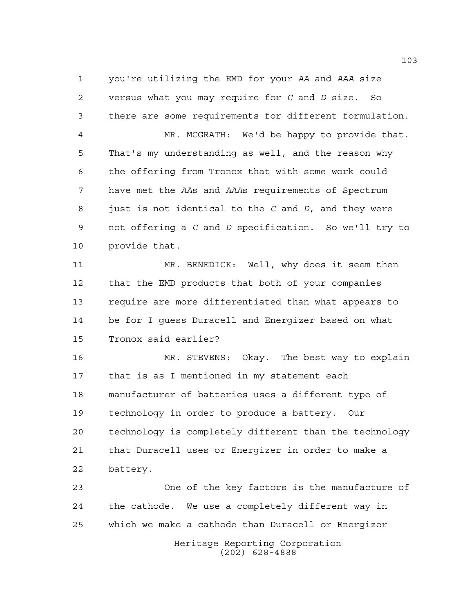you're utilizing the EMD for your *AA* and *AAA* size versus what you may require for *C* and *D* size. So there are some requirements for different formulation. MR. MCGRATH: We'd be happy to provide that. That's my understanding as well, and the reason why the offering from Tronox that with some work could have met the *AA*s and *AAA*s requirements of Spectrum just is not identical to the *C* and *D*, and they were not offering a *C* and *D* specification. So we'll try to provide that.

 MR. BENEDICK: Well, why does it seem then that the EMD products that both of your companies require are more differentiated than what appears to be for I guess Duracell and Energizer based on what Tronox said earlier?

 MR. STEVENS: Okay. The best way to explain that is as I mentioned in my statement each manufacturer of batteries uses a different type of technology in order to produce a battery. Our technology is completely different than the technology that Duracell uses or Energizer in order to make a battery.

 One of the key factors is the manufacture of the cathode. We use a completely different way in which we make a cathode than Duracell or Energizer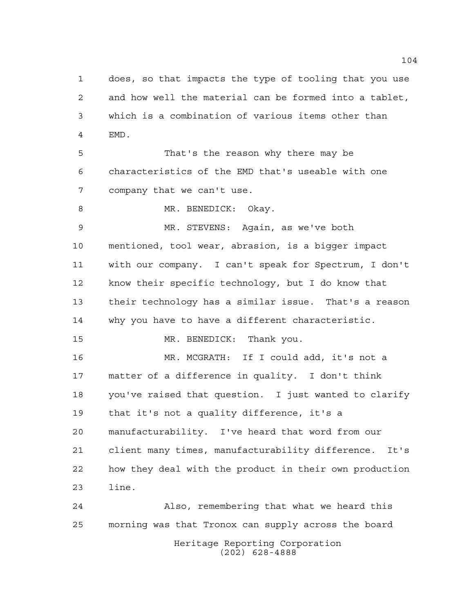does, so that impacts the type of tooling that you use and how well the material can be formed into a tablet, which is a combination of various items other than EMD.

 That's the reason why there may be characteristics of the EMD that's useable with one company that we can't use.

8 MR. BENEDICK: Okay.

 MR. STEVENS: Again, as we've both mentioned, tool wear, abrasion, is a bigger impact with our company. I can't speak for Spectrum, I don't know their specific technology, but I do know that their technology has a similar issue. That's a reason why you have to have a different characteristic.

MR. BENEDICK: Thank you.

 MR. MCGRATH: If I could add, it's not a matter of a difference in quality. I don't think you've raised that question. I just wanted to clarify that it's not a quality difference, it's a manufacturability. I've heard that word from our client many times, manufacturability difference. It's how they deal with the product in their own production line.

Heritage Reporting Corporation (202) 628-4888 Also, remembering that what we heard this morning was that Tronox can supply across the board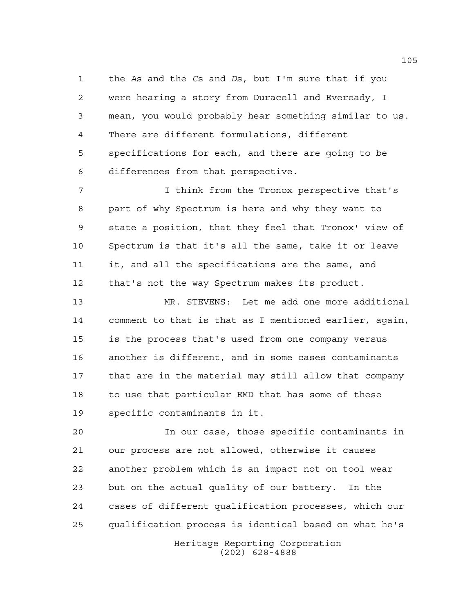the *A*s and the *C*s and *D*s, but I'm sure that if you were hearing a story from Duracell and Eveready, I mean, you would probably hear something similar to us. There are different formulations, different specifications for each, and there are going to be differences from that perspective.

 I think from the Tronox perspective that's part of why Spectrum is here and why they want to state a position, that they feel that Tronox' view of Spectrum is that it's all the same, take it or leave it, and all the specifications are the same, and that's not the way Spectrum makes its product.

 MR. STEVENS: Let me add one more additional comment to that is that as I mentioned earlier, again, is the process that's used from one company versus another is different, and in some cases contaminants that are in the material may still allow that company to use that particular EMD that has some of these specific contaminants in it.

 In our case, those specific contaminants in our process are not allowed, otherwise it causes another problem which is an impact not on tool wear but on the actual quality of our battery. In the cases of different qualification processes, which our qualification process is identical based on what he's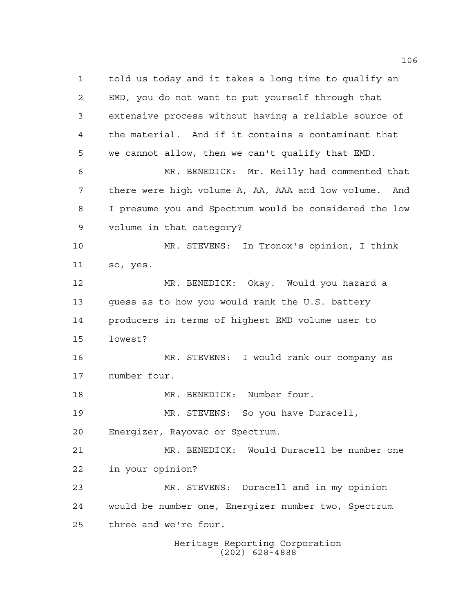Heritage Reporting Corporation told us today and it takes a long time to qualify an EMD, you do not want to put yourself through that extensive process without having a reliable source of the material. And if it contains a contaminant that we cannot allow, then we can't qualify that EMD. MR. BENEDICK: Mr. Reilly had commented that there were high volume A, AA, AAA and low volume. And I presume you and Spectrum would be considered the low volume in that category? MR. STEVENS: In Tronox's opinion, I think so, yes. MR. BENEDICK: Okay. Would you hazard a guess as to how you would rank the U.S. battery producers in terms of highest EMD volume user to lowest? MR. STEVENS: I would rank our company as number four. MR. BENEDICK: Number four. MR. STEVENS: So you have Duracell, Energizer, Rayovac or Spectrum. MR. BENEDICK: Would Duracell be number one in your opinion? MR. STEVENS: Duracell and in my opinion would be number one, Energizer number two, Spectrum three and we're four.

(202) 628-4888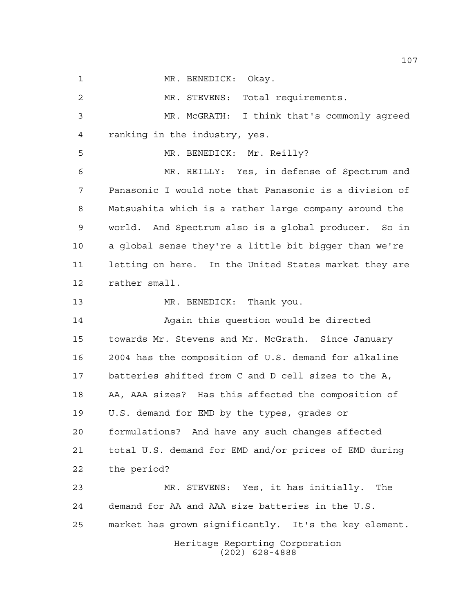1 MR. BENEDICK: Okay.

Heritage Reporting Corporation (202) 628-4888 MR. STEVENS: Total requirements. MR. McGRATH: I think that's commonly agreed ranking in the industry, yes. MR. BENEDICK: Mr. Reilly? MR. REILLY: Yes, in defense of Spectrum and Panasonic I would note that Panasonic is a division of Matsushita which is a rather large company around the world. And Spectrum also is a global producer. So in a global sense they're a little bit bigger than we're letting on here. In the United States market they are rather small. 13 MR. BENEDICK: Thank you. Again this question would be directed towards Mr. Stevens and Mr. McGrath. Since January 2004 has the composition of U.S. demand for alkaline batteries shifted from C and D cell sizes to the A, AA, AAA sizes? Has this affected the composition of U.S. demand for EMD by the types, grades or formulations? And have any such changes affected total U.S. demand for EMD and/or prices of EMD during the period? MR. STEVENS: Yes, it has initially. The demand for AA and AAA size batteries in the U.S. market has grown significantly. It's the key element.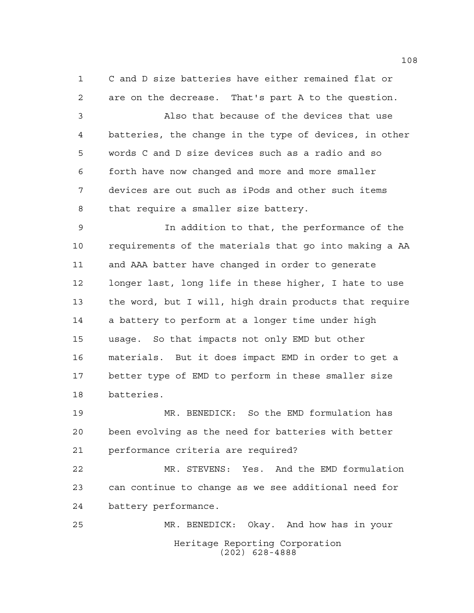C and D size batteries have either remained flat or are on the decrease. That's part A to the question.

 Also that because of the devices that use batteries, the change in the type of devices, in other words C and D size devices such as a radio and so forth have now changed and more and more smaller devices are out such as iPods and other such items that require a smaller size battery.

 In addition to that, the performance of the requirements of the materials that go into making a AA and AAA batter have changed in order to generate longer last, long life in these higher, I hate to use the word, but I will, high drain products that require a battery to perform at a longer time under high usage. So that impacts not only EMD but other materials. But it does impact EMD in order to get a better type of EMD to perform in these smaller size batteries.

 MR. BENEDICK: So the EMD formulation has been evolving as the need for batteries with better performance criteria are required?

 MR. STEVENS: Yes. And the EMD formulation can continue to change as we see additional need for battery performance.

Heritage Reporting Corporation (202) 628-4888 MR. BENEDICK: Okay. And how has in your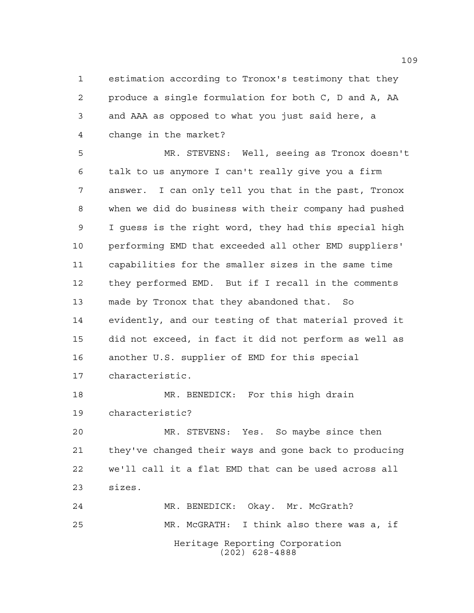estimation according to Tronox's testimony that they produce a single formulation for both C, D and A, AA and AAA as opposed to what you just said here, a change in the market?

 MR. STEVENS: Well, seeing as Tronox doesn't talk to us anymore I can't really give you a firm answer. I can only tell you that in the past, Tronox when we did do business with their company had pushed I guess is the right word, they had this special high performing EMD that exceeded all other EMD suppliers' capabilities for the smaller sizes in the same time they performed EMD. But if I recall in the comments made by Tronox that they abandoned that. So evidently, and our testing of that material proved it did not exceed, in fact it did not perform as well as another U.S. supplier of EMD for this special characteristic. MR. BENEDICK: For this high drain

characteristic?

 MR. STEVENS: Yes. So maybe since then they've changed their ways and gone back to producing we'll call it a flat EMD that can be used across all sizes.

Heritage Reporting Corporation (202) 628-4888 MR. BENEDICK: Okay. Mr. McGrath? MR. McGRATH: I think also there was a, if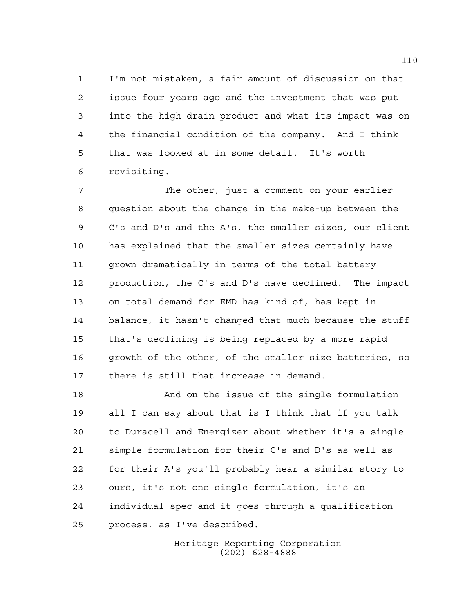I'm not mistaken, a fair amount of discussion on that issue four years ago and the investment that was put into the high drain product and what its impact was on the financial condition of the company. And I think that was looked at in some detail. It's worth revisiting.

 The other, just a comment on your earlier question about the change in the make-up between the C's and D's and the A's, the smaller sizes, our client has explained that the smaller sizes certainly have grown dramatically in terms of the total battery production, the C's and D's have declined. The impact on total demand for EMD has kind of, has kept in balance, it hasn't changed that much because the stuff that's declining is being replaced by a more rapid growth of the other, of the smaller size batteries, so there is still that increase in demand.

 And on the issue of the single formulation all I can say about that is I think that if you talk to Duracell and Energizer about whether it's a single simple formulation for their C's and D's as well as for their A's you'll probably hear a similar story to ours, it's not one single formulation, it's an individual spec and it goes through a qualification process, as I've described.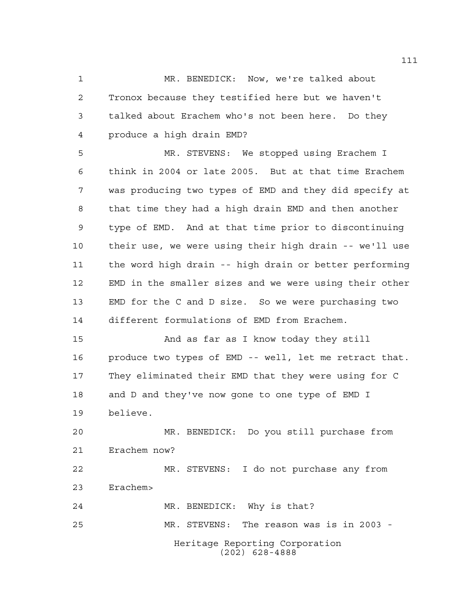MR. BENEDICK: Now, we're talked about Tronox because they testified here but we haven't talked about Erachem who's not been here. Do they produce a high drain EMD?

 MR. STEVENS: We stopped using Erachem I think in 2004 or late 2005. But at that time Erachem was producing two types of EMD and they did specify at that time they had a high drain EMD and then another type of EMD. And at that time prior to discontinuing their use, we were using their high drain -- we'll use the word high drain -- high drain or better performing EMD in the smaller sizes and we were using their other EMD for the C and D size. So we were purchasing two different formulations of EMD from Erachem.

 And as far as I know today they still produce two types of EMD -- well, let me retract that. They eliminated their EMD that they were using for C and D and they've now gone to one type of EMD I believe.

 MR. BENEDICK: Do you still purchase from Erachem now? MR. STEVENS: I do not purchase any from

Erachem>

Heritage Reporting Corporation (202) 628-4888 MR. BENEDICK: Why is that? MR. STEVENS: The reason was is in 2003 -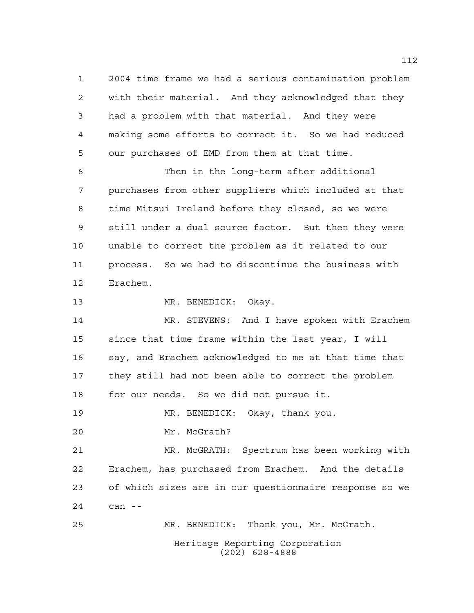2004 time frame we had a serious contamination problem with their material. And they acknowledged that they had a problem with that material. And they were making some efforts to correct it. So we had reduced our purchases of EMD from them at that time.

 Then in the long-term after additional purchases from other suppliers which included at that time Mitsui Ireland before they closed, so we were still under a dual source factor. But then they were unable to correct the problem as it related to our process. So we had to discontinue the business with Erachem.

MR. BENEDICK: Okay.

 MR. STEVENS: And I have spoken with Erachem since that time frame within the last year, I will say, and Erachem acknowledged to me at that time that they still had not been able to correct the problem for our needs. So we did not pursue it.

MR. BENEDICK: Okay, thank you.

Mr. McGrath?

 MR. McGRATH: Spectrum has been working with Erachem, has purchased from Erachem. And the details of which sizes are in our questionnaire response so we can --

Heritage Reporting Corporation (202) 628-4888 MR. BENEDICK: Thank you, Mr. McGrath.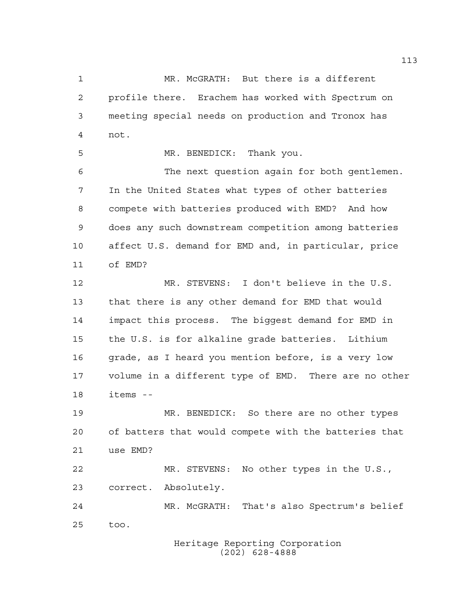MR. McGRATH: But there is a different profile there. Erachem has worked with Spectrum on meeting special needs on production and Tronox has not.

MR. BENEDICK: Thank you.

 The next question again for both gentlemen. In the United States what types of other batteries compete with batteries produced with EMD? And how does any such downstream competition among batteries affect U.S. demand for EMD and, in particular, price of EMD?

 MR. STEVENS: I don't believe in the U.S. that there is any other demand for EMD that would impact this process. The biggest demand for EMD in the U.S. is for alkaline grade batteries. Lithium grade, as I heard you mention before, is a very low volume in a different type of EMD. There are no other items --

 MR. BENEDICK: So there are no other types of batters that would compete with the batteries that use EMD?

 MR. STEVENS: No other types in the U.S., correct. Absolutely.

 MR. McGRATH: That's also Spectrum's belief too.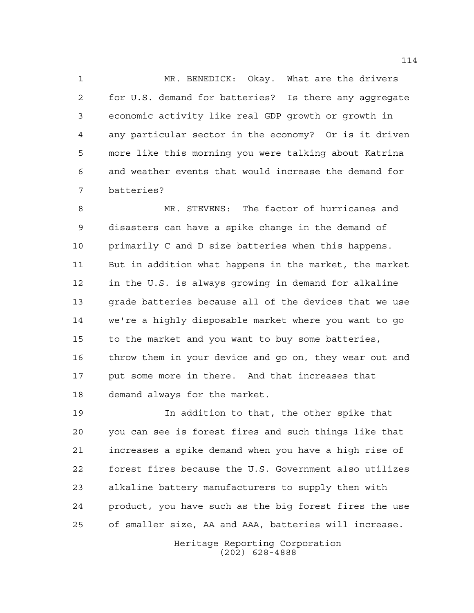MR. BENEDICK: Okay. What are the drivers for U.S. demand for batteries? Is there any aggregate economic activity like real GDP growth or growth in any particular sector in the economy? Or is it driven more like this morning you were talking about Katrina and weather events that would increase the demand for batteries?

 MR. STEVENS: The factor of hurricanes and disasters can have a spike change in the demand of primarily C and D size batteries when this happens. But in addition what happens in the market, the market in the U.S. is always growing in demand for alkaline 13 grade batteries because all of the devices that we use we're a highly disposable market where you want to go to the market and you want to buy some batteries, throw them in your device and go on, they wear out and put some more in there. And that increases that demand always for the market.

 In addition to that, the other spike that you can see is forest fires and such things like that increases a spike demand when you have a high rise of forest fires because the U.S. Government also utilizes alkaline battery manufacturers to supply then with product, you have such as the big forest fires the use of smaller size, AA and AAA, batteries will increase.

> Heritage Reporting Corporation (202) 628-4888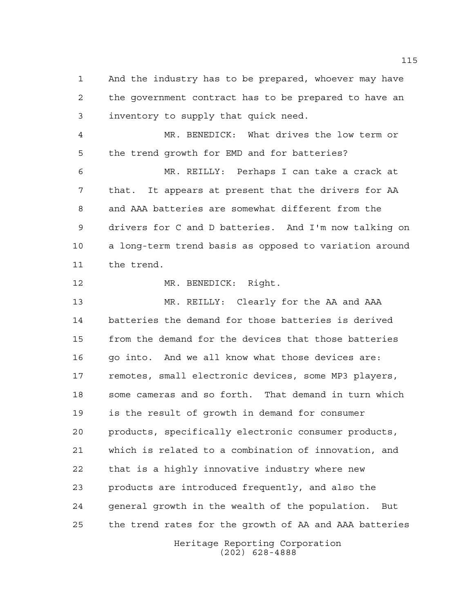And the industry has to be prepared, whoever may have the government contract has to be prepared to have an inventory to supply that quick need.

 MR. BENEDICK: What drives the low term or the trend growth for EMD and for batteries?

 MR. REILLY: Perhaps I can take a crack at that. It appears at present that the drivers for AA and AAA batteries are somewhat different from the drivers for C and D batteries. And I'm now talking on a long-term trend basis as opposed to variation around the trend.

MR. BENEDICK: Right.

 MR. REILLY: Clearly for the AA and AAA batteries the demand for those batteries is derived from the demand for the devices that those batteries 16 go into. And we all know what those devices are: remotes, small electronic devices, some MP3 players, some cameras and so forth. That demand in turn which is the result of growth in demand for consumer products, specifically electronic consumer products, which is related to a combination of innovation, and that is a highly innovative industry where new products are introduced frequently, and also the general growth in the wealth of the population. But the trend rates for the growth of AA and AAA batteries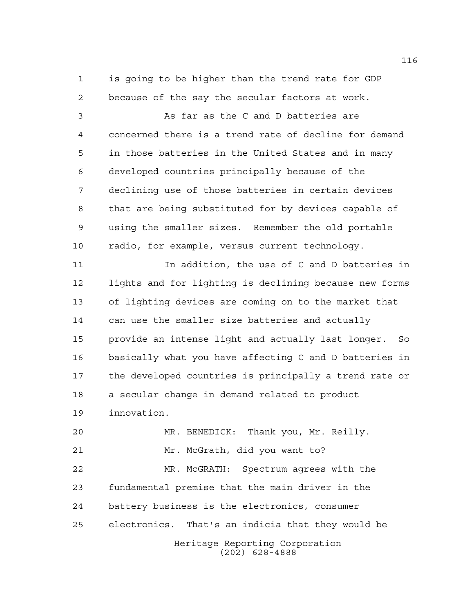is going to be higher than the trend rate for GDP because of the say the secular factors at work.

 As far as the C and D batteries are concerned there is a trend rate of decline for demand in those batteries in the United States and in many developed countries principally because of the declining use of those batteries in certain devices that are being substituted for by devices capable of using the smaller sizes. Remember the old portable radio, for example, versus current technology.

 In addition, the use of C and D batteries in lights and for lighting is declining because new forms of lighting devices are coming on to the market that can use the smaller size batteries and actually provide an intense light and actually last longer. So basically what you have affecting C and D batteries in the developed countries is principally a trend rate or a secular change in demand related to product innovation.

Heritage Reporting Corporation MR. BENEDICK: Thank you, Mr. Reilly. Mr. McGrath, did you want to? MR. McGRATH: Spectrum agrees with the fundamental premise that the main driver in the battery business is the electronics, consumer electronics. That's an indicia that they would be

(202) 628-4888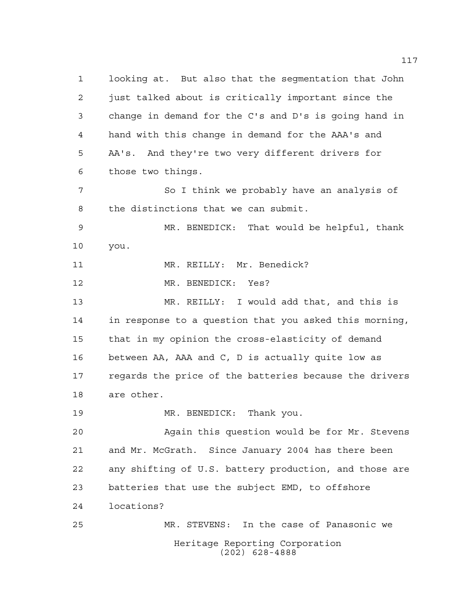Heritage Reporting Corporation (202) 628-4888 looking at. But also that the segmentation that John just talked about is critically important since the change in demand for the C's and D's is going hand in hand with this change in demand for the AAA's and AA's. And they're two very different drivers for those two things. 7 So I think we probably have an analysis of the distinctions that we can submit. MR. BENEDICK: That would be helpful, thank you. 11 MR. REILLY: Mr. Benedick? MR. BENEDICK: Yes? MR. REILLY: I would add that, and this is in response to a question that you asked this morning, that in my opinion the cross-elasticity of demand between AA, AAA and C, D is actually quite low as regards the price of the batteries because the drivers are other. MR. BENEDICK: Thank you. Again this question would be for Mr. Stevens and Mr. McGrath. Since January 2004 has there been any shifting of U.S. battery production, and those are batteries that use the subject EMD, to offshore locations? MR. STEVENS: In the case of Panasonic we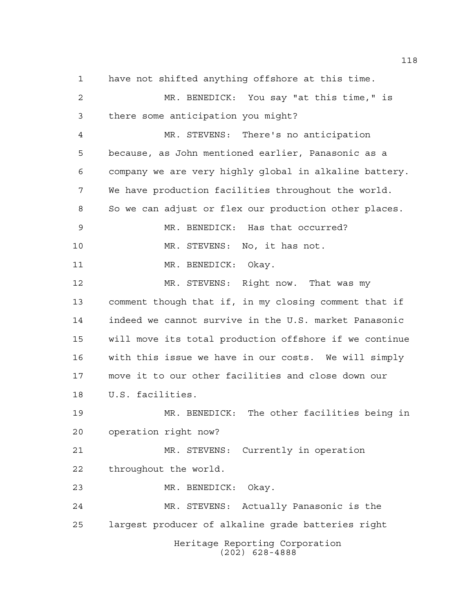Heritage Reporting Corporation (202) 628-4888 have not shifted anything offshore at this time. MR. BENEDICK: You say "at this time," is there some anticipation you might? MR. STEVENS: There's no anticipation because, as John mentioned earlier, Panasonic as a company we are very highly global in alkaline battery. We have production facilities throughout the world. So we can adjust or flex our production other places. MR. BENEDICK: Has that occurred? MR. STEVENS: No, it has not. MR. BENEDICK: Okay. MR. STEVENS: Right now. That was my comment though that if, in my closing comment that if indeed we cannot survive in the U.S. market Panasonic will move its total production offshore if we continue with this issue we have in our costs. We will simply move it to our other facilities and close down our U.S. facilities. MR. BENEDICK: The other facilities being in operation right now? MR. STEVENS: Currently in operation throughout the world. MR. BENEDICK: Okay. MR. STEVENS: Actually Panasonic is the largest producer of alkaline grade batteries right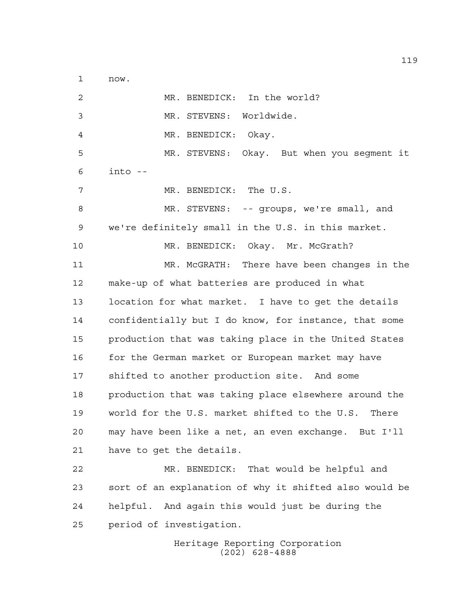now.

 MR. BENEDICK: In the world? MR. STEVENS: Worldwide. MR. BENEDICK: Okay. MR. STEVENS: Okay. But when you segment it into -- MR. BENEDICK: The U.S. MR. STEVENS: -- groups, we're small, and we're definitely small in the U.S. in this market. 10 MR. BENEDICK: Okay. Mr. McGrath? MR. McGRATH: There have been changes in the make-up of what batteries are produced in what location for what market. I have to get the details confidentially but I do know, for instance, that some production that was taking place in the United States 16 for the German market or European market may have shifted to another production site. And some production that was taking place elsewhere around the world for the U.S. market shifted to the U.S. There may have been like a net, an even exchange. But I'll have to get the details. MR. BENEDICK: That would be helpful and sort of an explanation of why it shifted also would be helpful. And again this would just be during the period of investigation.

Heritage Reporting Corporation (202) 628-4888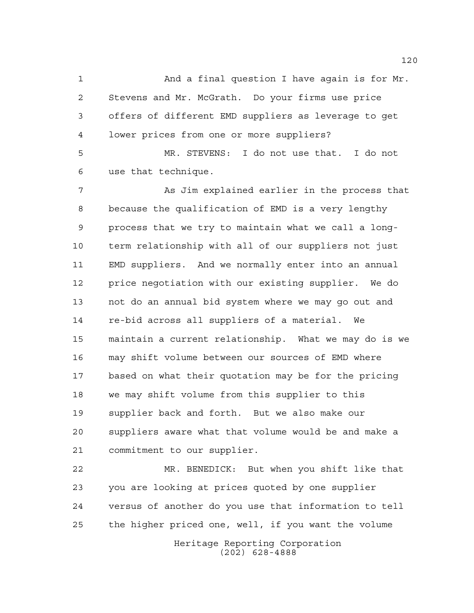And a final question I have again is for Mr. Stevens and Mr. McGrath. Do your firms use price offers of different EMD suppliers as leverage to get lower prices from one or more suppliers?

 MR. STEVENS: I do not use that. I do not use that technique.

7 As Jim explained earlier in the process that because the qualification of EMD is a very lengthy process that we try to maintain what we call a long- term relationship with all of our suppliers not just EMD suppliers. And we normally enter into an annual price negotiation with our existing supplier. We do not do an annual bid system where we may go out and re-bid across all suppliers of a material. We maintain a current relationship. What we may do is we may shift volume between our sources of EMD where based on what their quotation may be for the pricing we may shift volume from this supplier to this supplier back and forth. But we also make our suppliers aware what that volume would be and make a commitment to our supplier.

 MR. BENEDICK: But when you shift like that you are looking at prices quoted by one supplier versus of another do you use that information to tell the higher priced one, well, if you want the volume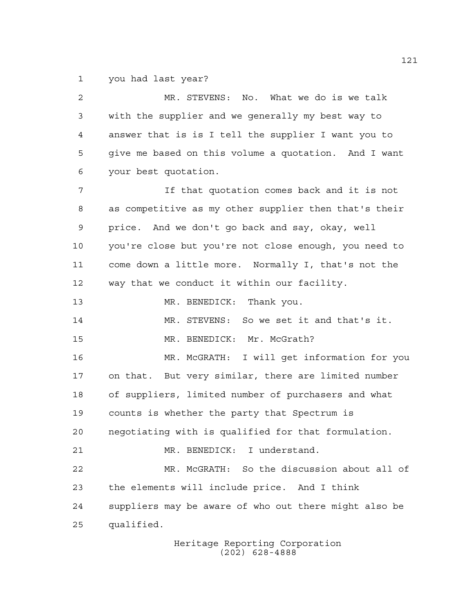you had last year?

 MR. STEVENS: No. What we do is we talk with the supplier and we generally my best way to answer that is is I tell the supplier I want you to give me based on this volume a quotation. And I want your best quotation. If that quotation comes back and it is not as competitive as my other supplier then that's their price. And we don't go back and say, okay, well you're close but you're not close enough, you need to come down a little more. Normally I, that's not the way that we conduct it within our facility. 13 MR. BENEDICK: Thank you. MR. STEVENS: So we set it and that's it. 15 MR. BENEDICK: Mr. McGrath? MR. McGRATH: I will get information for you on that. But very similar, there are limited number of suppliers, limited number of purchasers and what counts is whether the party that Spectrum is negotiating with is qualified for that formulation. MR. BENEDICK: I understand. MR. McGRATH: So the discussion about all of the elements will include price. And I think suppliers may be aware of who out there might also be qualified.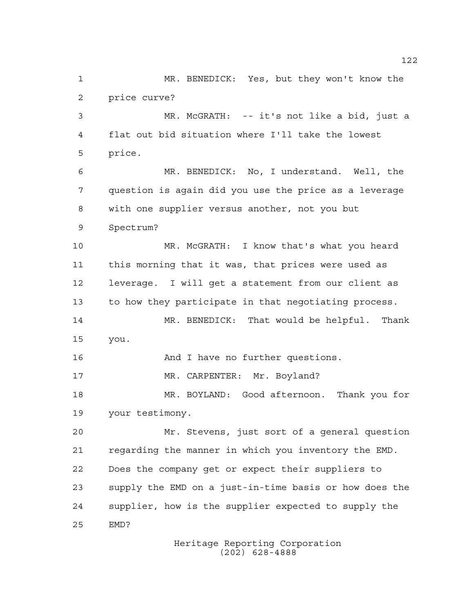MR. BENEDICK: Yes, but they won't know the price curve? MR. McGRATH: -- it's not like a bid, just a flat out bid situation where I'll take the lowest price. MR. BENEDICK: No, I understand. Well, the question is again did you use the price as a leverage with one supplier versus another, not you but Spectrum? MR. McGRATH: I know that's what you heard this morning that it was, that prices were used as leverage. I will get a statement from our client as to how they participate in that negotiating process. MR. BENEDICK: That would be helpful. Thank you. 16 And I have no further questions. 17 MR. CARPENTER: Mr. Boyland? MR. BOYLAND: Good afternoon. Thank you for your testimony. Mr. Stevens, just sort of a general question regarding the manner in which you inventory the EMD. Does the company get or expect their suppliers to supply the EMD on a just-in-time basis or how does the supplier, how is the supplier expected to supply the EMD?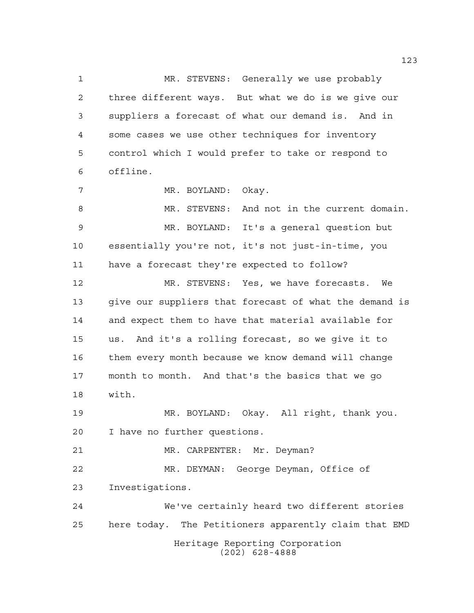Heritage Reporting Corporation (202) 628-4888 MR. STEVENS: Generally we use probably three different ways. But what we do is we give our suppliers a forecast of what our demand is. And in some cases we use other techniques for inventory control which I would prefer to take or respond to offline. 7 MR. BOYLAND: Okay. MR. STEVENS: And not in the current domain. MR. BOYLAND: It's a general question but essentially you're not, it's not just-in-time, you have a forecast they're expected to follow? MR. STEVENS: Yes, we have forecasts. We give our suppliers that forecast of what the demand is and expect them to have that material available for us. And it's a rolling forecast, so we give it to them every month because we know demand will change month to month. And that's the basics that we go with. MR. BOYLAND: Okay. All right, thank you. I have no further questions. MR. CARPENTER: Mr. Deyman? MR. DEYMAN: George Deyman, Office of Investigations. We've certainly heard two different stories here today. The Petitioners apparently claim that EMD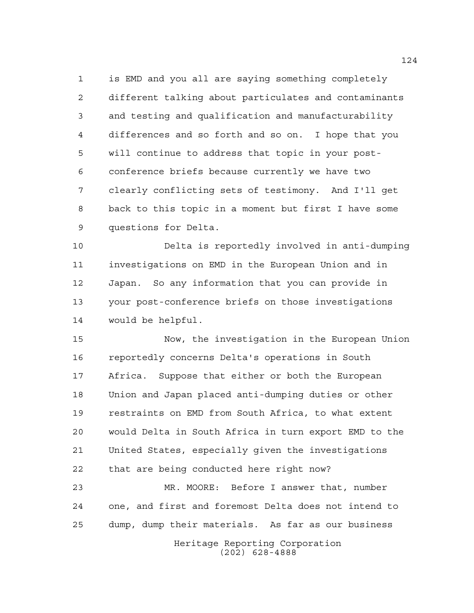is EMD and you all are saying something completely different talking about particulates and contaminants and testing and qualification and manufacturability differences and so forth and so on. I hope that you will continue to address that topic in your post- conference briefs because currently we have two clearly conflicting sets of testimony. And I'll get back to this topic in a moment but first I have some questions for Delta.

 Delta is reportedly involved in anti-dumping investigations on EMD in the European Union and in Japan. So any information that you can provide in your post-conference briefs on those investigations would be helpful.

 Now, the investigation in the European Union reportedly concerns Delta's operations in South Africa. Suppose that either or both the European Union and Japan placed anti-dumping duties or other restraints on EMD from South Africa, to what extent would Delta in South Africa in turn export EMD to the United States, especially given the investigations that are being conducted here right now?

 MR. MOORE: Before I answer that, number one, and first and foremost Delta does not intend to dump, dump their materials. As far as our business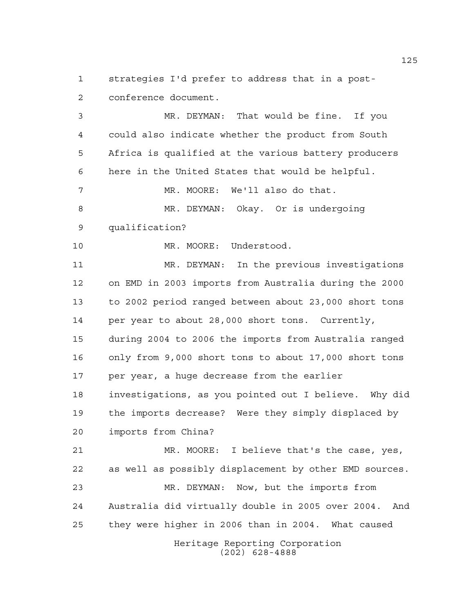strategies I'd prefer to address that in a post-conference document.

Heritage Reporting Corporation MR. DEYMAN: That would be fine. If you could also indicate whether the product from South Africa is qualified at the various battery producers here in the United States that would be helpful. MR. MOORE: We'll also do that. MR. DEYMAN: Okay. Or is undergoing qualification? 10 MR. MOORE: Understood. MR. DEYMAN: In the previous investigations on EMD in 2003 imports from Australia during the 2000 to 2002 period ranged between about 23,000 short tons per year to about 28,000 short tons. Currently, during 2004 to 2006 the imports from Australia ranged only from 9,000 short tons to about 17,000 short tons per year, a huge decrease from the earlier investigations, as you pointed out I believe. Why did the imports decrease? Were they simply displaced by imports from China? MR. MOORE: I believe that's the case, yes, as well as possibly displacement by other EMD sources. MR. DEYMAN: Now, but the imports from Australia did virtually double in 2005 over 2004. And they were higher in 2006 than in 2004. What caused

(202) 628-4888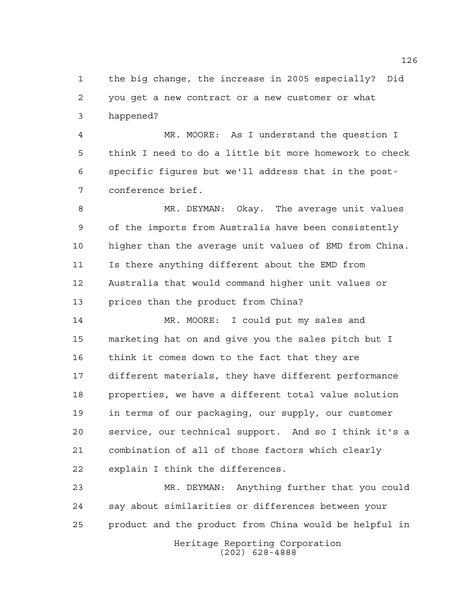the big change, the increase in 2005 especially? Did you get a new contract or a new customer or what happened?

 MR. MOORE: As I understand the question I think I need to do a little bit more homework to check specific figures but we'll address that in the post-conference brief.

 MR. DEYMAN: Okay. The average unit values of the imports from Australia have been consistently higher than the average unit values of EMD from China. Is there anything different about the EMD from Australia that would command higher unit values or prices than the product from China?

 MR. MOORE: I could put my sales and marketing hat on and give you the sales pitch but I think it comes down to the fact that they are different materials, they have different performance properties, we have a different total value solution in terms of our packaging, our supply, our customer service, our technical support. And so I think it's a combination of all of those factors which clearly explain I think the differences.

 MR. DEYMAN: Anything further that you could say about similarities or differences between your product and the product from China would be helpful in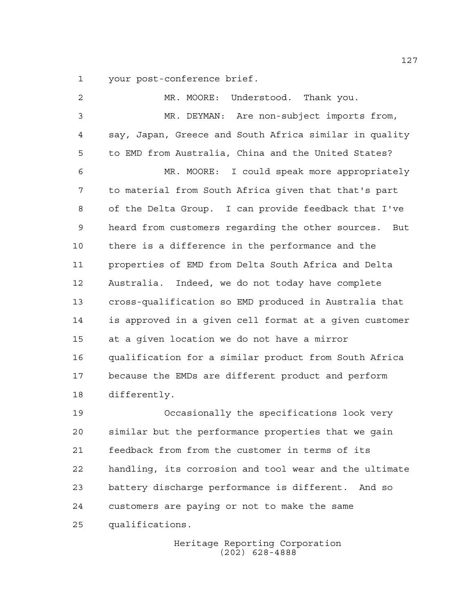your post-conference brief.

 MR. MOORE: Understood. Thank you. MR. DEYMAN: Are non-subject imports from, say, Japan, Greece and South Africa similar in quality to EMD from Australia, China and the United States? MR. MOORE: I could speak more appropriately to material from South Africa given that that's part of the Delta Group. I can provide feedback that I've heard from customers regarding the other sources. But there is a difference in the performance and the properties of EMD from Delta South Africa and Delta Australia. Indeed, we do not today have complete cross-qualification so EMD produced in Australia that is approved in a given cell format at a given customer at a given location we do not have a mirror qualification for a similar product from South Africa because the EMDs are different product and perform differently.

 Occasionally the specifications look very similar but the performance properties that we gain feedback from from the customer in terms of its handling, its corrosion and tool wear and the ultimate battery discharge performance is different. And so customers are paying or not to make the same qualifications.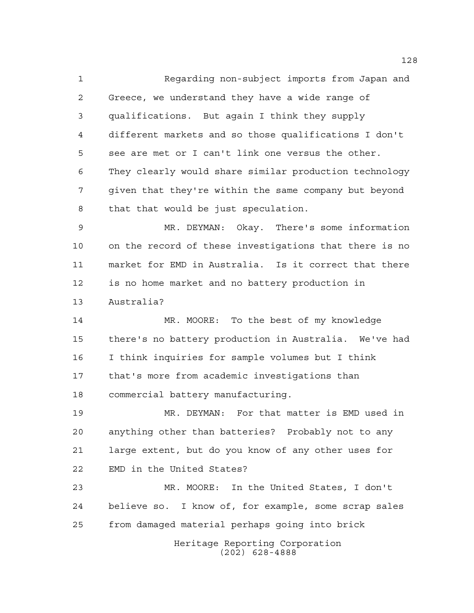Regarding non-subject imports from Japan and Greece, we understand they have a wide range of qualifications. But again I think they supply different markets and so those qualifications I don't see are met or I can't link one versus the other. They clearly would share similar production technology given that they're within the same company but beyond that that would be just speculation.

 MR. DEYMAN: Okay. There's some information on the record of these investigations that there is no market for EMD in Australia. Is it correct that there is no home market and no battery production in Australia?

 MR. MOORE: To the best of my knowledge there's no battery production in Australia. We've had I think inquiries for sample volumes but I think that's more from academic investigations than commercial battery manufacturing.

 MR. DEYMAN: For that matter is EMD used in anything other than batteries? Probably not to any large extent, but do you know of any other uses for EMD in the United States?

 MR. MOORE: In the United States, I don't believe so. I know of, for example, some scrap sales from damaged material perhaps going into brick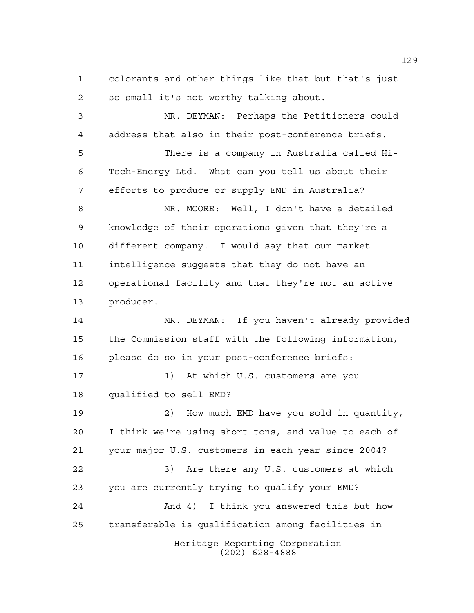colorants and other things like that but that's just so small it's not worthy talking about.

 MR. DEYMAN: Perhaps the Petitioners could address that also in their post-conference briefs. There is a company in Australia called Hi- Tech-Energy Ltd. What can you tell us about their efforts to produce or supply EMD in Australia? MR. MOORE: Well, I don't have a detailed knowledge of their operations given that they're a different company. I would say that our market intelligence suggests that they do not have an operational facility and that they're not an active producer. MR. DEYMAN: If you haven't already provided

 the Commission staff with the following information, please do so in your post-conference briefs:

17 1) At which U.S. customers are you qualified to sell EMD?

Heritage Reporting Corporation (202) 628-4888 2) How much EMD have you sold in quantity, I think we're using short tons, and value to each of your major U.S. customers in each year since 2004? 3) Are there any U.S. customers at which you are currently trying to qualify your EMD? And 4) I think you answered this but how transferable is qualification among facilities in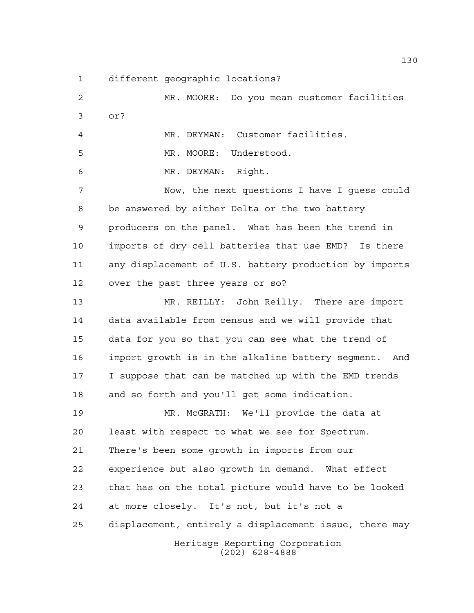different geographic locations?

Heritage Reporting Corporation (202) 628-4888 MR. MOORE: Do you mean customer facilities or? MR. DEYMAN: Customer facilities. MR. MOORE: Understood. MR. DEYMAN: Right. Now, the next questions I have I guess could be answered by either Delta or the two battery producers on the panel. What has been the trend in imports of dry cell batteries that use EMD? Is there any displacement of U.S. battery production by imports over the past three years or so? MR. REILLY: John Reilly. There are import data available from census and we will provide that data for you so that you can see what the trend of import growth is in the alkaline battery segment. And I suppose that can be matched up with the EMD trends and so forth and you'll get some indication. MR. McGRATH: We'll provide the data at least with respect to what we see for Spectrum. There's been some growth in imports from our experience but also growth in demand. What effect that has on the total picture would have to be looked at more closely. It's not, but it's not a displacement, entirely a displacement issue, there may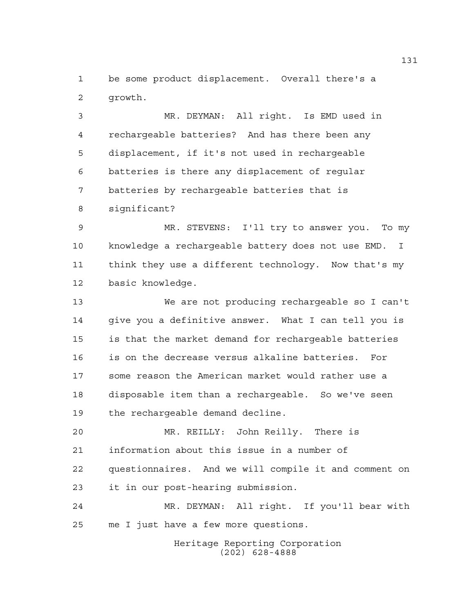be some product displacement. Overall there's a growth.

 MR. DEYMAN: All right. Is EMD used in rechargeable batteries? And has there been any displacement, if it's not used in rechargeable batteries is there any displacement of regular batteries by rechargeable batteries that is significant?

 MR. STEVENS: I'll try to answer you. To my knowledge a rechargeable battery does not use EMD. I think they use a different technology. Now that's my basic knowledge.

 We are not producing rechargeable so I can't give you a definitive answer. What I can tell you is is that the market demand for rechargeable batteries is on the decrease versus alkaline batteries. For some reason the American market would rather use a disposable item than a rechargeable. So we've seen the rechargeable demand decline.

 MR. REILLY: John Reilly. There is information about this issue in a number of questionnaires. And we will compile it and comment on it in our post-hearing submission.

 MR. DEYMAN: All right. If you'll bear with me I just have a few more questions.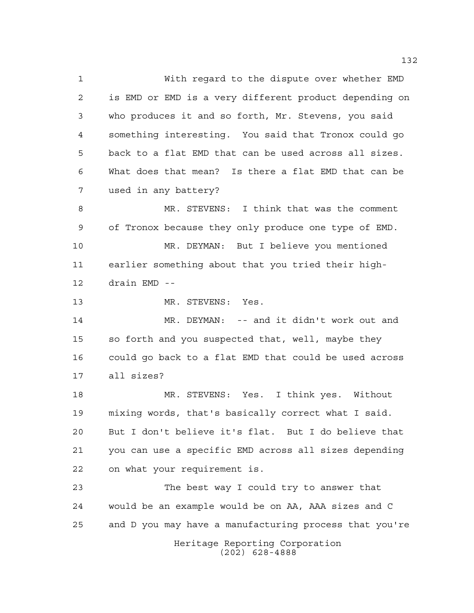With regard to the dispute over whether EMD is EMD or EMD is a very different product depending on who produces it and so forth, Mr. Stevens, you said something interesting. You said that Tronox could go back to a flat EMD that can be used across all sizes. What does that mean? Is there a flat EMD that can be used in any battery?

 MR. STEVENS: I think that was the comment of Tronox because they only produce one type of EMD. MR. DEYMAN: But I believe you mentioned earlier something about that you tried their high-drain EMD --

13 MR. STEVENS: Yes.

 MR. DEYMAN: -- and it didn't work out and so forth and you suspected that, well, maybe they could go back to a flat EMD that could be used across all sizes?

 MR. STEVENS: Yes. I think yes. Without mixing words, that's basically correct what I said. But I don't believe it's flat. But I do believe that you can use a specific EMD across all sizes depending on what your requirement is.

Heritage Reporting Corporation The best way I could try to answer that would be an example would be on AA, AAA sizes and C and D you may have a manufacturing process that you're

(202) 628-4888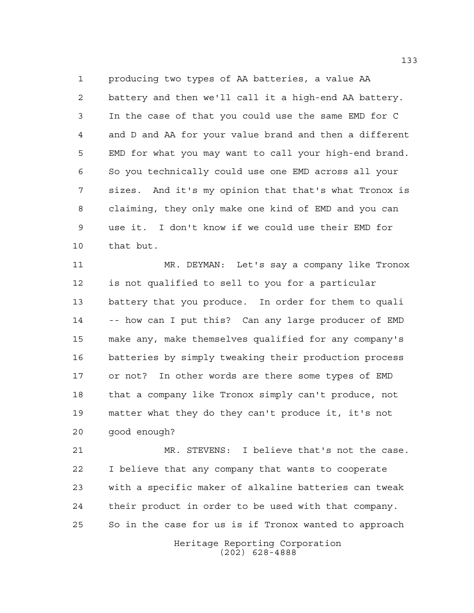producing two types of AA batteries, a value AA battery and then we'll call it a high-end AA battery. In the case of that you could use the same EMD for C and D and AA for your value brand and then a different EMD for what you may want to call your high-end brand. So you technically could use one EMD across all your sizes. And it's my opinion that that's what Tronox is claiming, they only make one kind of EMD and you can use it. I don't know if we could use their EMD for that but.

 MR. DEYMAN: Let's say a company like Tronox is not qualified to sell to you for a particular battery that you produce. In order for them to quali -- how can I put this? Can any large producer of EMD make any, make themselves qualified for any company's batteries by simply tweaking their production process or not? In other words are there some types of EMD that a company like Tronox simply can't produce, not matter what they do they can't produce it, it's not good enough?

 MR. STEVENS: I believe that's not the case. I believe that any company that wants to cooperate with a specific maker of alkaline batteries can tweak their product in order to be used with that company. So in the case for us is if Tronox wanted to approach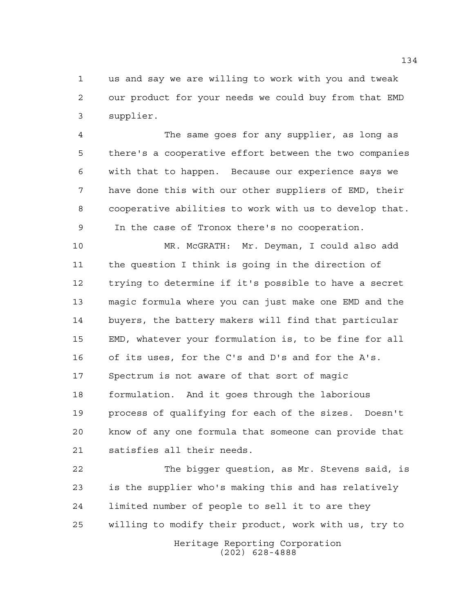us and say we are willing to work with you and tweak our product for your needs we could buy from that EMD supplier.

 The same goes for any supplier, as long as there's a cooperative effort between the two companies with that to happen. Because our experience says we have done this with our other suppliers of EMD, their cooperative abilities to work with us to develop that. 9 In the case of Tronox there's no cooperation.

 MR. McGRATH: Mr. Deyman, I could also add the question I think is going in the direction of trying to determine if it's possible to have a secret magic formula where you can just make one EMD and the buyers, the battery makers will find that particular EMD, whatever your formulation is, to be fine for all of its uses, for the C's and D's and for the A's. Spectrum is not aware of that sort of magic formulation. And it goes through the laborious process of qualifying for each of the sizes. Doesn't know of any one formula that someone can provide that satisfies all their needs.

Heritage Reporting Corporation The bigger question, as Mr. Stevens said, is is the supplier who's making this and has relatively limited number of people to sell it to are they willing to modify their product, work with us, try to

(202) 628-4888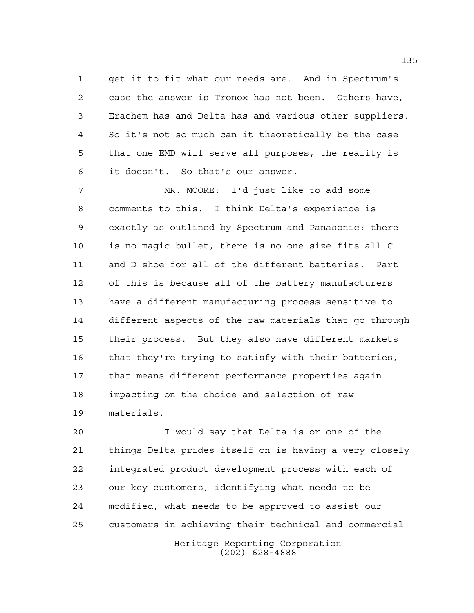get it to fit what our needs are. And in Spectrum's case the answer is Tronox has not been. Others have, Erachem has and Delta has and various other suppliers. So it's not so much can it theoretically be the case that one EMD will serve all purposes, the reality is it doesn't. So that's our answer.

 MR. MOORE: I'd just like to add some comments to this. I think Delta's experience is exactly as outlined by Spectrum and Panasonic: there is no magic bullet, there is no one-size-fits-all C and D shoe for all of the different batteries. Part of this is because all of the battery manufacturers have a different manufacturing process sensitive to different aspects of the raw materials that go through their process. But they also have different markets 16 that they're trying to satisfy with their batteries, that means different performance properties again impacting on the choice and selection of raw materials.

 I would say that Delta is or one of the things Delta prides itself on is having a very closely integrated product development process with each of our key customers, identifying what needs to be modified, what needs to be approved to assist our customers in achieving their technical and commercial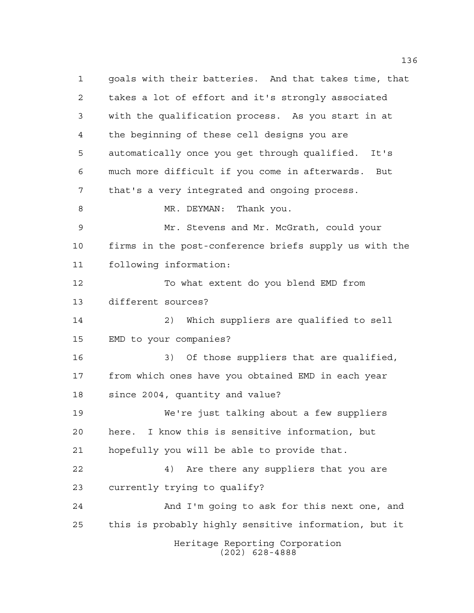Heritage Reporting Corporation (202) 628-4888 goals with their batteries. And that takes time, that takes a lot of effort and it's strongly associated with the qualification process. As you start in at the beginning of these cell designs you are automatically once you get through qualified. It's much more difficult if you come in afterwards. But that's a very integrated and ongoing process. 8 MR. DEYMAN: Thank you. Mr. Stevens and Mr. McGrath, could your firms in the post-conference briefs supply us with the following information: To what extent do you blend EMD from different sources? 2) Which suppliers are qualified to sell EMD to your companies? 3) Of those suppliers that are qualified, from which ones have you obtained EMD in each year since 2004, quantity and value? We're just talking about a few suppliers here. I know this is sensitive information, but hopefully you will be able to provide that. 4) Are there any suppliers that you are currently trying to qualify? And I'm going to ask for this next one, and this is probably highly sensitive information, but it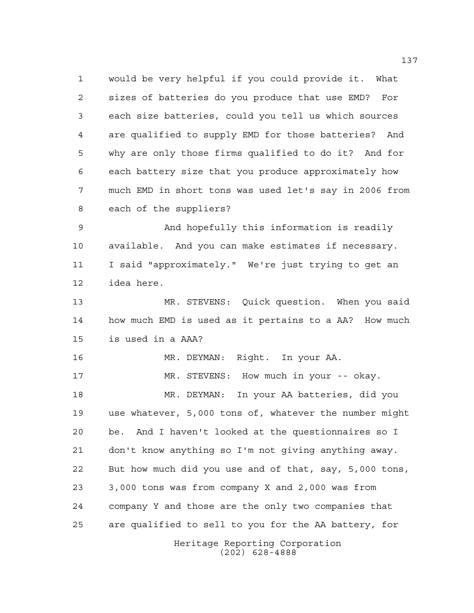would be very helpful if you could provide it. What sizes of batteries do you produce that use EMD? For each size batteries, could you tell us which sources are qualified to supply EMD for those batteries? And why are only those firms qualified to do it? And for each battery size that you produce approximately how much EMD in short tons was used let's say in 2006 from each of the suppliers?

 And hopefully this information is readily available. And you can make estimates if necessary. I said "approximately." We're just trying to get an idea here.

 MR. STEVENS: Quick question. When you said how much EMD is used as it pertains to a AA? How much is used in a AAA?

Heritage Reporting Corporation MR. DEYMAN: Right. In your AA. MR. STEVENS: How much in your -- okay. MR. DEYMAN: In your AA batteries, did you use whatever, 5,000 tons of, whatever the number might be. And I haven't looked at the questionnaires so I don't know anything so I'm not giving anything away. But how much did you use and of that, say, 5,000 tons, 3,000 tons was from company X and 2,000 was from company Y and those are the only two companies that are qualified to sell to you for the AA battery, for

(202) 628-4888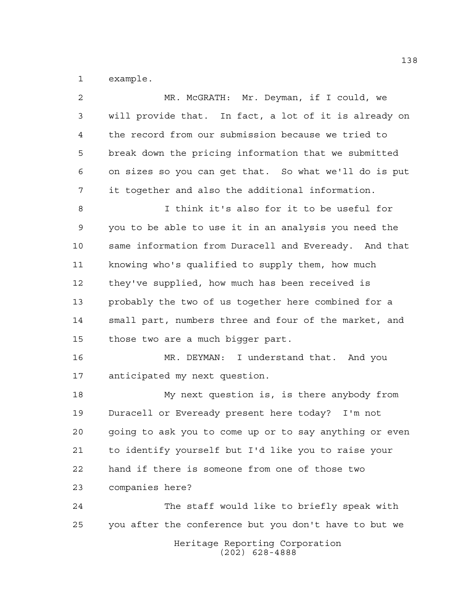example.

| $\overline{a}$ | MR. McGRATH: Mr. Deyman, if I could, we                |
|----------------|--------------------------------------------------------|
| 3              | will provide that. In fact, a lot of it is already on  |
| 4              | the record from our submission because we tried to     |
| 5              | break down the pricing information that we submitted   |
| 6              | on sizes so you can get that. So what we'll do is put  |
| 7              | it together and also the additional information.       |
| 8              | I think it's also for it to be useful for              |
| 9              | you to be able to use it in an analysis you need the   |
| 10             | same information from Duracell and Eveready. And that  |
| 11             | knowing who's qualified to supply them, how much       |
| 12             | they've supplied, how much has been received is        |
| 13             | probably the two of us together here combined for a    |
| 14             | small part, numbers three and four of the market, and  |
| 15             | those two are a much bigger part.                      |
| 16             | MR. DEYMAN: I understand that. And you                 |
| 17             | anticipated my next question.                          |
| 18             | My next question is, is there anybody from             |
| 19             | Duracell or Eveready present here today? I'm not       |
| 20             | going to ask you to come up or to say anything or even |
| 21             | to identify yourself but I'd like you to raise your    |
| 22             | hand if there is someone from one of those two         |
| 23             | companies here?                                        |
| 24             | The staff would like to briefly speak with             |
| 25             | you after the conference but you don't have to but we  |
|                | Heritage Reporting Corporation<br>$(202)$ 628-4888     |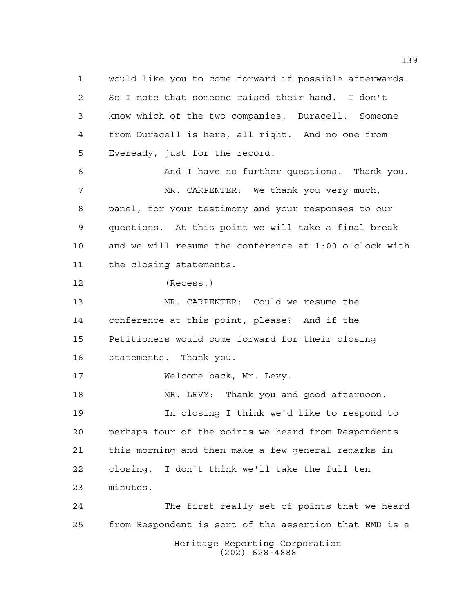Heritage Reporting Corporation (202) 628-4888 would like you to come forward if possible afterwards. So I note that someone raised their hand. I don't know which of the two companies. Duracell. Someone from Duracell is here, all right. And no one from Eveready, just for the record. And I have no further questions. Thank you. MR. CARPENTER: We thank you very much, panel, for your testimony and your responses to our questions. At this point we will take a final break and we will resume the conference at 1:00 o'clock with the closing statements. (Recess.) MR. CARPENTER: Could we resume the conference at this point, please? And if the Petitioners would come forward for their closing statements. Thank you. 17 Welcome back, Mr. Levy. MR. LEVY: Thank you and good afternoon. In closing I think we'd like to respond to perhaps four of the points we heard from Respondents this morning and then make a few general remarks in closing. I don't think we'll take the full ten minutes. The first really set of points that we heard from Respondent is sort of the assertion that EMD is a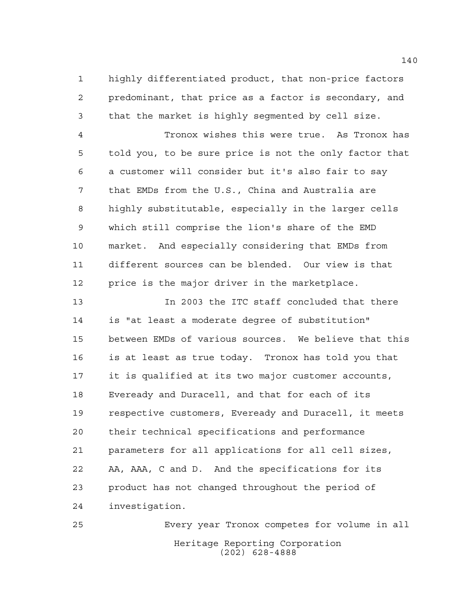highly differentiated product, that non-price factors predominant, that price as a factor is secondary, and that the market is highly segmented by cell size.

 Tronox wishes this were true. As Tronox has told you, to be sure price is not the only factor that a customer will consider but it's also fair to say that EMDs from the U.S., China and Australia are highly substitutable, especially in the larger cells which still comprise the lion's share of the EMD market. And especially considering that EMDs from different sources can be blended. Our view is that price is the major driver in the marketplace.

 In 2003 the ITC staff concluded that there is "at least a moderate degree of substitution" between EMDs of various sources. We believe that this is at least as true today. Tronox has told you that it is qualified at its two major customer accounts, Eveready and Duracell, and that for each of its respective customers, Eveready and Duracell, it meets their technical specifications and performance parameters for all applications for all cell sizes, AA, AAA, C and D. And the specifications for its product has not changed throughout the period of investigation.

Heritage Reporting Corporation (202) 628-4888 Every year Tronox competes for volume in all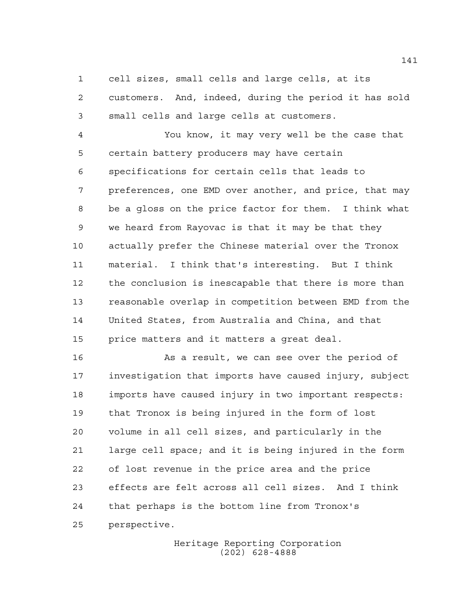cell sizes, small cells and large cells, at its

 customers. And, indeed, during the period it has sold small cells and large cells at customers.

 You know, it may very well be the case that certain battery producers may have certain specifications for certain cells that leads to preferences, one EMD over another, and price, that may be a gloss on the price factor for them. I think what we heard from Rayovac is that it may be that they actually prefer the Chinese material over the Tronox material. I think that's interesting. But I think the conclusion is inescapable that there is more than reasonable overlap in competition between EMD from the United States, from Australia and China, and that price matters and it matters a great deal.

16 As a result, we can see over the period of investigation that imports have caused injury, subject imports have caused injury in two important respects: that Tronox is being injured in the form of lost volume in all cell sizes, and particularly in the large cell space; and it is being injured in the form of lost revenue in the price area and the price effects are felt across all cell sizes. And I think that perhaps is the bottom line from Tronox's perspective.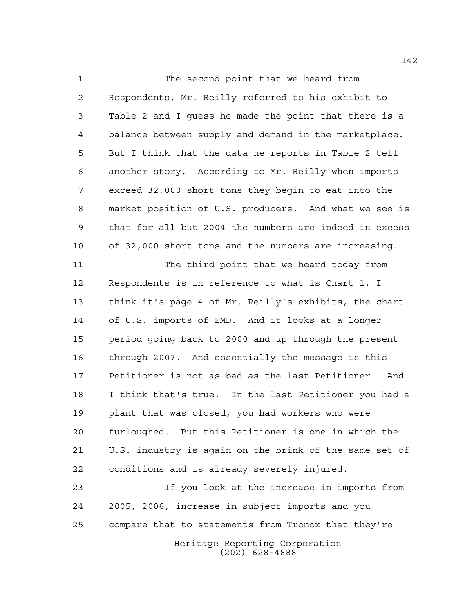1 The second point that we heard from Respondents, Mr. Reilly referred to his exhibit to Table 2 and I guess he made the point that there is a balance between supply and demand in the marketplace. But I think that the data he reports in Table 2 tell another story. According to Mr. Reilly when imports exceed 32,000 short tons they begin to eat into the market position of U.S. producers. And what we see is that for all but 2004 the numbers are indeed in excess of 32,000 short tons and the numbers are increasing.

 The third point that we heard today from Respondents is in reference to what is Chart 1, I think it's page 4 of Mr. Reilly's exhibits, the chart of U.S. imports of EMD. And it looks at a longer period going back to 2000 and up through the present through 2007. And essentially the message is this Petitioner is not as bad as the last Petitioner. And I think that's true. In the last Petitioner you had a plant that was closed, you had workers who were furloughed. But this Petitioner is one in which the U.S. industry is again on the brink of the same set of conditions and is already severely injured.

 If you look at the increase in imports from 2005, 2006, increase in subject imports and you compare that to statements from Tronox that they're

Heritage Reporting Corporation (202) 628-4888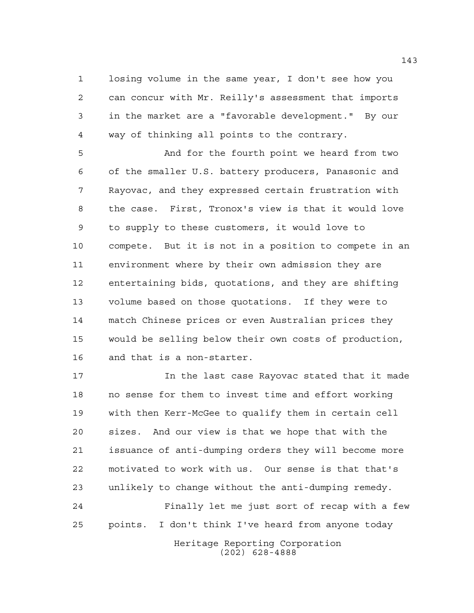losing volume in the same year, I don't see how you can concur with Mr. Reilly's assessment that imports in the market are a "favorable development." By our way of thinking all points to the contrary.

 And for the fourth point we heard from two of the smaller U.S. battery producers, Panasonic and Rayovac, and they expressed certain frustration with the case. First, Tronox's view is that it would love to supply to these customers, it would love to compete. But it is not in a position to compete in an environment where by their own admission they are entertaining bids, quotations, and they are shifting volume based on those quotations. If they were to match Chinese prices or even Australian prices they would be selling below their own costs of production, and that is a non-starter.

 In the last case Rayovac stated that it made no sense for them to invest time and effort working with then Kerr-McGee to qualify them in certain cell sizes. And our view is that we hope that with the issuance of anti-dumping orders they will become more motivated to work with us. Our sense is that that's unlikely to change without the anti-dumping remedy.

 Finally let me just sort of recap with a few points. I don't think I've heard from anyone today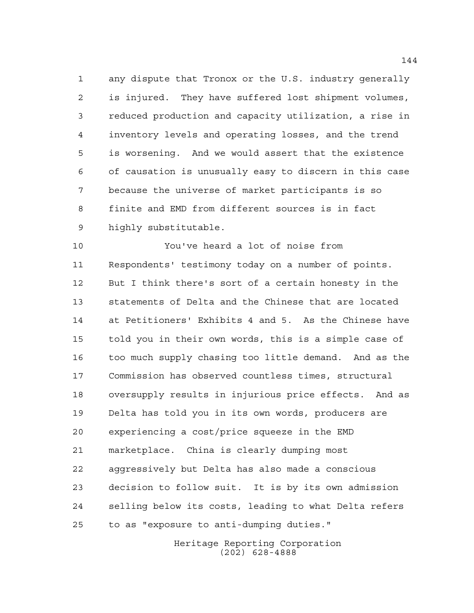any dispute that Tronox or the U.S. industry generally is injured. They have suffered lost shipment volumes, reduced production and capacity utilization, a rise in inventory levels and operating losses, and the trend is worsening. And we would assert that the existence of causation is unusually easy to discern in this case because the universe of market participants is so finite and EMD from different sources is in fact highly substitutable.

 You've heard a lot of noise from Respondents' testimony today on a number of points. But I think there's sort of a certain honesty in the statements of Delta and the Chinese that are located at Petitioners' Exhibits 4 and 5. As the Chinese have told you in their own words, this is a simple case of too much supply chasing too little demand. And as the Commission has observed countless times, structural oversupply results in injurious price effects. And as Delta has told you in its own words, producers are experiencing a cost/price squeeze in the EMD marketplace. China is clearly dumping most aggressively but Delta has also made a conscious decision to follow suit. It is by its own admission selling below its costs, leading to what Delta refers to as "exposure to anti-dumping duties."

> Heritage Reporting Corporation (202) 628-4888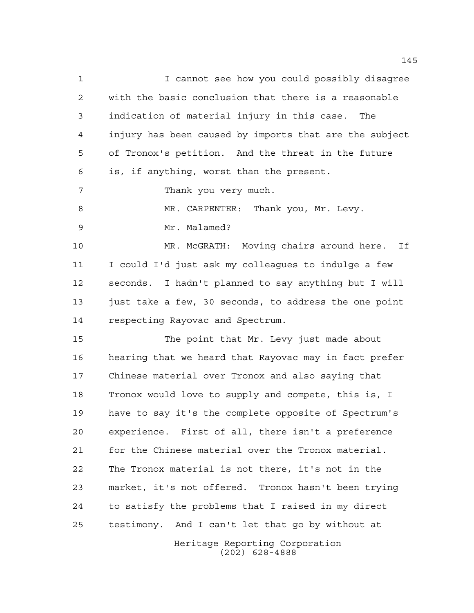I cannot see how you could possibly disagree with the basic conclusion that there is a reasonable indication of material injury in this case. The injury has been caused by imports that are the subject of Tronox's petition. And the threat in the future is, if anything, worst than the present. Thank you very much. 8 MR. CARPENTER: Thank you, Mr. Levy. Mr. Malamed? MR. McGRATH: Moving chairs around here. If I could I'd just ask my colleagues to indulge a few seconds. I hadn't planned to say anything but I will just take a few, 30 seconds, to address the one point respecting Rayovac and Spectrum. The point that Mr. Levy just made about hearing that we heard that Rayovac may in fact prefer Chinese material over Tronox and also saying that Tronox would love to supply and compete, this is, I have to say it's the complete opposite of Spectrum's experience. First of all, there isn't a preference for the Chinese material over the Tronox material. The Tronox material is not there, it's not in the market, it's not offered. Tronox hasn't been trying to satisfy the problems that I raised in my direct testimony. And I can't let that go by without at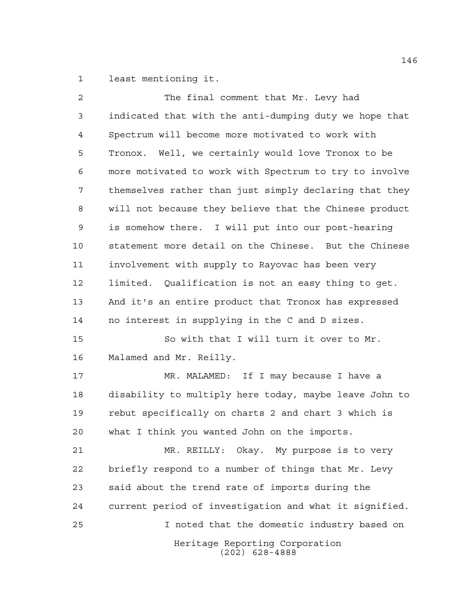least mentioning it.

| $\overline{2}$ | The final comment that Mr. Levy had                    |
|----------------|--------------------------------------------------------|
| 3              | indicated that with the anti-dumping duty we hope that |
| 4              | Spectrum will become more motivated to work with       |
| 5              | Tronox. Well, we certainly would love Tronox to be     |
| 6              | more motivated to work with Spectrum to try to involve |
| 7              | themselves rather than just simply declaring that they |
| 8              | will not because they believe that the Chinese product |
| 9              | is somehow there. I will put into our post-hearing     |
| 10             | statement more detail on the Chinese. But the Chinese  |
| 11             | involvement with supply to Rayovac has been very       |
| 12             | limited. Qualification is not an easy thing to get.    |
| 13             | And it's an entire product that Tronox has expressed   |
| 14             | no interest in supplying in the C and D sizes.         |
| 15             | So with that I will turn it over to Mr.                |
| 16             | Malamed and Mr. Reilly.                                |
| 17             | MR. MALAMED: If I may because I have a                 |
| 18             | disability to multiply here today, maybe leave John to |
| 19             | rebut specifically on charts 2 and chart 3 which is    |
| 20             | what I think you wanted John on the imports.           |
| 21             | MR. REILLY: Okay. My purpose is to very                |
| 22             | briefly respond to a number of things that Mr. Levy    |
| 23             | said about the trend rate of imports during the        |
| 24             | current period of investigation and what it signified. |
| 25             | I noted that the domestic industry based on            |
|                | Heritage Reporting Corporation<br>$(202)$ 628-4888     |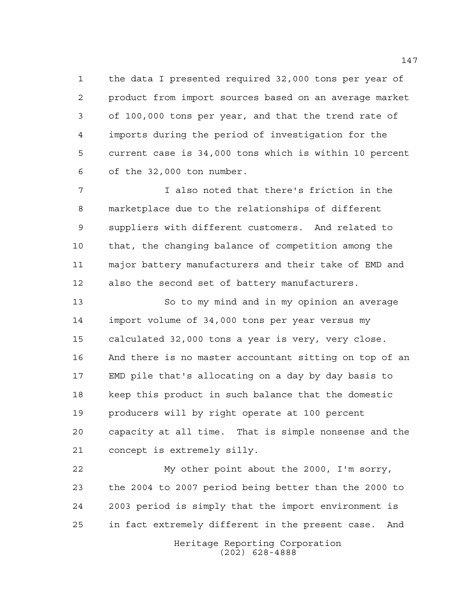the data I presented required 32,000 tons per year of product from import sources based on an average market of 100,000 tons per year, and that the trend rate of imports during the period of investigation for the current case is 34,000 tons which is within 10 percent of the 32,000 ton number.

 I also noted that there's friction in the marketplace due to the relationships of different suppliers with different customers. And related to that, the changing balance of competition among the major battery manufacturers and their take of EMD and also the second set of battery manufacturers.

 So to my mind and in my opinion an average import volume of 34,000 tons per year versus my calculated 32,000 tons a year is very, very close. And there is no master accountant sitting on top of an EMD pile that's allocating on a day by day basis to keep this product in such balance that the domestic producers will by right operate at 100 percent capacity at all time. That is simple nonsense and the concept is extremely silly.

 My other point about the 2000, I'm sorry, the 2004 to 2007 period being better than the 2000 to 2003 period is simply that the import environment is in fact extremely different in the present case. And

Heritage Reporting Corporation (202) 628-4888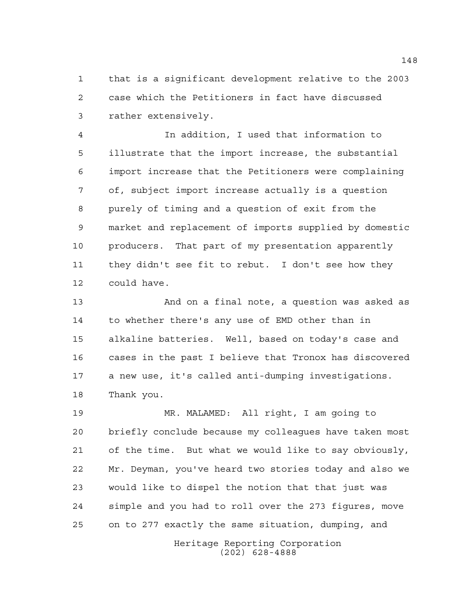that is a significant development relative to the 2003 case which the Petitioners in fact have discussed rather extensively.

 In addition, I used that information to illustrate that the import increase, the substantial import increase that the Petitioners were complaining of, subject import increase actually is a question purely of timing and a question of exit from the market and replacement of imports supplied by domestic producers. That part of my presentation apparently they didn't see fit to rebut. I don't see how they could have.

 And on a final note, a question was asked as to whether there's any use of EMD other than in alkaline batteries. Well, based on today's case and cases in the past I believe that Tronox has discovered a new use, it's called anti-dumping investigations. Thank you.

 MR. MALAMED: All right, I am going to briefly conclude because my colleagues have taken most of the time. But what we would like to say obviously, Mr. Deyman, you've heard two stories today and also we would like to dispel the notion that that just was simple and you had to roll over the 273 figures, move on to 277 exactly the same situation, dumping, and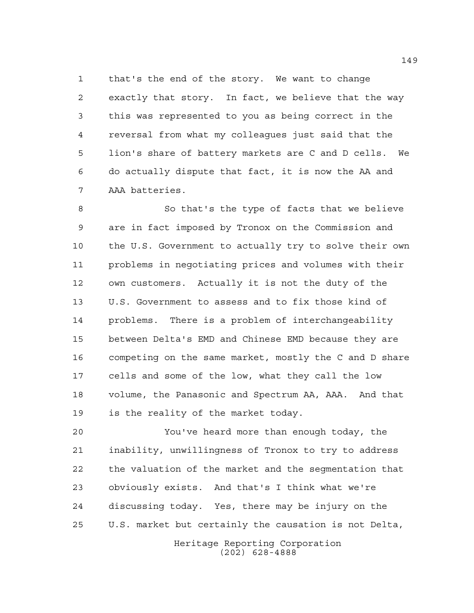that's the end of the story. We want to change exactly that story. In fact, we believe that the way this was represented to you as being correct in the reversal from what my colleagues just said that the lion's share of battery markets are C and D cells. We do actually dispute that fact, it is now the AA and AAA batteries.

 So that's the type of facts that we believe are in fact imposed by Tronox on the Commission and the U.S. Government to actually try to solve their own problems in negotiating prices and volumes with their own customers. Actually it is not the duty of the U.S. Government to assess and to fix those kind of problems. There is a problem of interchangeability between Delta's EMD and Chinese EMD because they are competing on the same market, mostly the C and D share cells and some of the low, what they call the low volume, the Panasonic and Spectrum AA, AAA. And that is the reality of the market today.

 You've heard more than enough today, the inability, unwillingness of Tronox to try to address the valuation of the market and the segmentation that obviously exists. And that's I think what we're discussing today. Yes, there may be injury on the U.S. market but certainly the causation is not Delta,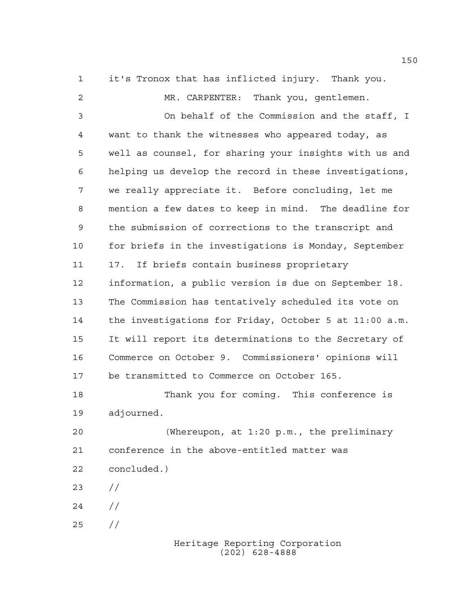it's Tronox that has inflicted injury. Thank you.

 MR. CARPENTER: Thank you, gentlemen. On behalf of the Commission and the staff, I want to thank the witnesses who appeared today, as well as counsel, for sharing your insights with us and helping us develop the record in these investigations, we really appreciate it. Before concluding, let me mention a few dates to keep in mind. The deadline for the submission of corrections to the transcript and for briefs in the investigations is Monday, September 17. If briefs contain business proprietary information, a public version is due on September 18. The Commission has tentatively scheduled its vote on the investigations for Friday, October 5 at 11:00 a.m. It will report its determinations to the Secretary of Commerce on October 9. Commissioners' opinions will be transmitted to Commerce on October 165. Thank you for coming. This conference is adjourned. (Whereupon, at 1:20 p.m., the preliminary conference in the above-entitled matter was concluded.) //  $24 /$ 

//